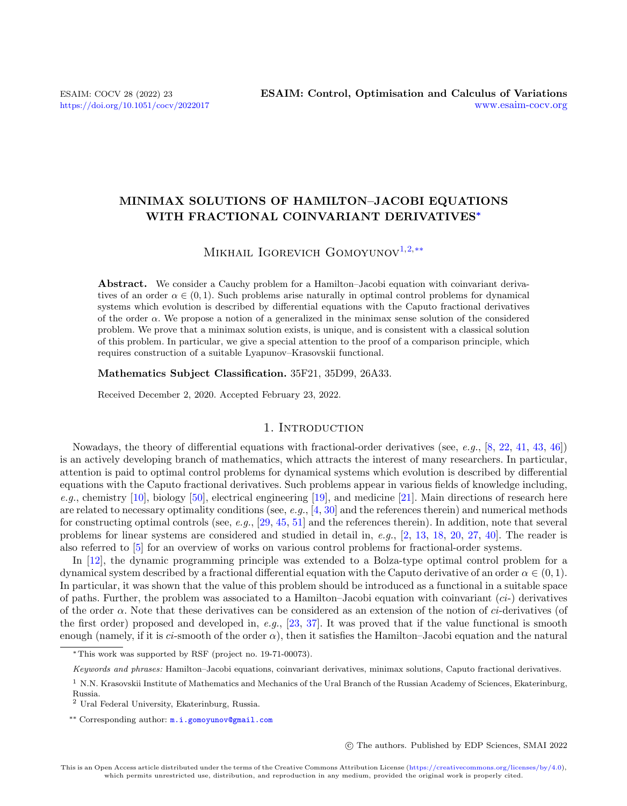# MINIMAX SOLUTIONS OF HAMILTON–JACOBI EQUATIONS WITH FRACTIONAL COINVARIANT DERIVATIVES<sup>∗</sup>

# MIKHAIL IGOREVICH GOMOYUNOV<sup>[1,](#page-0-0)[2,](#page-0-1)[\\*\\*](#page-0-2)</sup>

Abstract. We consider a Cauchy problem for a Hamilton–Jacobi equation with coinvariant derivatives of an order  $\alpha \in (0,1)$ . Such problems arise naturally in optimal control problems for dynamical systems which evolution is described by differential equations with the Caputo fractional derivatives of the order  $\alpha$ . We propose a notion of a generalized in the minimax sense solution of the considered problem. We prove that a minimax solution exists, is unique, and is consistent with a classical solution of this problem. In particular, we give a special attention to the proof of a comparison principle, which requires construction of a suitable Lyapunov–Krasovskii functional.

### Mathematics Subject Classification. 35F21, 35D99, 26A33.

Received December 2, 2020. Accepted February 23, 2022.

### 1. INTRODUCTION

Nowadays, the theory of differential equations with fractional-order derivatives (see, e.g., [\[8,](#page-34-0) [22,](#page-34-1) [41,](#page-35-0) [43,](#page-35-1) [46\]](#page-35-2)) is an actively developing branch of mathematics, which attracts the interest of many researchers. In particular, attention is paid to optimal control problems for dynamical systems which evolution is described by differential equations with the Caputo fractional derivatives. Such problems appear in various fields of knowledge including, e.g., chemistry [\[10\]](#page-34-2), biology [\[50\]](#page-35-3), electrical engineering [\[19\]](#page-34-3), and medicine [\[21\]](#page-34-4). Main directions of research here are related to necessary optimality conditions (see,  $e.g., [4, 30]$  $e.g., [4, 30]$  $e.g., [4, 30]$  $e.g., [4, 30]$  and the references therein) and numerical methods for constructing optimal controls (see, e.g.,  $[29, 45, 51]$  $[29, 45, 51]$  $[29, 45, 51]$  $[29, 45, 51]$  and the references therein). In addition, note that several problems for linear systems are considered and studied in detail in, e.g., [\[2,](#page-34-8) [13,](#page-34-9) [18,](#page-34-10) [20,](#page-34-11) [27,](#page-34-12) [40\]](#page-35-6). The reader is also referred to [\[5\]](#page-34-13) for an overview of works on various control problems for fractional-order systems.

In [\[12\]](#page-34-14), the dynamic programming principle was extended to a Bolza-type optimal control problem for a dynamical system described by a fractional differential equation with the Caputo derivative of an order  $\alpha \in (0,1)$ . In particular, it was shown that the value of this problem should be introduced as a functional in a suitable space of paths. Further, the problem was associated to a Hamilton–Jacobi equation with coinvariant (ci-) derivatives of the order  $\alpha$ . Note that these derivatives can be considered as an extension of the notion of *ci*-derivatives (of the first order) proposed and developed in, e.g.,  $[23, 37]$  $[23, 37]$ . It was proved that if the value functional is smooth enough (namely, if it is ci-smooth of the order  $\alpha$ ), then it satisfies the Hamilton–Jacobi equation and the natural

c The authors. Published by EDP Sciences, SMAI 2022

<sup>∗</sup>This work was supported by RSF (project no. 19-71-00073).

<span id="page-0-2"></span>Keywords and phrases: Hamilton–Jacobi equations, coinvariant derivatives, minimax solutions, Caputo fractional derivatives.

<span id="page-0-0"></span> $1$  N.N. Krasovskii Institute of Mathematics and Mechanics of the Ural Branch of the Russian Academy of Sciences, Ekaterinburg, Russia.

<span id="page-0-1"></span><sup>2</sup> Ural Federal University, Ekaterinburg, Russia.

<sup>\*\*</sup> Corresponding author: [m.i.gomoyunov@gmail.com](mailto:m.i.gomoyunov@gmail.com)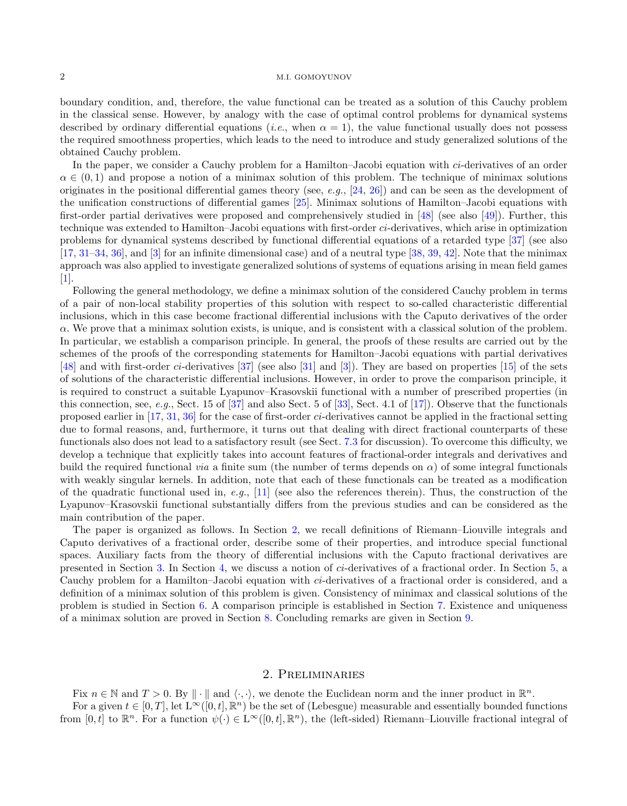boundary condition, and, therefore, the value functional can be treated as a solution of this Cauchy problem in the classical sense. However, by analogy with the case of optimal control problems for dynamical systems described by ordinary differential equations (*i.e.*, when  $\alpha = 1$ ), the value functional usually does not possess the required smoothness properties, which leads to the need to introduce and study generalized solutions of the obtained Cauchy problem.

In the paper, we consider a Cauchy problem for a Hamilton–Jacobi equation with ci-derivatives of an order  $\alpha \in (0,1)$  and propose a notion of a minimax solution of this problem. The technique of minimax solutions originates in the positional differential games theory (see, e.g.,  $[24, 26]$  $[24, 26]$ ) and can be seen as the development of the unification constructions of differential games [\[25\]](#page-34-18). Minimax solutions of Hamilton–Jacobi equations with first-order partial derivatives were proposed and comprehensively studied in [\[48\]](#page-35-8) (see also [\[49\]](#page-35-9)). Further, this technique was extended to Hamilton–Jacobi equations with first-order ci-derivatives, which arise in optimization problems for dynamical systems described by functional differential equations of a retarded type [\[37\]](#page-35-7) (see also [\[17,](#page-34-19) [31](#page-34-20)[–34,](#page-34-21) [36\]](#page-35-10), and [\[3\]](#page-34-22) for an infinite dimensional case) and of a neutral type [\[38,](#page-35-11) [39,](#page-35-12) [42\]](#page-35-13). Note that the minimax approach was also applied to investigate generalized solutions of systems of equations arising in mean field games [\[1\]](#page-34-23).

Following the general methodology, we define a minimax solution of the considered Cauchy problem in terms of a pair of non-local stability properties of this solution with respect to so-called characteristic differential inclusions, which in this case become fractional differential inclusions with the Caputo derivatives of the order  $\alpha$ . We prove that a minimax solution exists, is unique, and is consistent with a classical solution of the problem. In particular, we establish a comparison principle. In general, the proofs of these results are carried out by the schemes of the proofs of the corresponding statements for Hamilton–Jacobi equations with partial derivatives [\[48\]](#page-35-8) and with first-order ci-derivatives [\[37\]](#page-35-7) (see also [\[31\]](#page-34-20) and [\[3\]](#page-34-22)). They are based on properties [\[15\]](#page-34-24) of the sets of solutions of the characteristic differential inclusions. However, in order to prove the comparison principle, it is required to construct a suitable Lyapunov–Krasovskii functional with a number of prescribed properties (in this connection, see, e.g., Sect. 15 of [\[37\]](#page-35-7) and also Sect. 5 of [\[33\]](#page-34-25), Sect. 4.1 of [\[17\]](#page-34-19)). Observe that the functionals proposed earlier in  $[17, 31, 36]$  $[17, 31, 36]$  $[17, 31, 36]$  $[17, 31, 36]$  for the case of first-order *ci*-derivatives cannot be applied in the fractional setting due to formal reasons, and, furthermore, it turns out that dealing with direct fractional counterparts of these functionals also does not lead to a satisfactory result (see Sect. [7.3](#page-30-0) for discussion). To overcome this difficulty, we develop a technique that explicitly takes into account features of fractional-order integrals and derivatives and build the required functional *via* a finite sum (the number of terms depends on  $\alpha$ ) of some integral functionals with weakly singular kernels. In addition, note that each of these functionals can be treated as a modification of the quadratic functional used in, e.g.,  $[11]$  (see also the references therein). Thus, the construction of the Lyapunov–Krasovskii functional substantially differs from the previous studies and can be considered as the main contribution of the paper.

The paper is organized as follows. In Section [2,](#page-1-0) we recall definitions of Riemann–Liouville integrals and Caputo derivatives of a fractional order, describe some of their properties, and introduce special functional spaces. Auxiliary facts from the theory of differential inclusions with the Caputo fractional derivatives are presented in Section [3.](#page-3-0) In Section [4,](#page-5-0) we discuss a notion of ci-derivatives of a fractional order. In Section [5,](#page-8-0) a Cauchy problem for a Hamilton–Jacobi equation with ci-derivatives of a fractional order is considered, and a definition of a minimax solution of this problem is given. Consistency of minimax and classical solutions of the problem is studied in Section [6.](#page-11-0) A comparison principle is established in Section [7.](#page-14-0) Existence and uniqueness of a minimax solution are proved in Section [8.](#page-32-0) Concluding remarks are given in Section [9.](#page-33-0)

### 2. Preliminaries

<span id="page-1-0"></span>Fix  $n \in \mathbb{N}$  and  $T > 0$ . By  $\|\cdot\|$  and  $\langle \cdot, \cdot \rangle$ , we denote the Euclidean norm and the inner product in  $\mathbb{R}^n$ .

For a given  $t \in [0,T]$ , let  $L^{\infty}([0,t], \mathbb{R}^n)$  be the set of (Lebesgue) measurable and essentially bounded functions from  $[0, t]$  to  $\mathbb{R}^n$ . For a function  $\psi(\cdot) \in L^\infty([0, t], \mathbb{R}^n)$ , the (left-sided) Riemann–Liouville fractional integral of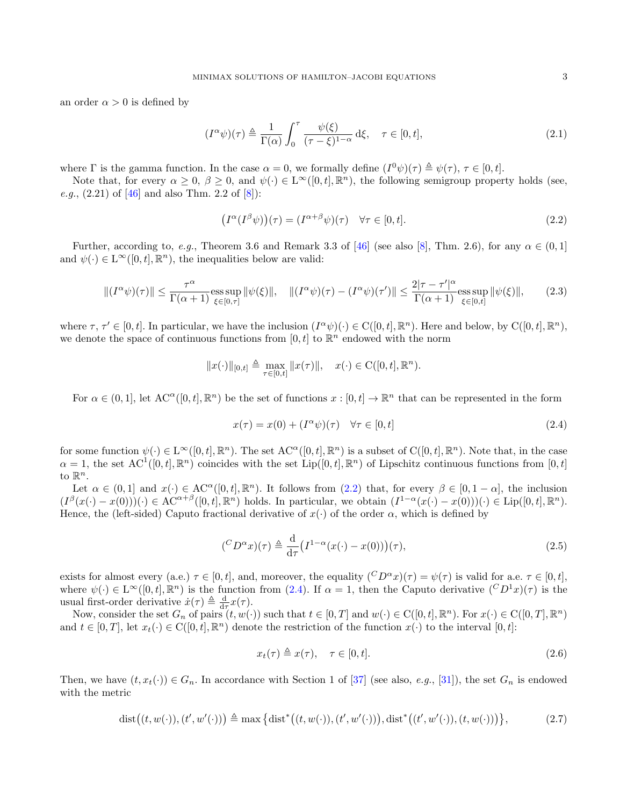an order  $\alpha > 0$  is defined by

<span id="page-2-5"></span>
$$
(I^{\alpha}\psi)(\tau) \triangleq \frac{1}{\Gamma(\alpha)} \int_0^{\tau} \frac{\psi(\xi)}{(\tau - \xi)^{1-\alpha}} d\xi, \quad \tau \in [0, t],
$$
\n(2.1)

where  $\Gamma$  is the gamma function. In the case  $\alpha = 0$ , we formally define  $(I^0\psi)(\tau) \triangleq \psi(\tau)$ ,  $\tau \in [0, t]$ .

Note that, for every  $\alpha \geq 0$ ,  $\beta \geq 0$ , and  $\psi(\cdot) \in L^{\infty}([0,t], \mathbb{R}^n)$ , the following semigroup property holds (see, *e.g.*,  $(2.21)$  of [\[46\]](#page-35-2) and also Thm. 2.2 of [\[8\]](#page-34-0)):

<span id="page-2-0"></span>
$$
(I^{\alpha}(I^{\beta}\psi))(\tau) = (I^{\alpha+\beta}\psi)(\tau) \quad \forall \tau \in [0, t].
$$
\n(2.2)

Further, according to, e.g., Theorem 3.6 and Remark 3.3 of [\[46\]](#page-35-2) (see also [\[8\]](#page-34-0), Thm. 2.6), for any  $\alpha \in (0,1]$ and  $\psi(\cdot) \in L^{\infty}([0, t], \mathbb{R}^n)$ , the inequalities below are valid:

<span id="page-2-6"></span>
$$
\|(I^{\alpha}\psi)(\tau)\| \le \frac{\tau^{\alpha}}{\Gamma(\alpha+1)}\underset{\xi\in[0,\tau]}{\mathrm{ess\,sup}}\|\psi(\xi)\|, \quad \|(I^{\alpha}\psi)(\tau) - (I^{\alpha}\psi)(\tau')\| \le \frac{2|\tau-\tau'|^{\alpha}}{\Gamma(\alpha+1)}\underset{\xi\in[0,t]}{\mathrm{ess\,sup}}\|\psi(\xi)\|,\tag{2.3}
$$

where  $\tau, \tau' \in [0, t]$ . In particular, we have the inclusion  $(I^{\alpha}\psi)(\cdot) \in C([0, t], \mathbb{R}^{n})$ . Here and below, by  $C([0, t], \mathbb{R}^{n})$ , we denote the space of continuous functions from  $[0, t]$  to  $\mathbb{R}^n$  endowed with the norm

$$
||x(\cdot)||_{[0,t]} \triangleq \max_{\tau \in [0,t]} ||x(\tau)||, \quad x(\cdot) \in \mathrm{C}([0,t],\mathbb{R}^n).
$$

For  $\alpha \in (0,1]$ , let  $\mathrm{AC}^{\alpha}([0,t],\mathbb{R}^n)$  be the set of functions  $x:[0,t] \to \mathbb{R}^n$  that can be represented in the form

<span id="page-2-1"></span>
$$
x(\tau) = x(0) + (I^{\alpha}\psi)(\tau) \quad \forall \tau \in [0, t]
$$
\n
$$
(2.4)
$$

for some function  $\psi(\cdot) \in L^{\infty}([0,t], \mathbb{R}^n)$ . The set  $AC^{\alpha}([0,t], \mathbb{R}^n)$  is a subset of  $C([0,t], \mathbb{R}^n)$ . Note that, in the case  $\alpha = 1$ , the set  $\mathrm{AC}^1([0, t], \mathbb{R}^n)$  coincides with the set  $\mathrm{Lip}([0, t], \mathbb{R}^n)$  of Lipschitz continuous functions from  $[0, t]$ to  $\mathbb{R}^n$ .

Let  $\alpha \in (0,1]$  and  $x(\cdot) \in \mathrm{AC}^{\alpha}([0,t],\mathbb{R}^n)$ . It follows from  $(2.2)$  that, for every  $\beta \in [0,1-\alpha]$ , the inclusion  $(I^{\beta}(x(\cdot)-x(0)))(\cdot) \in AC^{\alpha+\beta}([0,t],\mathbb{R}^n)$  holds. In particular, we obtain  $(I^{1-\alpha}(x(\cdot)-x(0)))(\cdot) \in Lip([0,t],\mathbb{R}^n)$ . Hence, the (left-sided) Caputo fractional derivative of  $x(\cdot)$  of the order  $\alpha$ , which is defined by

<span id="page-2-4"></span>
$$
({}^C D^{\alpha}x)(\tau) \triangleq \frac{\mathrm{d}}{\mathrm{d}\tau} \big(I^{1-\alpha}(x(\cdot)-x(0))\big)(\tau),\tag{2.5}
$$

exists for almost every (a.e.)  $\tau \in [0, t]$ , and, moreover, the equality  $({}^C D^{\alpha} x)(\tau) = \psi(\tau)$  is valid for a.e.  $\tau \in [0, t]$ , where  $\psi(\cdot) \in L^{\infty}([0,t], \mathbb{R}^n)$  is the function from [\(2.4\)](#page-2-1). If  $\alpha = 1$ , then the Caputo derivative  $({}^C D^1 x)(\tau)$  is the usual first-order derivative  $\dot{x}(\tau) \triangleq \frac{d}{d\tau}x(\tau)$ .

Now, consider the set  $G_n$  of pairs  $(t, w(\cdot))$  such that  $t \in [0, T]$  and  $w(\cdot) \in C([0, t], \mathbb{R}^n)$ . For  $x(\cdot) \in C([0, T], \mathbb{R}^n)$ and  $t \in [0, T]$ , let  $x_t(\cdot) \in C([0, t], \mathbb{R}^n)$  denote the restriction of the function  $x(\cdot)$  to the interval  $[0, t]$ :

<span id="page-2-3"></span>
$$
x_t(\tau) \triangleq x(\tau), \quad \tau \in [0, t]. \tag{2.6}
$$

Then, we have  $(t, x_t(\cdot)) \in G_n$ . In accordance with Section 1 of [\[37\]](#page-35-7) (see also, e.g., [\[31\]](#page-34-20)), the set  $G_n$  is endowed with the metric

<span id="page-2-2"></span>
$$
dist((t, w(\cdot)), (t', w'(\cdot))) \triangleq \max\left\{dist^*\big((t, w(\cdot)), (t', w'(\cdot))\big), dist^*\big((t', w'(\cdot)), (t, w(\cdot))\big)\right\},\tag{2.7}
$$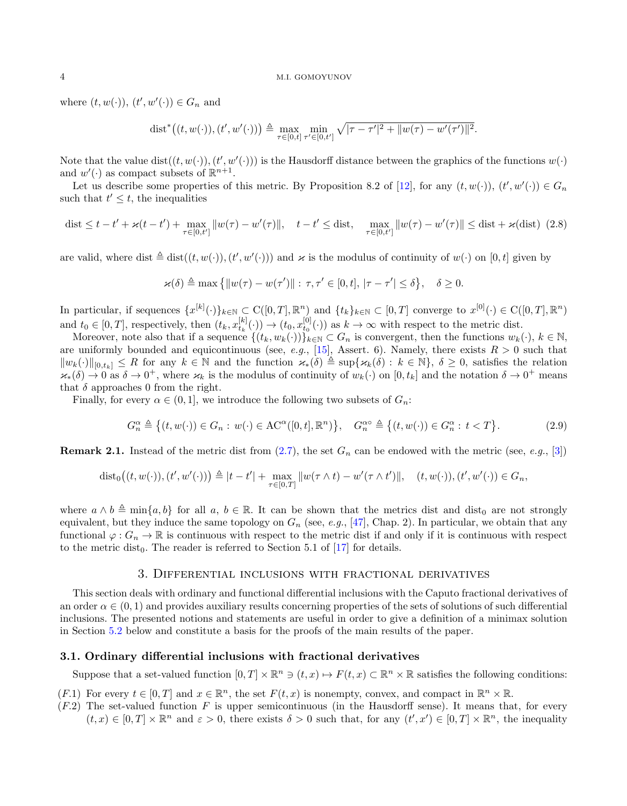where  $(t, w(\cdot)), (t', w'(\cdot)) \in G_n$  and

$$
\text{dist}^*\big((t, w(\cdot)), (t', w'(\cdot))\big) \triangleq \max_{\tau \in [0, t]} \min_{\tau' \in [0, t']} \sqrt{|\tau - \tau'|^2 + ||w(\tau) - w'(\tau')||^2}.
$$

Note that the value  $dist((t, w(\cdot)), (t', w'(\cdot)))$  is the Hausdorff distance between the graphics of the functions  $w(\cdot)$ and  $w'(\cdot)$  as compact subsets of  $\mathbb{R}^{n+1}$ .

Let us describe some properties of this metric. By Proposition 8.2 of [\[12\]](#page-34-14), for any  $(t, w(\cdot))$ ,  $(t', w'(\cdot)) \in G_n$ such that  $t' \leq t$ , the inequalities

<span id="page-3-3"></span>dist 
$$
\leq t - t' + \varkappa(t - t') + \max_{\tau \in [0, t']} ||w(\tau) - w'(\tau)||
$$
,  $t - t' \leq \text{dist}$ ,  $\max_{\tau \in [0, t']} ||w(\tau) - w'(\tau)|| \leq \text{dist} + \varkappa(\text{dist})$  (2.8)

are valid, where dist  $\triangleq$  dist $((t, w(\cdot)), (t', w'(\cdot)))$  and  $\varkappa$  is the modulus of continuity of  $w(\cdot)$  on  $[0, t]$  given by

$$
\varkappa(\delta) \triangleq \max\left\{\|w(\tau)-w(\tau')\|:\, \tau,\tau' \in [0,t],\, |\tau-\tau'|\leq \delta\right\},\quad \delta\geq 0.
$$

In particular, if sequences  $\{x^{[k]}(\cdot)\}_{k\in\mathbb{N}}\subset\mathrm{C}([0,T],\mathbb{R}^n)$  and  $\{t_k\}_{k\in\mathbb{N}}\subset[0,T]$  converge to  $x^{[0]}(\cdot)\in\mathrm{C}([0,T],\mathbb{R}^n)$ and  $t_0 \in [0,T]$ , respectively, then  $(t_k, x_{t_k}^{[k]}(\cdot)) \to (t_0, x_{t_0}^{[0]}(\cdot))$  as  $k \to \infty$  with respect to the metric dist.

Moreover, note also that if a sequence  $\{(t_k, w_k(\cdot))\}_{k\in\mathbb{N}} \subset G_n$  is convergent, then the functions  $w_k(\cdot), k \in \mathbb{N}$ , are uniformly bounded and equicontinuous (see, e.g., [\[15\]](#page-34-24), Assert. 6). Namely, there exists  $R > 0$  such that  $||w_k(\cdot)||_{[0,t_k]} \leq R$  for any  $k \in \mathbb{N}$  and the function  $\varkappa_*(\delta) \triangleq \sup\{\varkappa_k(\delta) : k \in \mathbb{N}\}, \delta \geq 0$ , satisfies the relation  $\varkappa_*(\delta) \to 0$  as  $\delta \to 0^+$ , where  $\varkappa_k$  is the modulus of continuity of  $w_k(\cdot)$  on  $[0, t_k]$  and the notation  $\delta \to 0^+$  means that  $\delta$  approaches 0 from the right.

Finally, for every  $\alpha \in (0,1]$ , we introduce the following two subsets of  $G_n$ :

<span id="page-3-4"></span>
$$
G_n^{\alpha} \triangleq \left\{ (t, w(\cdot)) \in G_n : w(\cdot) \in \mathrm{AC}^{\alpha}([0, t], \mathbb{R}^n) \right\}, \quad G_n^{\alpha} \triangleq \left\{ (t, w(\cdot)) \in G_n^{\alpha} : t < T \right\}.
$$
 (2.9)

<span id="page-3-1"></span>**Remark 2.1.** Instead of the metric dist from [\(2.7\)](#page-2-2), the set  $G_n$  can be endowed with the metric (see, e.g., [\[3\]](#page-34-22))

$$
dist_0((t, w(\cdot)), (t', w'(\cdot))) \triangleq |t - t'| + \max_{\tau \in [0, T]} ||w(\tau \wedge t) - w'(\tau \wedge t')||, \quad (t, w(\cdot)), (t', w'(\cdot)) \in G_n,
$$

where  $a \wedge b \triangleq \min\{a, b\}$  for all  $a, b \in \mathbb{R}$ . It can be shown that the metrics dist and dist<sub>0</sub> are not strongly equivalent, but they induce the same topology on  $G_n$  (see, e.g., [\[47\]](#page-35-14), Chap. 2). In particular, we obtain that any functional  $\varphi: G_n \to \mathbb{R}$  is continuous with respect to the metric dist if and only if it is continuous with respect to the metric dist<sub>0</sub>. The reader is referred to Section 5.1 of [\[17\]](#page-34-19) for details.

### 3. Differential inclusions with fractional derivatives

<span id="page-3-0"></span>This section deals with ordinary and functional differential inclusions with the Caputo fractional derivatives of an order  $\alpha \in (0,1)$  and provides auxiliary results concerning properties of the sets of solutions of such differential inclusions. The presented notions and statements are useful in order to give a definition of a minimax solution in Section [5.2](#page-9-0) below and constitute a basis for the proofs of the main results of the paper.

### <span id="page-3-2"></span>3.1. Ordinary differential inclusions with fractional derivatives

Suppose that a set-valued function  $[0,T] \times \mathbb{R}^n \ni (t,x) \mapsto F(t,x) \subset \mathbb{R}^n \times \mathbb{R}$  satisfies the following conditions:

 $(F.1)$  For every  $t \in [0, T]$  and  $x \in \mathbb{R}^n$ , the set  $F(t, x)$  is nonempty, convex, and compact in  $\mathbb{R}^n \times \mathbb{R}$ .

 $(F.2)$  The set-valued function F is upper semicontinuous (in the Hausdorff sense). It means that, for every  $(t, x) \in [0, T] \times \mathbb{R}^n$  and  $\varepsilon > 0$ , there exists  $\delta > 0$  such that, for any  $(t', x') \in [0, T] \times \mathbb{R}^n$ , the inequality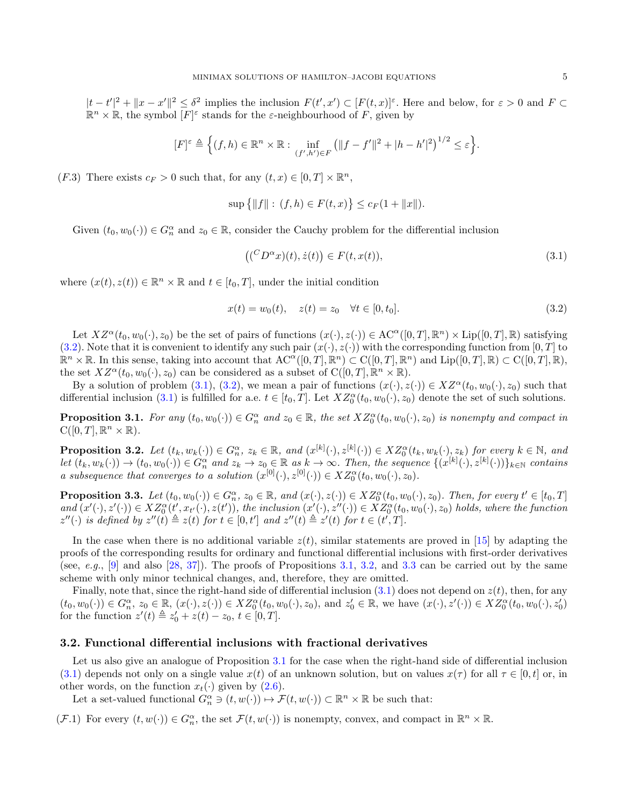$|t-t'|^2 + \|x-x'\|^2 \leq \delta^2$  implies the inclusion  $F(t',x') \subset [F(t,x)]^{\varepsilon}$ . Here and below, for  $\varepsilon > 0$  and  $F \subset$  $\mathbb{R}^n \times \mathbb{R}$ , the symbol  $[F]^\varepsilon$  stands for the  $\varepsilon$ -neighbourhood of F, given by

$$
[F]^{\varepsilon} \triangleq \Big\{ (f,h) \in \mathbb{R}^n \times \mathbb{R} : \inf_{(f',h') \in F} \left( \|f - f'\|^2 + |h - h'|^2 \right)^{1/2} \leq \varepsilon \Big\}.
$$

(*F.3*) There exists  $c_F > 0$  such that, for any  $(t, x) \in [0, T] \times \mathbb{R}^n$ ,

$$
\sup\{|f\|: (f,h)\in F(t,x)\}\leq c_F(1+\|x\|).
$$

Given  $(t_0, w_0(\cdot)) \in G_n^{\alpha}$  and  $z_0 \in \mathbb{R}$ , consider the Cauchy problem for the differential inclusion

<span id="page-4-1"></span>
$$
((^C D^{\alpha} x)(t), \dot{z}(t)) \in F(t, x(t)), \tag{3.1}
$$

where  $(x(t), z(t)) \in \mathbb{R}^n \times \mathbb{R}$  and  $t \in [t_0, T]$ , under the initial condition

<span id="page-4-0"></span>
$$
x(t) = w_0(t), \quad z(t) = z_0 \quad \forall t \in [0, t_0].
$$
\n(3.2)

Let  $XZ^{\alpha}(t_0, w_0(\cdot), z_0)$  be the set of pairs of functions  $(x(\cdot), z(\cdot)) \in \mathrm{AC}^{\alpha}([0, T], \mathbb{R}^n) \times \mathrm{Lip}([0, T], \mathbb{R})$  satisfying [\(3.2\)](#page-4-0). Note that it is convenient to identify any such pair  $(x(\cdot), z(\cdot))$  with the corresponding function from [0, T] to  $\mathbb{R}^n \times \mathbb{R}$ . In this sense, taking into account that  $\mathrm{AC}^{\alpha}([0,T],\mathbb{R}^n) \subset \mathrm{C}([0,T],\mathbb{R}^n)$  and  $\mathrm{Lip}([0,T],\mathbb{R}) \subset \mathrm{C}([0,T],\mathbb{R})$ , the set  $XZ^{\alpha}(t_0, w_0(\cdot), z_0)$  can be considered as a subset of  $C([0, T], \mathbb{R}^n \times \mathbb{R})$ .

By a solution of problem [\(3.1\)](#page-4-1), [\(3.2\)](#page-4-0), we mean a pair of functions  $(x(\cdot), z(\cdot)) \in XZ^{\alpha}(t_0, w_0(\cdot), z_0)$  such that differential inclusion [\(3.1\)](#page-4-1) is fulfilled for a.e.  $t \in [t_0, T]$ . Let  $XZ_0^{\alpha}(t_0, w_0(\cdot), z_0)$  denote the set of such solutions.

<span id="page-4-2"></span>**Proposition 3.1.** For any  $(t_0, w_0(\cdot)) \in G_n^{\alpha}$  and  $z_0 \in \mathbb{R}$ , the set  $XZ_0^{\alpha}(t_0, w_0(\cdot), z_0)$  is nonempty and compact in  $C([0,T],\mathbb{R}^n\times\mathbb{R})$ .

<span id="page-4-3"></span>**Proposition 3.2.** Let  $(t_k, w_k(\cdot)) \in G_n^{\alpha}, z_k \in \mathbb{R}$ , and  $(x^{[k]}(\cdot), z^{[k]}(\cdot)) \in XZ_0^{\alpha}(t_k, w_k(\cdot), z_k)$  for every  $k \in \mathbb{N}$ , and  $let (t_k, w_k(\cdot)) \to (t_0, w_0(\cdot)) \in G_n^{\alpha}$  and  $z_k \to z_0 \in \mathbb{R}$  as  $k \to \infty$ . Then, the sequence  $\{(x^{[k]}(\cdot), z^{[k]}(\cdot))\}_{k \in \mathbb{N}}$  contains a subsequence that converges to a solution  $(x^{[0]}(\cdot), z^{[0]}(\cdot)) \in XZ_0^{\alpha}(t_0, w_0(\cdot), z_0)$ .

<span id="page-4-4"></span>**Proposition 3.3.** Let  $(t_0, w_0(\cdot)) \in G_n^{\alpha}$ ,  $z_0 \in \mathbb{R}$ , and  $(x(\cdot), z(\cdot)) \in XZ_0^{\alpha}(t_0, w_0(\cdot), z_0)$ . Then, for every  $t' \in [t_0, T]$ and  $(x'(\cdot), z'(\cdot)) \in XZ_0^{\alpha}(t', x_{t'}(\cdot), z(t'))$ , the inclusion  $(x'(\cdot), z''(\cdot)) \in XZ_0^{\alpha}(t_0, w_0(\cdot), z_0)$  holds, where the function  $z''(\cdot)$  is defined by  $z''(t) \triangleq z(t)$  for  $t \in [0,t']$  and  $z''(t) \triangleq z'(t)$  for  $t \in (t',T]$ .

In the case when there is no additional variable  $z(t)$ , similar statements are proved in [\[15\]](#page-34-24) by adapting the proofs of the corresponding results for ordinary and functional differential inclusions with first-order derivatives (see, e.g., [\[9\]](#page-34-27) and also [\[28,](#page-34-28) [37\]](#page-35-7)). The proofs of Propositions [3.1,](#page-4-2) [3.2,](#page-4-3) and [3.3](#page-4-4) can be carried out by the same scheme with only minor technical changes, and, therefore, they are omitted.

Finally, note that, since the right-hand side of differential inclusion  $(3.1)$  does not depend on  $z(t)$ , then, for any  $(t_0, w_0(\cdot)) \in G_n^{\alpha}, z_0 \in \mathbb{R}, (x(\cdot), z(\cdot)) \in XZ_0^{\alpha}(t_0, w_0(\cdot), z_0), \text{ and } z'_0 \in \mathbb{R}, \text{ we have } (x(\cdot), z'(\cdot)) \in XZ_0^{\alpha}(t_0, w_0(\cdot), z'_0)$ for the function  $z'(t) \triangleq z'_0 + z(t) - z_0, t \in [0, T]$ .

### 3.2. Functional differential inclusions with fractional derivatives

Let us also give an analogue of Proposition [3.1](#page-4-2) for the case when the right-hand side of differential inclusion [\(3.1\)](#page-4-1) depends not only on a single value  $x(t)$  of an unknown solution, but on values  $x(\tau)$  for all  $\tau \in [0, t]$  or, in other words, on the function  $x_t(\cdot)$  given by  $(2.6)$ .

Let a set-valued functional  $G_n^{\alpha} \ni (t, w(\cdot)) \mapsto \mathcal{F}(t, w(\cdot)) \subset \mathbb{R}^n \times \mathbb{R}$  be such that:

 $(\mathcal{F}.1)$  For every  $(t, w(\cdot)) \in G_n^{\alpha}$ , the set  $\mathcal{F}(t, w(\cdot))$  is nonempty, convex, and compact in  $\mathbb{R}^n \times \mathbb{R}$ .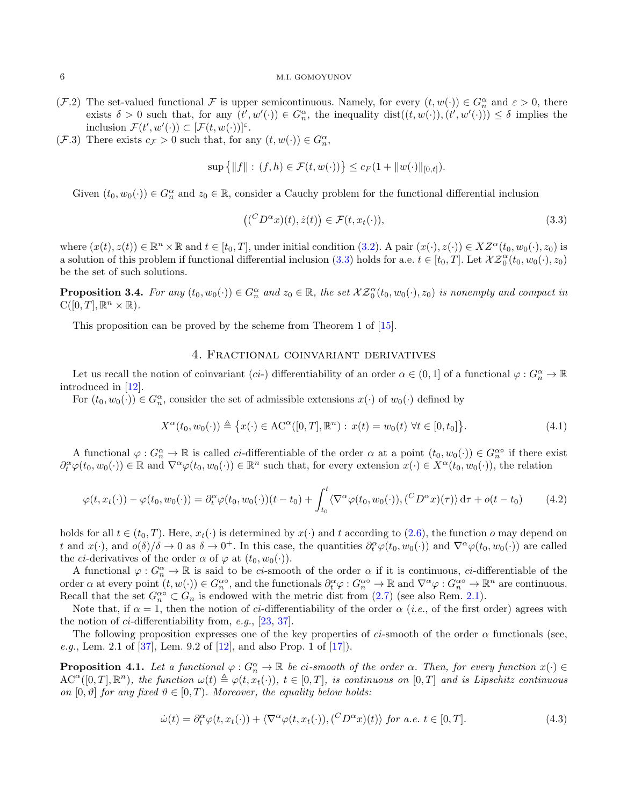- (F.2) The set-valued functional F is upper semicontinuous. Namely, for every  $(t, w(\cdot)) \in G_n^{\alpha}$  and  $\varepsilon > 0$ , there exists  $\delta > 0$  such that, for any  $(t', w'(\cdot)) \in G_n^{\alpha}$ , the inequality  $dist((t, w(\cdot)), (t', w'(\cdot))) \leq \delta$  implies the inclusion  $\mathcal{F}(t', w'(\cdot)) \subset [\mathcal{F}(t, w(\cdot))]^{\varepsilon}$ .
- (*F.3*) There exists  $c_{\mathcal{F}} > 0$  such that, for any  $(t, w(\cdot)) \in G_n^{\alpha}$ ,

$$
\sup \{|f\|: (f,h)\in \mathcal{F}(t,w(\cdot))\}\leq c_F(1+\|w(\cdot)\|_{[0,t]}).
$$

Given  $(t_0, w_0(\cdot)) \in G_n^{\alpha}$  and  $z_0 \in \mathbb{R}$ , consider a Cauchy problem for the functional differential inclusion

<span id="page-5-1"></span>
$$
((^{C}D^{\alpha}x)(t), \dot{z}(t)) \in \mathcal{F}(t, x_t(\cdot)), \qquad (3.3)
$$

where  $(x(t), z(t)) \in \mathbb{R}^n \times \mathbb{R}$  and  $t \in [t_0, T]$ , under initial condition  $(3.2)$ . A pair  $(x(\cdot), z(\cdot)) \in XZ^{\alpha}(t_0, w_0(\cdot), z_0)$  is a solution of this problem if functional differential inclusion [\(3.3\)](#page-5-1) holds for a.e.  $t \in [t_0, T]$ . Let  $\mathcal{XZ}_0^{\alpha}(t_0, w_0(\cdot), z_0)$ be the set of such solutions.

<span id="page-5-4"></span>**Proposition 3.4.** For any  $(t_0, w_0(\cdot)) \in G_n^{\alpha}$  and  $z_0 \in \mathbb{R}$ , the set  $\mathcal{XZ}_0^{\alpha}(t_0, w_0(\cdot), z_0)$  is nonempty and compact in  $C([0,T],\mathbb{R}^n\times\mathbb{R})$ .

This proposition can be proved by the scheme from Theorem 1 of [\[15\]](#page-34-24).

# 4. Fractional coinvariant derivatives

<span id="page-5-0"></span>Let us recall the notion of coinvariant (*ci*-) differentiability of an order  $\alpha \in (0,1]$  of a functional  $\varphi: G_n^{\alpha} \to \mathbb{R}$ introduced in [\[12\]](#page-34-14).

For  $(t_0, w_0(\cdot)) \in G_n^{\alpha}$ , consider the set of admissible extensions  $x(\cdot)$  of  $w_0(\cdot)$  defined by

<span id="page-5-6"></span>
$$
X^{\alpha}(t_0, w_0(\cdot)) \triangleq \{x(\cdot) \in \text{AC}^{\alpha}([0, T], \mathbb{R}^n) : x(t) = w_0(t) \,\,\forall t \in [0, t_0]\}.
$$
\n
$$
(4.1)
$$

A functional  $\varphi: G_n^{\alpha} \to \mathbb{R}$  is called *ci*-differentiable of the order  $\alpha$  at a point  $(t_0, w_0(\cdot)) \in G_n^{\alpha}$  if there exist  $\partial_t^{\alpha}\varphi(t_0,w_0(\cdot))\in\mathbb{R}$  and  $\nabla^{\alpha}\varphi(t_0,w_0(\cdot))\in\mathbb{R}^n$  such that, for every extension  $x(\cdot)\in X^{\alpha}(t_0,w_0(\cdot))$ , the relation

<span id="page-5-2"></span>
$$
\varphi(t, x_t(\cdot)) - \varphi(t_0, w_0(\cdot)) = \partial_t^{\alpha} \varphi(t_0, w_0(\cdot))(t - t_0) + \int_{t_0}^t \langle \nabla^{\alpha} \varphi(t_0, w_0(\cdot)), (\,^C D^{\alpha} x)(\tau) \rangle \, \mathrm{d}\tau + o(t - t_0) \tag{4.2}
$$

holds for all  $t \in (t_0, T)$ . Here,  $x_t(\cdot)$  is determined by  $x(\cdot)$  and t according to [\(2.6\)](#page-2-3), the function o may depend on t and  $x(\cdot)$ , and  $o(\delta)/\delta \to 0$  as  $\delta \to 0^+$ . In this case, the quantities  $\partial_t^{\alpha}\varphi(t_0, w_0(\cdot))$  and  $\nabla^{\alpha}\varphi(t_0, w_0(\cdot))$  are called the *ci*-derivatives of the order  $\alpha$  of  $\varphi$  at  $(t_0, w_0(\cdot))$ .

A functional  $\varphi: G_n^{\alpha} \to \mathbb{R}$  is said to be *ci*-smooth of the order  $\alpha$  if it is continuous, *ci*-differentiable of the order  $\alpha$  at every point  $(t, w(\cdot)) \in G_n^{\alpha} \circ$ , and the functionals  $\partial_t^{\alpha} \varphi : G_n^{\alpha} \circ \to \mathbb{R}$  and  $\nabla^{\alpha} \varphi : G_n^{\alpha} \circ \to \mathbb{R}^n$  are continuous. Recall that the set  $G_n^{\alpha} \subset G_n$  is endowed with the metric dist from  $(2.7)$  (see also Rem. [2.1\)](#page-3-1).

Note that, if  $\alpha = 1$ , then the notion of ci-differentiability of the order  $\alpha$  (i.e., of the first order) agrees with the notion of ci-differentiability from, e.g., [\[23,](#page-34-15) [37\]](#page-35-7).

The following proposition expresses one of the key properties of ci-smooth of the order  $\alpha$  functionals (see, *e.g.*, Lem. 2.1 of [\[37\]](#page-35-7), Lem. 9.2 of [\[12\]](#page-34-14), and also Prop. 1 of [\[17\]](#page-34-19)).

<span id="page-5-5"></span>**Proposition 4.1.** Let a functional  $\varphi: G_n^{\alpha} \to \mathbb{R}$  be ci-smooth of the order  $\alpha$ . Then, for every function  $x(\cdot) \in$  $AC^{\alpha}([0,T],\mathbb{R}^n)$ , the function  $\omega(t) \triangleq \varphi(t,x_t(\cdot))$ ,  $t \in [0,T]$ , is continuous on  $[0,T]$  and is Lipschitz continuous on  $[0, \vartheta]$  for any fixed  $\vartheta \in [0, T)$ . Moreover, the equality below holds:

<span id="page-5-3"></span>
$$
\dot{\omega}(t) = \partial_t^{\alpha} \varphi(t, x_t(\cdot)) + \langle \nabla^{\alpha} \varphi(t, x_t(\cdot)), (\,^C D^{\alpha} x)(t) \rangle \text{ for a.e. } t \in [0, T]. \tag{4.3}
$$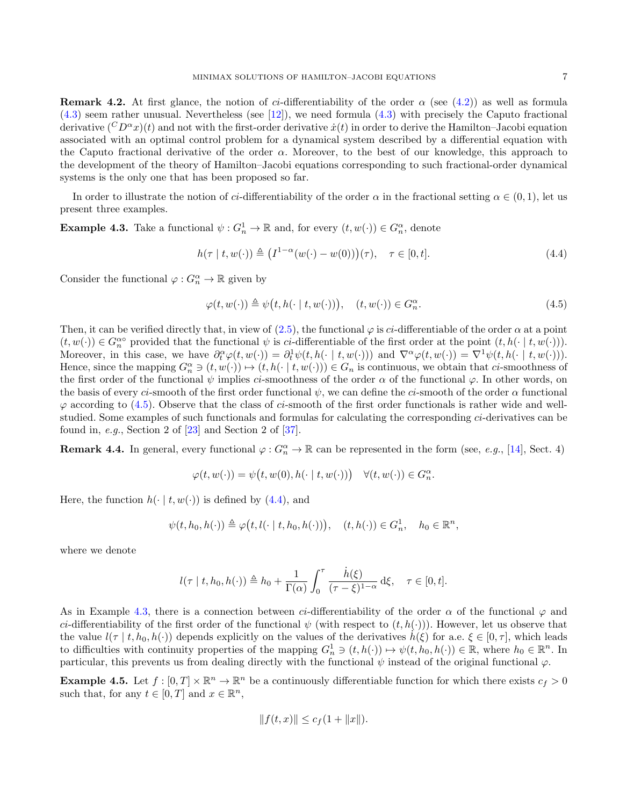**Remark 4.2.** At first glance, the notion of *ci*-differentiability of the order  $\alpha$  (see [\(4.2\)](#page-5-2)) as well as formula [\(4.3\)](#page-5-3) seem rather unusual. Nevertheless (see [\[12\]](#page-34-14)), we need formula [\(4.3\)](#page-5-3) with precisely the Caputo fractional derivative  $({}^C D^{\alpha}x)(t)$  and not with the first-order derivative  $\dot{x}(t)$  in order to derive the Hamilton–Jacobi equation associated with an optimal control problem for a dynamical system described by a differential equation with the Caputo fractional derivative of the order  $\alpha$ . Moreover, to the best of our knowledge, this approach to the development of the theory of Hamilton–Jacobi equations corresponding to such fractional-order dynamical systems is the only one that has been proposed so far.

In order to illustrate the notion of ci-differentiability of the order  $\alpha$  in the fractional setting  $\alpha \in (0,1)$ , let us present three examples.

<span id="page-6-2"></span>**Example 4.3.** Take a functional  $\psi: G_n^1 \to \mathbb{R}$  and, for every  $(t, w(\cdot)) \in G_n^{\alpha}$ , denote

<span id="page-6-1"></span>
$$
h(\tau \mid t, w(\cdot)) \triangleq (I^{1-\alpha}(w(\cdot) - w(0)))(\tau), \quad \tau \in [0, t].
$$
\n
$$
(4.4)
$$

Consider the functional  $\varphi: G_n^{\alpha} \to \mathbb{R}$  given by

<span id="page-6-0"></span>
$$
\varphi(t, w(\cdot)) \triangleq \psi\big(t, h(\cdot \mid t, w(\cdot))\big), \quad (t, w(\cdot)) \in G_n^{\alpha}.
$$
\n
$$
(4.5)
$$

Then, it can be verified directly that, in view of [\(2.5\)](#page-2-4), the functional  $\varphi$  is ci-differentiable of the order  $\alpha$  at a point  $(t, w(\cdot)) \in G_n^{\alpha}$  provided that the functional  $\psi$  is *ci*-differentiable of the first order at the point  $(t, h(\cdot | t, w(\cdot)))$ . Moreover, in this case, we have  $\partial_t^{\alpha} \varphi(t, w(\cdot)) = \partial_t^1 \psi(t, h(\cdot \mid t, w(\cdot)))$  and  $\nabla^{\alpha} \varphi(t, w(\cdot)) = \nabla^1 \psi(t, h(\cdot \mid t, w(\cdot)))$ . Hence, since the mapping  $G_n^{\alpha} \ni (t, w(\cdot)) \mapsto (t, h(\cdot \mid t, w(\cdot))) \in G_n$  is continuous, we obtain that ci-smoothness of the first order of the functional  $\psi$  implies ci-smoothness of the order  $\alpha$  of the functional  $\varphi$ . In other words, on the basis of every ci-smooth of the first order functional  $\psi$ , we can define the ci-smooth of the order  $\alpha$  functional  $\varphi$  according to [\(4.5\)](#page-6-0). Observe that the class of ci-smooth of the first order functionals is rather wide and wellstudied. Some examples of such functionals and formulas for calculating the corresponding ci-derivatives can be found in, e.g., Section 2 of [\[23\]](#page-34-15) and Section 2 of [\[37\]](#page-35-7).

**Remark 4.4.** In general, every functional  $\varphi: G_n^{\alpha} \to \mathbb{R}$  can be represented in the form (see, *e.g.*, [\[14\]](#page-34-29), Sect. 4)

$$
\varphi(t, w(\cdot)) = \psi\big(t, w(0), h(\cdot \mid t, w(\cdot))\big) \quad \forall (t, w(\cdot)) \in G_n^{\alpha}.
$$

Here, the function  $h(\cdot | t, w(\cdot))$  is defined by [\(4.4\)](#page-6-1), and

$$
\psi(t, h_0, h(\cdot)) \triangleq \varphi(t, l(\cdot \mid t, h_0, h(\cdot))), \quad (t, h(\cdot)) \in G_n^1, \quad h_0 \in \mathbb{R}^n,
$$

where we denote

$$
l(\tau \mid t, h_0, h(\cdot)) \triangleq h_0 + \frac{1}{\Gamma(\alpha)} \int_0^{\tau} \frac{\dot{h}(\xi)}{(\tau - \xi)^{1-\alpha}} d\xi, \quad \tau \in [0, t].
$$

As in Example [4.3,](#page-6-2) there is a connection between ci-differentiability of the order  $\alpha$  of the functional  $\varphi$  and ci-differentiability of the first order of the functional  $\psi$  (with respect to  $(t, h(\cdot))$ ). However, let us observe that the value  $l(\tau | t, h_0, h(\cdot))$  depends explicitly on the values of the derivatives  $h(\xi)$  for a.e.  $\xi \in [0, \tau]$ , which leads to difficulties with continuity properties of the mapping  $G_n^1 \ni (t, h(\cdot)) \mapsto \psi(t, h_0, h(\cdot)) \in \mathbb{R}$ , where  $h_0 \in \mathbb{R}^n$ . In particular, this prevents us from dealing directly with the functional  $\psi$  instead of the original functional  $\varphi$ .

<span id="page-6-3"></span>**Example 4.5.** Let  $f : [0, T] \times \mathbb{R}^n \to \mathbb{R}^n$  be a continuously differentiable function for which there exists  $c_f > 0$ such that, for any  $t \in [0, T]$  and  $x \in \mathbb{R}^n$ ,

$$
||f(t,x)|| \leq c_f(1+||x||).
$$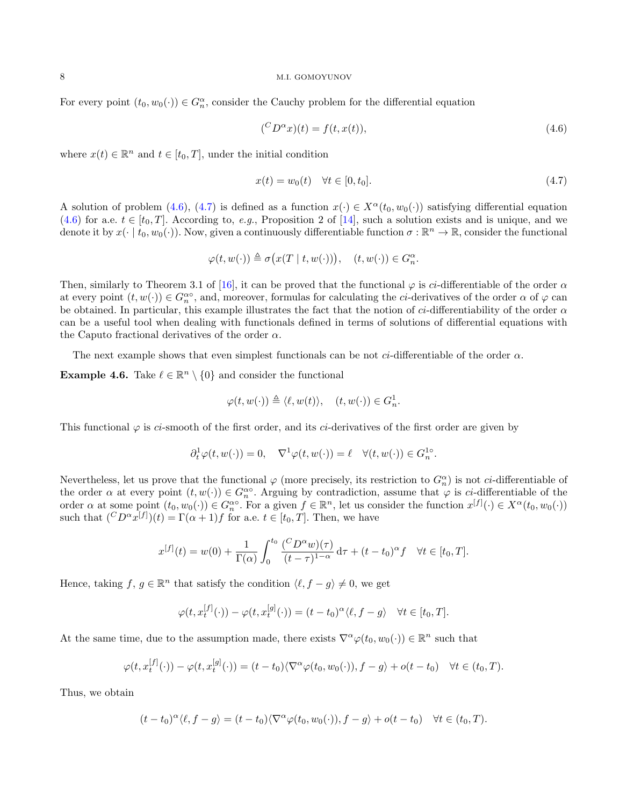For every point  $(t_0, w_0(\cdot)) \in G_n^{\alpha}$ , consider the Cauchy problem for the differential equation

<span id="page-7-0"></span>
$$
\begin{aligned} \binom{C}{L} \alpha x(t) &= f(t, x(t)), \end{aligned} \tag{4.6}
$$

where  $x(t) \in \mathbb{R}^n$  and  $t \in [t_0, T]$ , under the initial condition

<span id="page-7-1"></span>
$$
x(t) = w_0(t) \quad \forall t \in [0, t_0].
$$
\n(4.7)

A solution of problem [\(4.6\)](#page-7-0), [\(4.7\)](#page-7-1) is defined as a function  $x(\cdot) \in X^{\alpha}(t_0, w_0(\cdot))$  satisfying differential equation  $(4.6)$  for a.e.  $t \in [t_0, T]$ . According to, e.g., Proposition 2 of [\[14\]](#page-34-29), such a solution exists and is unique, and we denote it by  $x(\cdot | t_0, w_0(\cdot))$ . Now, given a continuously differentiable function  $\sigma : \mathbb{R}^n \to \mathbb{R}$ , consider the functional

$$
\varphi(t, w(\cdot)) \triangleq \sigma\big(x(T \mid t, w(\cdot))\big), \quad (t, w(\cdot)) \in G_n^{\alpha}.
$$

Then, similarly to Theorem 3.1 of [\[16\]](#page-34-30), it can be proved that the functional  $\varphi$  is ci-differentiable of the order  $\alpha$ at every point  $(t, w(\cdot)) \in G_n^{\alpha}$ , and, moreover, formulas for calculating the *ci*-derivatives of the order  $\alpha$  of  $\varphi$  can be obtained. In particular, this example illustrates the fact that the notion of ci-differentiability of the order  $\alpha$ can be a useful tool when dealing with functionals defined in terms of solutions of differential equations with the Caputo fractional derivatives of the order  $\alpha$ .

The next example shows that even simplest functionals can be not *ci*-differentiable of the order  $\alpha$ .

<span id="page-7-2"></span>**Example 4.6.** Take  $\ell \in \mathbb{R}^n \setminus \{0\}$  and consider the functional

$$
\varphi(t, w(\cdot)) \triangleq \langle \ell, w(t) \rangle, \quad (t, w(\cdot)) \in G_n^1.
$$

This functional  $\varphi$  is ci-smooth of the first order, and its ci-derivatives of the first order are given by

$$
\partial_t^1 \varphi(t, w(\cdot)) = 0, \quad \nabla^1 \varphi(t, w(\cdot)) = \ell \quad \forall (t, w(\cdot)) \in G_n^{1\circ}.
$$

Nevertheless, let us prove that the functional  $\varphi$  (more precisely, its restriction to  $G_n^{\alpha}$ ) is not *ci*-differentiable of the order  $\alpha$  at every point  $(t, w(\cdot)) \in G_n^{\alpha\circ}$ . Arguing by contradiction, assume that  $\varphi$  is *ci*-differentiable of the order  $\alpha$  at some point  $(t_0, w_0(\cdot)) \in G_n^{\alpha \circ}$ . For a given  $f \in \mathbb{R}^n$ , let us consider the function  $x^{[f]}(\cdot) \in X^{\alpha}(t_0, w_0(\cdot))$ such that  $({}^C D^{\alpha} x^{[f]}) (t) = \Gamma(\alpha + 1) f$  for a.e.  $t \in [t_0, T]$ . Then, we have

$$
x^{[f]}(t) = w(0) + \frac{1}{\Gamma(\alpha)} \int_0^{t_0} \frac{(^C D^{\alpha} w)(\tau)}{(t - \tau)^{1-\alpha}} d\tau + (t - t_0)^{\alpha} f \quad \forall t \in [t_0, T].
$$

Hence, taking  $f, g \in \mathbb{R}^n$  that satisfy the condition  $\langle \ell, f - g \rangle \neq 0$ , we get

$$
\varphi(t, x_t^{[f]}(\cdot)) - \varphi(t, x_t^{[g]}(\cdot)) = (t - t_0)^{\alpha} \langle \ell, f - g \rangle \quad \forall t \in [t_0, T].
$$

At the same time, due to the assumption made, there exists  $\nabla^{\alpha}\varphi(t_0, w_0(\cdot)) \in \mathbb{R}^n$  such that

$$
\varphi(t, x_t^{[f]}(\cdot)) - \varphi(t, x_t^{[g]}(\cdot)) = (t - t_0) \langle \nabla^{\alpha} \varphi(t_0, w_0(\cdot)), f - g \rangle + o(t - t_0) \quad \forall t \in (t_0, T).
$$

Thus, we obtain

$$
(t-t_0)^{\alpha}\langle \ell, f-g\rangle = (t-t_0)\langle \nabla^{\alpha}\varphi(t_0,w_0(\cdot)), f-g\rangle + o(t-t_0) \quad \forall t \in (t_0,T).
$$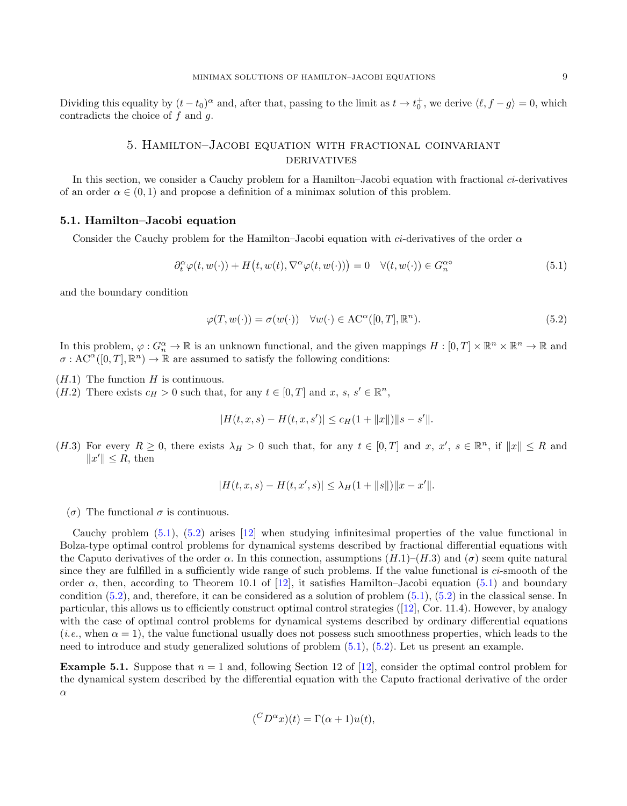Dividing this equality by  $(t - t_0)^\alpha$  and, after that, passing to the limit as  $t \to t_0^+$ , we derive  $\langle \ell, f - g \rangle = 0$ , which contradicts the choice of  $f$  and  $g$ .

# 5. Hamilton–Jacobi equation with fractional coinvariant **DERIVATIVES**

<span id="page-8-0"></span>In this section, we consider a Cauchy problem for a Hamilton–Jacobi equation with fractional ci-derivatives of an order  $\alpha \in (0, 1)$  and propose a definition of a minimax solution of this problem.

### <span id="page-8-3"></span>5.1. Hamilton–Jacobi equation

Consider the Cauchy problem for the Hamilton–Jacobi equation with ci-derivatives of the order  $\alpha$ 

<span id="page-8-1"></span>
$$
\partial_t^{\alpha} \varphi(t, w(\cdot)) + H(t, w(t), \nabla^{\alpha} \varphi(t, w(\cdot))) = 0 \quad \forall (t, w(\cdot)) \in G_n^{\alpha \circ} \tag{5.1}
$$

and the boundary condition

<span id="page-8-2"></span>
$$
\varphi(T, w(\cdot)) = \sigma(w(\cdot)) \quad \forall w(\cdot) \in \text{AC}^{\alpha}([0, T], \mathbb{R}^n). \tag{5.2}
$$

In this problem,  $\varphi: G_n^{\alpha} \to \mathbb{R}$  is an unknown functional, and the given mappings  $H: [0, T] \times \mathbb{R}^n \times \mathbb{R}^n \to \mathbb{R}$  and  $\sigma: AC^{\alpha}([0,T], \mathbb{R}^n) \to \mathbb{R}$  are assumed to satisfy the following conditions:

 $(H.1)$  The function H is continuous.

 $(H.2)$  There exists  $c_H > 0$  such that, for any  $t \in [0, T]$  and  $x, s, s' \in \mathbb{R}^n$ ,

$$
|H(t, x, s) - H(t, x, s')| \leq c_H(1 + ||x||) ||s - s'||.
$$

(H.3) For every  $R \ge 0$ , there exists  $\lambda_H > 0$  such that, for any  $t \in [0, T]$  and  $x, x', s \in \mathbb{R}^n$ , if  $||x|| \le R$  and  $||x'|| \leq R$ , then

$$
|H(t, x, s) - H(t, x', s)| \leq \lambda_H (1 + ||s||) ||x - x'||.
$$

(σ) The functional σ is continuous.

Cauchy problem [\(5.1\)](#page-8-1), [\(5.2\)](#page-8-2) arises [\[12\]](#page-34-14) when studying infinitesimal properties of the value functional in Bolza-type optimal control problems for dynamical systems described by fractional differential equations with the Caputo derivatives of the order  $\alpha$ . In this connection, assumptions  $(H.1)-(H.3)$  and  $(\sigma)$  seem quite natural since they are fulfilled in a sufficiently wide range of such problems. If the value functional is *ci*-smooth of the order  $\alpha$ , then, according to Theorem 10.1 of [\[12\]](#page-34-14), it satisfies Hamilton–Jacobi equation [\(5.1\)](#page-8-1) and boundary condition [\(5.2\)](#page-8-2), and, therefore, it can be considered as a solution of problem [\(5.1\)](#page-8-1), [\(5.2\)](#page-8-2) in the classical sense. In particular, this allows us to efficiently construct optimal control strategies([\[12\]](#page-34-14), Cor. 11.4). However, by analogy with the case of optimal control problems for dynamical systems described by ordinary differential equations (*i.e.*, when  $\alpha = 1$ ), the value functional usually does not possess such smoothness properties, which leads to the need to introduce and study generalized solutions of problem [\(5.1\)](#page-8-1), [\(5.2\)](#page-8-2). Let us present an example.

**Example 5.1.** Suppose that  $n = 1$  and, following Section 12 of [\[12\]](#page-34-14), consider the optimal control problem for the dynamical system described by the differential equation with the Caputo fractional derivative of the order α

$$
({}^C D^{\alpha}x)(t) = \Gamma(\alpha + 1)u(t),
$$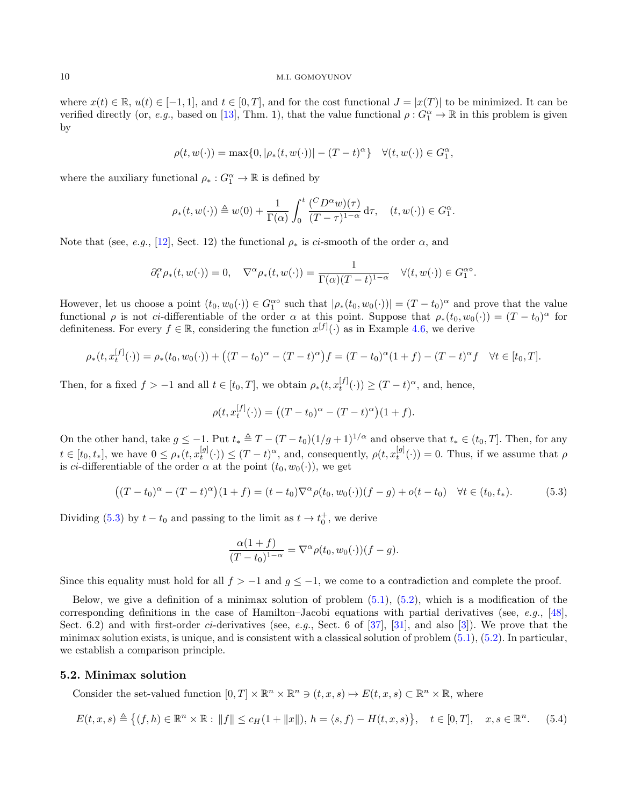where  $x(t) \in \mathbb{R}$ ,  $u(t) \in [-1, 1]$ , and  $t \in [0, T]$ , and for the cost functional  $J = |x(T)|$  to be minimized. It can be verified directly (or, e.g., based on [\[13\]](#page-34-9), Thm. 1), that the value functional  $\rho: G_1^{\alpha} \to \mathbb{R}$  in this problem is given by

$$
\rho(t, w(\cdot)) = \max\{0, |\rho_*(t, w(\cdot))| - (T - t)^{\alpha}\} \quad \forall (t, w(\cdot)) \in G_1^{\alpha},
$$

where the auxiliary functional  $\rho_*: G_1^{\alpha} \to \mathbb{R}$  is defined by

$$
\rho_*(t, w(\cdot)) \triangleq w(0) + \frac{1}{\Gamma(\alpha)} \int_0^t \frac{(C D^{\alpha} w)(\tau)}{(T - \tau)^{1 - \alpha}} d\tau, \quad (t, w(\cdot)) \in G_1^{\alpha}.
$$

Note that (see, e.g., [\[12\]](#page-34-14), Sect. 12) the functional  $\rho_*$  is ci-smooth of the order  $\alpha$ , and

$$
\partial_t^{\alpha} \rho_*(t, w(\cdot)) = 0, \quad \nabla^{\alpha} \rho_*(t, w(\cdot)) = \frac{1}{\Gamma(\alpha)(T - t)^{1 - \alpha}} \quad \forall (t, w(\cdot)) \in G_1^{\alpha \circ}.
$$

However, let us choose a point  $(t_0, w_0(\cdot)) \in G_1^{\alpha}$  such that  $|\rho_*(t_0, w_0(\cdot))| = (T - t_0)^{\alpha}$  and prove that the value functional  $\rho$  is not ci-differentiable of the order  $\alpha$  at this point. Suppose that  $\rho_*(t_0, w_0(\cdot)) = (T - t_0)^{\alpha}$  for definiteness. For every  $f \in \mathbb{R}$ , considering the function  $x^{[f]}(\cdot)$  as in Example [4.6,](#page-7-2) we derive

$$
\rho_*(t, x_t^{[f]}(\cdot)) = \rho_*(t_0, w_0(\cdot)) + ((T - t_0)^{\alpha} - (T - t)^{\alpha})f = (T - t_0)^{\alpha}(1 + f) - (T - t)^{\alpha}f \quad \forall t \in [t_0, T].
$$

Then, for a fixed  $f > -1$  and all  $t \in [t_0, T]$ , we obtain  $\rho_*(t, x_t^{[f]}(\cdot)) \ge (T - t)^{\alpha}$ , and, hence,

$$
\rho(t, x_t^{[f]}(\cdot)) = ((T - t_0)^{\alpha} - (T - t)^{\alpha})(1 + f).
$$

On the other hand, take  $g \le -1$ . Put  $t_* \triangleq T - (T - t_0)(1/g + 1)^{1/\alpha}$  and observe that  $t_* \in (t_0, T]$ . Then, for any  $t \in [t_0, t_*],$  we have  $0 \leq \rho_*(t, x_t^{[g]}(\cdot)) \leq (T-t)^{\alpha}$ , and, consequently,  $\rho(t, x_t^{[g]}(\cdot)) = 0$ . Thus, if we assume that  $\rho$ is *ci*-differentiable of the order  $\alpha$  at the point  $(t_0, w_0(\cdot))$ , we get

<span id="page-9-1"></span>
$$
((T-t_0)^{\alpha} - (T-t)^{\alpha})(1+f) = (t-t_0)\nabla^{\alpha}\rho(t_0, w_0(\cdot))(f-g) + o(t-t_0) \quad \forall t \in (t_0, t_*). \tag{5.3}
$$

Dividing [\(5.3\)](#page-9-1) by  $t - t_0$  and passing to the limit as  $t \to t_0^+$ , we derive

$$
\frac{\alpha(1+f)}{(T-t_0)^{1-\alpha}} = \nabla^{\alpha} \rho(t_0, w_0(\cdot))(f-g).
$$

Since this equality must hold for all  $f > -1$  and  $g \le -1$ , we come to a contradiction and complete the proof.

Below, we give a definition of a minimax solution of problem  $(5.1)$ ,  $(5.2)$ , which is a modification of the corresponding definitions in the case of Hamilton–Jacobi equations with partial derivatives (see, e.g., [\[48\]](#page-35-8), Sect. 6.2) and with first-order *ci*-derivatives (see, *e.g.*, Sect. 6 of [\[37\]](#page-35-7), [\[31\]](#page-34-20), and also [\[3\]](#page-34-22)). We prove that the minimax solution exists, is unique, and is consistent with a classical solution of problem [\(5.1\)](#page-8-1), [\(5.2\)](#page-8-2). In particular, we establish a comparison principle.

### <span id="page-9-0"></span>5.2. Minimax solution

Consider the set-valued function  $[0, T] \times \mathbb{R}^n \times \mathbb{R}^n \ni (t, x, s) \mapsto E(t, x, s) \subset \mathbb{R}^n \times \mathbb{R}$ , where

<span id="page-9-2"></span>
$$
E(t, x, s) \triangleq \{(f, h) \in \mathbb{R}^n \times \mathbb{R} : ||f|| \le c_H(1 + ||x||), h = \langle s, f \rangle - H(t, x, s) \}, \quad t \in [0, T], \quad x, s \in \mathbb{R}^n. \tag{5.4}
$$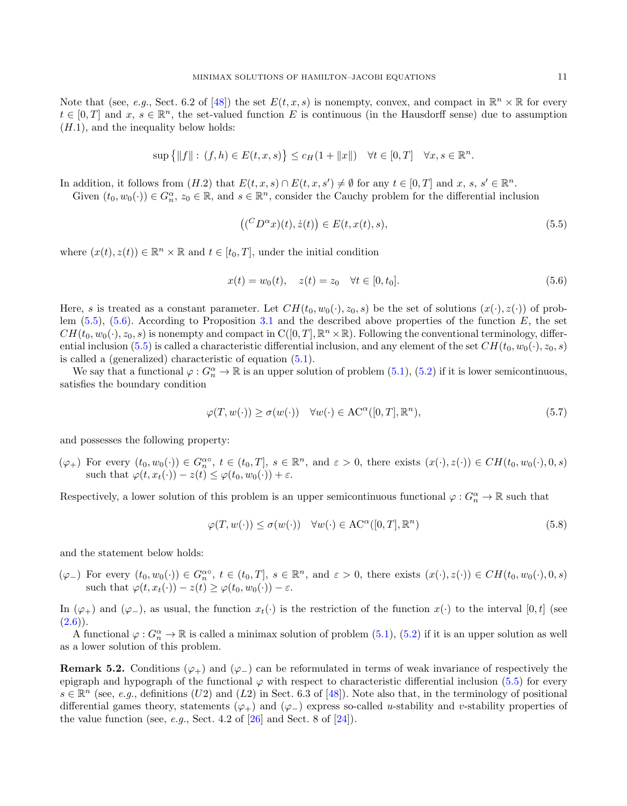Note that (see, e.g., Sect. 6.2 of [\[48\]](#page-35-8)) the set  $E(t, x, s)$  is nonempty, convex, and compact in  $\mathbb{R}^n \times \mathbb{R}$  for every  $t \in [0,T]$  and  $x, s \in \mathbb{R}^n$ , the set-valued function E is continuous (in the Hausdorff sense) due to assumption  $(H.1)$ , and the inequality below holds:

$$
\sup\left\{\|f\|:\,(f,h)\in E(t,x,s)\right\}\le c_H(1+\|x\|)\quad\forall t\in[0,T]\quad\forall x,s\in\mathbb{R}^n.
$$

In addition, it follows from  $(H.2)$  that  $E(t, x, s) \cap E(t, x, s') \neq \emptyset$  for any  $t \in [0, T]$  and  $x, s, s' \in \mathbb{R}^n$ .

Given  $(t_0, w_0(\cdot)) \in G_n^{\alpha}, z_0 \in \mathbb{R}$ , and  $s \in \mathbb{R}^n$ , consider the Cauchy problem for the differential inclusion

<span id="page-10-0"></span>
$$
((^C D^\alpha x)(t), \dot{z}(t)) \in E(t, x(t), s), \tag{5.5}
$$

where  $(x(t), z(t)) \in \mathbb{R}^n \times \mathbb{R}$  and  $t \in [t_0, T]$ , under the initial condition

<span id="page-10-1"></span>
$$
x(t) = w_0(t), \quad z(t) = z_0 \quad \forall t \in [0, t_0]. \tag{5.6}
$$

Here, s is treated as a constant parameter. Let  $CH(t_0, w_0(\cdot), z_0, s)$  be the set of solutions  $(x(\cdot), z(\cdot))$  of problem  $(5.5)$ ,  $(5.6)$ . According to Proposition [3.1](#page-4-2) and the described above properties of the function E, the set  $CH(t_0, w_0(\cdot), z_0, s)$  is nonempty and compact in  $C([0, T], \mathbb{R}^n \times \mathbb{R})$ . Following the conventional terminology, differ-ential inclusion [\(5.5\)](#page-10-0) is called a characteristic differential inclusion, and any element of the set  $CH(t_0, w_0(\cdot), z_0, s)$ is called a (generalized) characteristic of equation [\(5.1\)](#page-8-1).

We say that a functional  $\varphi: G_n^{\alpha} \to \mathbb{R}$  is an upper solution of problem  $(5.1)$ ,  $(5.2)$  if it is lower semicontinuous, satisfies the boundary condition

<span id="page-10-2"></span>
$$
\varphi(T, w(\cdot)) \ge \sigma(w(\cdot)) \quad \forall w(\cdot) \in \text{AC}^{\alpha}([0, T], \mathbb{R}^n),\tag{5.7}
$$

and possesses the following property:

 $(\varphi_+)$  For every  $(t_0, w_0(\cdot)) \in G_n^{\alpha}$ ,  $t \in (t_0, T]$ ,  $s \in \mathbb{R}^n$ , and  $\varepsilon > 0$ , there exists  $(x(\cdot), z(\cdot)) \in CH(t_0, w_0(\cdot), 0, s)$ such that  $\varphi(t, x_t(\cdot)) - z(t) \leq \varphi(t_0, w_0(\cdot)) + \varepsilon$ .

Respectively, a lower solution of this problem is an upper semicontinuous functional  $\varphi: G_n^{\alpha} \to \mathbb{R}$  such that

<span id="page-10-3"></span>
$$
\varphi(T, w(\cdot)) \le \sigma(w(\cdot)) \quad \forall w(\cdot) \in \text{AC}^{\alpha}([0, T], \mathbb{R}^n)
$$
\n(5.8)

and the statement below holds:

 $(\varphi_{-})$  For every  $(t_0, w_0(\cdot)) \in G_n^{\alpha\circ}$ ,  $t \in (t_0, T]$ ,  $s \in \mathbb{R}^n$ , and  $\varepsilon > 0$ , there exists  $(x(\cdot), z(\cdot)) \in CH(t_0, w_0(\cdot), 0, s)$ such that  $\varphi(t, x_t(\cdot)) - z(t) \geq \varphi(t_0, w_0(\cdot)) - \varepsilon$ .

In  $(\varphi_+)$  and  $(\varphi_-)$ , as usual, the function  $x_t(\cdot)$  is the restriction of the function  $x(\cdot)$  to the interval  $[0, t]$  (see  $(2.6)$ .

A functional  $\varphi: G_n^{\alpha} \to \mathbb{R}$  is called a minimax solution of problem  $(5.1)$ ,  $(5.2)$  if it is an upper solution as well as a lower solution of this problem.

**Remark 5.2.** Conditions  $(\varphi_+)$  and  $(\varphi_-)$  can be reformulated in terms of weak invariance of respectively the epigraph and hypograph of the functional  $\varphi$  with respect to characteristic differential inclusion [\(5.5\)](#page-10-0) for every  $s \in \mathbb{R}^n$  (see, e.g., definitions (U2) and (L2) in Sect. 6.3 of [\[48\]](#page-35-8)). Note also that, in the terminology of positional differential games theory, statements  $(\varphi_+)$  and  $(\varphi_-)$  express so-called u-stability and v-stability properties of the value function (see, e.g., Sect. 4.2 of  $[26]$  and Sect. 8 of  $[24]$ ).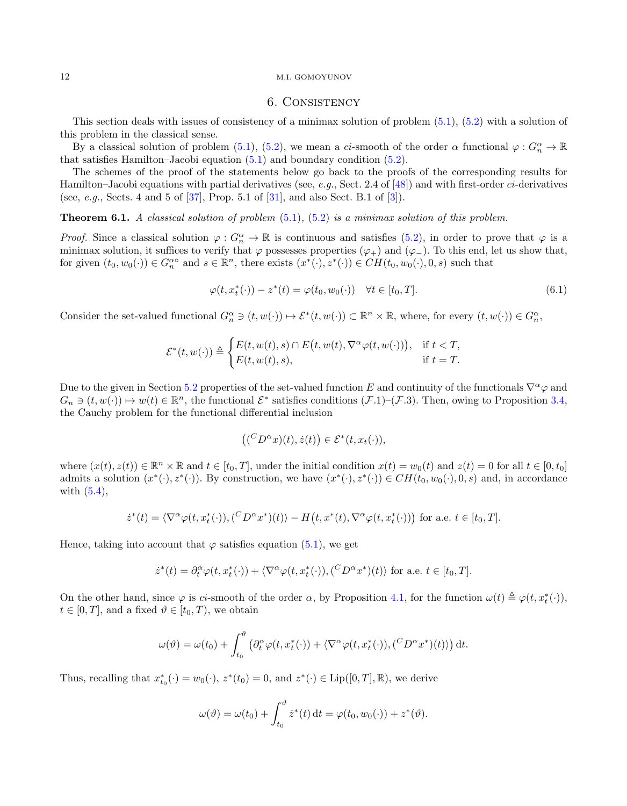### 6. Consistency

<span id="page-11-0"></span>This section deals with issues of consistency of a minimax solution of problem [\(5.1\)](#page-8-1), [\(5.2\)](#page-8-2) with a solution of this problem in the classical sense.

By a classical solution of problem [\(5.1\)](#page-8-1), [\(5.2\)](#page-8-2), we mean a ci-smooth of the order  $\alpha$  functional  $\varphi: G_n^{\alpha} \to \mathbb{R}$ that satisfies Hamilton–Jacobi equation [\(5.1\)](#page-8-1) and boundary condition [\(5.2\)](#page-8-2).

The schemes of the proof of the statements below go back to the proofs of the corresponding results for Hamilton–Jacobi equations with partial derivatives (see, e.g., Sect. 2.4 of [\[48\]](#page-35-8)) and with first-order ci-derivatives (see, *e.g.*, Sects. 4 and 5 of  $[37]$ , Prop. 5.1 of  $[31]$ , and also Sect. B.1 of  $[3]$ ).

<span id="page-11-2"></span>**Theorem 6.1.** A classical solution of problem  $(5.1)$ ,  $(5.2)$  is a minimax solution of this problem.

*Proof.* Since a classical solution  $\varphi: G_n^{\alpha} \to \mathbb{R}$  is continuous and satisfies [\(5.2\)](#page-8-2), in order to prove that  $\varphi$  is a minimax solution, it suffices to verify that  $\varphi$  possesses properties  $(\varphi_+)$  and  $(\varphi_-)$ . To this end, let us show that, for given  $(t_0, w_0(\cdot)) \in G_n^{\alpha}$  and  $s \in \mathbb{R}^n$ , there exists  $(x^*(\cdot), z^*(\cdot)) \in CH(t_0, w_0(\cdot), 0, s)$  such that

<span id="page-11-1"></span>
$$
\varphi(t, x_t^*(\cdot)) - z^*(t) = \varphi(t_0, w_0(\cdot)) \quad \forall t \in [t_0, T].
$$
\n
$$
(6.1)
$$

Consider the set-valued functional  $G_n^{\alpha} \ni (t, w(\cdot)) \mapsto \mathcal{E}^*(t, w(\cdot)) \subset \mathbb{R}^n \times \mathbb{R}$ , where, for every  $(t, w(\cdot)) \in G_n^{\alpha}$ ,

$$
\mathcal{E}^*(t, w(\cdot)) \triangleq \begin{cases} E(t, w(t), s) \cap E(t, w(t), \nabla^{\alpha} \varphi(t, w(\cdot))), & \text{if } t < T, \\ E(t, w(t), s), & \text{if } t = T. \end{cases}
$$

Due to the given in Section [5.2](#page-9-0) properties of the set-valued function E and continuity of the functionals  $\nabla^{\alpha}\varphi$  and  $G_n \ni (t, w(\cdot)) \mapsto w(t) \in \mathbb{R}^n$ , the functional  $\mathcal{E}^*$  satisfies conditions  $(\mathcal{F}.1)$ – $(\mathcal{F}.3)$ . Then, owing to Proposition [3.4,](#page-5-4) the Cauchy problem for the functional differential inclusion

$$
((^{C}D^{\alpha}x)(t), \dot{z}(t)) \in \mathcal{E}^{*}(t, x_{t}(\cdot)),
$$

where  $(x(t), z(t)) \in \mathbb{R}^n \times \mathbb{R}$  and  $t \in [t_0, T]$ , under the initial condition  $x(t) = w_0(t)$  and  $z(t) = 0$  for all  $t \in [0, t_0]$ admits a solution  $(x^*(\cdot), z^*(\cdot))$ . By construction, we have  $(x^*(\cdot), z^*(\cdot)) \in CH(t_0, w_0(\cdot), 0, s)$  and, in accordance with [\(5.4\)](#page-9-2),

$$
\dot{z}^*(t) = \langle \nabla^{\alpha} \varphi(t, x_t^*(\cdot)), (\mathcal{C}D^{\alpha} x^*)(t) \rangle - H(t, x^*(t), \nabla^{\alpha} \varphi(t, x_t^*(\cdot))) \text{ for a.e. } t \in [t_0, T].
$$

Hence, taking into account that  $\varphi$  satisfies equation [\(5.1\)](#page-8-1), we get

$$
\dot{z}^*(t) = \partial_t^{\alpha} \varphi(t, x_t^*(\cdot)) + \langle \nabla^{\alpha} \varphi(t, x_t^*(\cdot)), (\mathcal{C}D^{\alpha} x^*)(t) \rangle \text{ for a.e. } t \in [t_0, T].
$$

On the other hand, since  $\varphi$  is ci-smooth of the order  $\alpha$ , by Proposition [4.1,](#page-5-5) for the function  $\omega(t) \triangleq \varphi(t, x_t^*(\cdot))$ ,  $t \in [0, T]$ , and a fixed  $\vartheta \in [t_0, T)$ , we obtain

$$
\omega(\vartheta) = \omega(t_0) + \int_{t_0}^{\vartheta} \left( \partial_t^{\alpha} \varphi(t, x_t^*(\cdot)) + \langle \nabla^{\alpha} \varphi(t, x_t^*(\cdot)), (\,^C D^{\alpha} x^*)(t) \rangle \right) dt.
$$

Thus, recalling that  $x_{t_0}^*(\cdot) = w_0(\cdot), z^*(t_0) = 0$ , and  $z^*(\cdot) \in \text{Lip}([0, T], \mathbb{R})$ , we derive

$$
\omega(\vartheta) = \omega(t_0) + \int_{t_0}^{\vartheta} \dot{z}^*(t) dt = \varphi(t_0, w_0(\cdot)) + z^*(\vartheta).
$$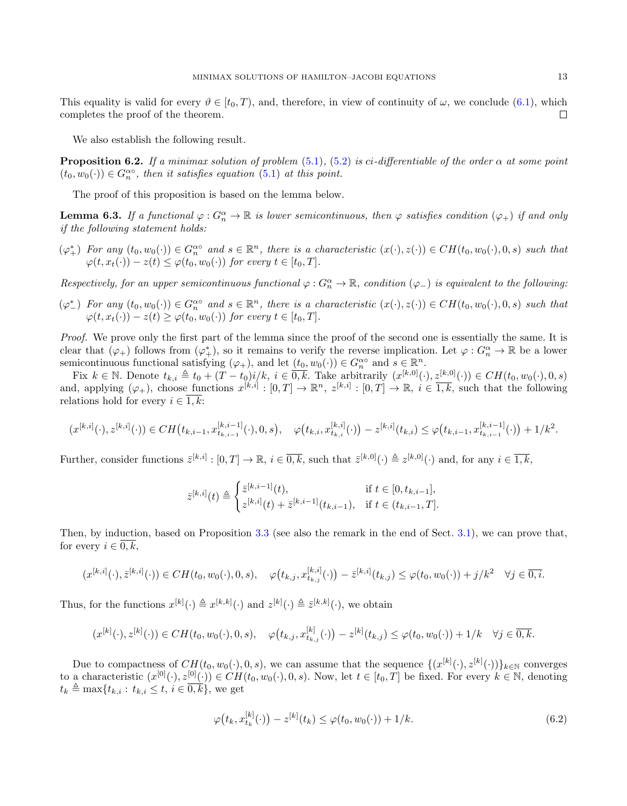This equality is valid for every  $\vartheta \in [t_0, T)$ , and, therefore, in view of continuity of  $\omega$ , we conclude [\(6.1\)](#page-11-1), which completes the proof of the theorem.  $\Box$ 

We also establish the following result.

<span id="page-12-1"></span>**Proposition 6.2.** If a minimax solution of problem [\(5.1\)](#page-8-1), [\(5.2\)](#page-8-2) is ci-differentiable of the order  $\alpha$  at some point  $(t_0, w_0(\cdot)) \in G_n^{\alpha\circ}$ , then it satisfies equation [\(5.1\)](#page-8-1) at this point.

The proof of this proposition is based on the lemma below.

**Lemma 6.3.** If a functional  $\varphi: G_n^{\alpha} \to \mathbb{R}$  is lower semicontinuous, then  $\varphi$  satisfies condition  $(\varphi_+)$  if and only if the following statement holds:

 $(\varphi^*_+)$  For any  $(t_0, w_0(\cdot)) \in G_n^{\alpha}$  and  $s \in \mathbb{R}^n$ , there is a characteristic  $(x(\cdot), z(\cdot)) \in CH(t_0, w_0(\cdot), 0, s)$  such that  $\varphi(t, x_t(\cdot)) - z(t) \leq \varphi(t_0, w_0(\cdot))$  for every  $t \in [t_0, T]$ .

Respectively, for an upper semicontinuous functional  $\varphi: G_n^{\alpha} \to \mathbb{R}$ , condition  $(\varphi_-)$  is equivalent to the following:

 $(\varphi_{-}^*)$  For any  $(t_0, w_0(\cdot)) \in G_n^{\alpha}$  and  $s \in \mathbb{R}^n$ , there is a characteristic  $(x(\cdot), z(\cdot)) \in CH(t_0, w_0(\cdot), 0, s)$  such that  $\varphi(t, x_t(\cdot)) - z(t) \geq \varphi(t_0, w_0(\cdot))$  for every  $t \in [t_0, T]$ .

Proof. We prove only the first part of the lemma since the proof of the second one is essentially the same. It is clear that  $(\varphi_+)$  follows from  $(\varphi_+^*)$ , so it remains to verify the reverse implication. Let  $\varphi: G_n^{\alpha} \to \mathbb{R}$  be a lower semicontinuous functional satisfying  $(\varphi_+)$ , and let  $(t_0, w_0(\cdot)) \in G_n^{\alpha}$  and  $s \in \mathbb{R}^n$ .

Fix  $k \in \mathbb{N}$ . Denote  $t_{k,i} \triangleq t_0 + (T - t_0)i/k$ ,  $i \in \overline{0,k}$ . Take arbitrarily  $(x^{[k,0]}(\cdot), z^{[k,0]}(\cdot)) \in CH(t_0, w_0(\cdot), 0, s)$ and, applying  $(\varphi_+)$ , choose functions  $x^{[k,i]} : [0,T] \to \mathbb{R}^n$ ,  $z^{[k,i]} : [0,T] \to \mathbb{R}$ ,  $i \in \overline{1,k}$ , such that the following relations hold for every  $i \in \overline{1,k}$ :

$$
(x^{[k,i]}(\cdot), z^{[k,i]}(\cdot)) \in CH(t_{k,i-1}, x^{[k,i-1]}_{t_{k,i-1}}(\cdot), 0, s), \quad \varphi(t_{k,i}, x^{[k,i]}_{t_{k,i}}(\cdot)) - z^{[k,i]}(t_{k,i}) \leq \varphi(t_{k,i-1}, x^{[k,i-1]}_{t_{k,i-1}}(\cdot)) + 1/k^2.
$$

Further, consider functions  $\bar{z}^{[k,i]} : [0,T] \to \mathbb{R}$ ,  $i \in \overline{0,k}$ , such that  $\bar{z}^{[k,0]}(\cdot) \triangleq z^{[k,0]}(\cdot)$  and, for any  $i \in \overline{1,k}$ ,

$$
\bar{z}^{[k,i]}(t) \triangleq \begin{cases} \bar{z}^{[k,i-1]}(t), & \text{if } t \in [0, t_{k,i-1}],\\ z^{[k,i]}(t) + \bar{z}^{[k,i-1]}(t_{k,i-1}), & \text{if } t \in (t_{k,i-1}, T]. \end{cases}
$$

Then, by induction, based on Proposition [3.3](#page-4-4) (see also the remark in the end of Sect. [3.1\)](#page-3-2), we can prove that, for every  $i \in \overline{0, k}$ ,

$$
(x^{[k,i]}(\cdot),\bar{z}^{[k,i]}(\cdot)) \in CH(t_0, w_0(\cdot), 0, s), \quad \varphi(t_{k,j}, x^{[k,i]}_{t_{k,j}}(\cdot)) - \bar{z}^{[k,i]}(t_{k,j}) \leq \varphi(t_0, w_0(\cdot)) + j/k^2 \quad \forall j \in \overline{0, i}.
$$

Thus, for the functions  $x^{[k]}(\cdot) \triangleq x^{[k,k]}(\cdot)$  and  $z^{[k]}(\cdot) \triangleq \overline{z}^{[k,k]}(\cdot)$ , we obtain

$$
(x^{[k]}(\cdot), z^{[k]}(\cdot)) \in CH(t_0, w_0(\cdot), 0, s), \quad \varphi(t_{k,j}, x^{[k]}_{t_{k,j}}(\cdot)) - z^{[k]}(t_{k,j}) \leq \varphi(t_0, w_0(\cdot)) + 1/k \quad \forall j \in \overline{0, k}.
$$

Due to compactness of  $CH(t_0, w_0(\cdot), 0, s)$ , we can assume that the sequence  $\{(x^{[k]}(\cdot), z^{[k]}(\cdot))\}_{k\in\mathbb{N}}$  converges to a characteristic  $(x^{[0]}(\cdot), z^{[0]}(\cdot)) \in CH(t_0, w_0(\cdot), 0, s)$ . Now, let  $t \in [t_0, T]$  be fixed. For every  $k \in \mathbb{N}$ , denoting  $t_k \triangleq \max\{t_{k,i} : t_{k,i} \leq t, i \in \overline{0,k}\},\$ we get

<span id="page-12-0"></span>
$$
\varphi(t_k, x_{t_k}^{[k]}(\cdot)) - z^{[k]}(t_k) \le \varphi(t_0, w_0(\cdot)) + 1/k. \tag{6.2}
$$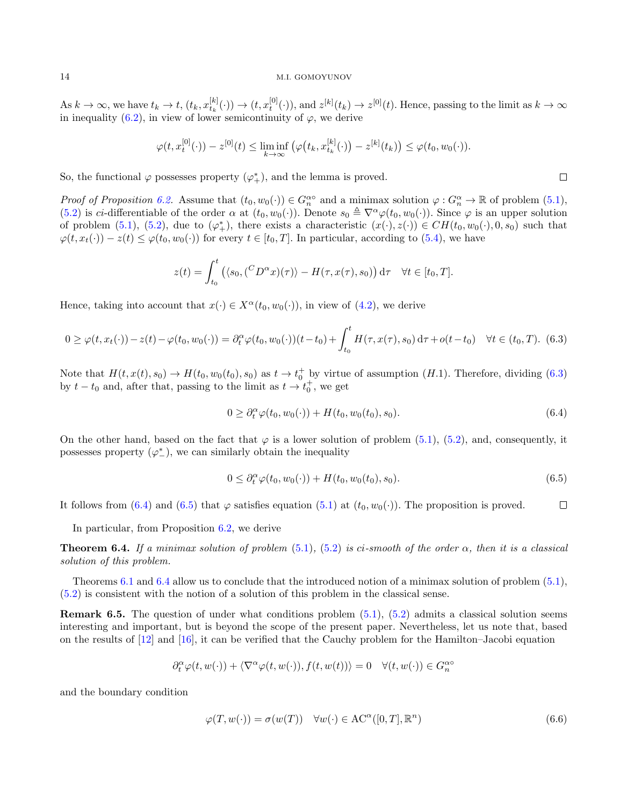As  $k \to \infty$ , we have  $t_k \to t$ ,  $(t_k, x_{t_k}^{[k]}(\cdot)) \to (t, x_t^{[0]}(\cdot))$ , and  $z^{[k]}(t_k) \to z^{[0]}(t)$ . Hence, passing to the limit as  $k \to \infty$ in inequality [\(6.2\)](#page-12-0), in view of lower semicontinuity of  $\varphi$ , we derive

$$
\varphi(t, x_t^{[0]}(\cdot)) - z^{[0]}(t) \le \liminf_{k \to \infty} (\varphi(t_k, x_{t_k}^{[k]}(\cdot)) - z^{[k]}(t_k)) \le \varphi(t_0, w_0(\cdot)).
$$

So, the functional  $\varphi$  possesses property  $(\varphi^*_{+})$ , and the lemma is proved.

Proof of Proposition [6.2.](#page-12-1) Assume that  $(t_0, w_0(\cdot)) \in G_n^{\alpha}$  and a minimax solution  $\varphi : G_n^{\alpha} \to \mathbb{R}$  of problem  $(5.1)$ , [\(5.2\)](#page-8-2) is ci-differentiable of the order  $\alpha$  at  $(t_0, w_0(\cdot))$ . Denote  $s_0 \triangleq \nabla^{\alpha} \varphi(t_0, w_0(\cdot))$ . Since  $\varphi$  is an upper solution of problem  $(5.1)$ ,  $(5.2)$ , due to  $(\varphi^*_{+})$ , there exists a characteristic  $(x(\cdot), z(\cdot)) \in CH(t_0, w_0(\cdot), 0, s_0)$  such that  $\varphi(t, x_t(\cdot)) - z(t) \leq \varphi(t_0, w_0(\cdot))$  for every  $t \in [t_0, T]$ . In particular, according to [\(5.4\)](#page-9-2), we have

$$
z(t) = \int_{t_0}^t \left( \langle s_0, (^C D^\alpha x)(\tau) \rangle - H(\tau, x(\tau), s_0) \right) d\tau \quad \forall t \in [t_0, T].
$$

Hence, taking into account that  $x(\cdot) \in X^{\alpha}(t_0, w_0(\cdot))$ , in view of [\(4.2\)](#page-5-2), we derive

<span id="page-13-0"></span>
$$
0 \ge \varphi(t, x_t(\cdot)) - z(t) - \varphi(t_0, w_0(\cdot)) = \partial_t^{\alpha} \varphi(t_0, w_0(\cdot))(t - t_0) + \int_{t_0}^t H(\tau, x(\tau), s_0) d\tau + o(t - t_0) \quad \forall t \in (t_0, T). \tag{6.3}
$$

Note that  $H(t, x(t), s_0) \to H(t_0, w_0(t_0), s_0)$  as  $t \to t_0^+$  by virtue of assumption  $(H.1)$ . Therefore, dividing  $(6.3)$ by  $t - t_0$  and, after that, passing to the limit as  $t \to t_0^+$ , we get

<span id="page-13-1"></span>
$$
0 \geq \partial_t^{\alpha} \varphi(t_0, w_0(\cdot)) + H(t_0, w_0(t_0), s_0). \tag{6.4}
$$

On the other hand, based on the fact that  $\varphi$  is a lower solution of problem [\(5.1\)](#page-8-1), [\(5.2\)](#page-8-2), and, consequently, it possesses property  $(\varphi_{-}^*)$ , we can similarly obtain the inequality

<span id="page-13-2"></span>
$$
0 \leq \partial_t^{\alpha} \varphi(t_0, w_0(\cdot)) + H(t_0, w_0(t_0), s_0). \tag{6.5}
$$

It follows from [\(6.4\)](#page-13-1) and [\(6.5\)](#page-13-2) that  $\varphi$  satisfies equation [\(5.1\)](#page-8-1) at  $(t_0, w_0(\cdot))$ . The proposition is proved.  $\Box$ 

In particular, from Proposition [6.2,](#page-12-1) we derive

<span id="page-13-3"></span>**Theorem 6.4.** If a minimax solution of problem [\(5.1\)](#page-8-1), [\(5.2\)](#page-8-2) is ci-smooth of the order  $\alpha$ , then it is a classical solution of this problem.

Theorems [6.1](#page-11-2) and [6.4](#page-13-3) allow us to conclude that the introduced notion of a minimax solution of problem [\(5.1\)](#page-8-1), [\(5.2\)](#page-8-2) is consistent with the notion of a solution of this problem in the classical sense.

Remark 6.5. The question of under what conditions problem [\(5.1\)](#page-8-1), [\(5.2\)](#page-8-2) admits a classical solution seems interesting and important, but is beyond the scope of the present paper. Nevertheless, let us note that, based on the results of [\[12\]](#page-34-14) and [\[16\]](#page-34-30), it can be verified that the Cauchy problem for the Hamilton–Jacobi equation

$$
\partial_t^\alpha \varphi(t,w(\cdot))+\langle \nabla^\alpha \varphi(t,w(\cdot)),f(t,w(t))\rangle=0 \quad \forall (t,w(\cdot))\in G_n^{\alpha\circ}
$$

and the boundary condition

<span id="page-13-4"></span>
$$
\varphi(T, w(\cdot)) = \sigma(w(T)) \quad \forall w(\cdot) \in \text{AC}^{\alpha}([0, T], \mathbb{R}^n)
$$
\n(6.6)

 $\Box$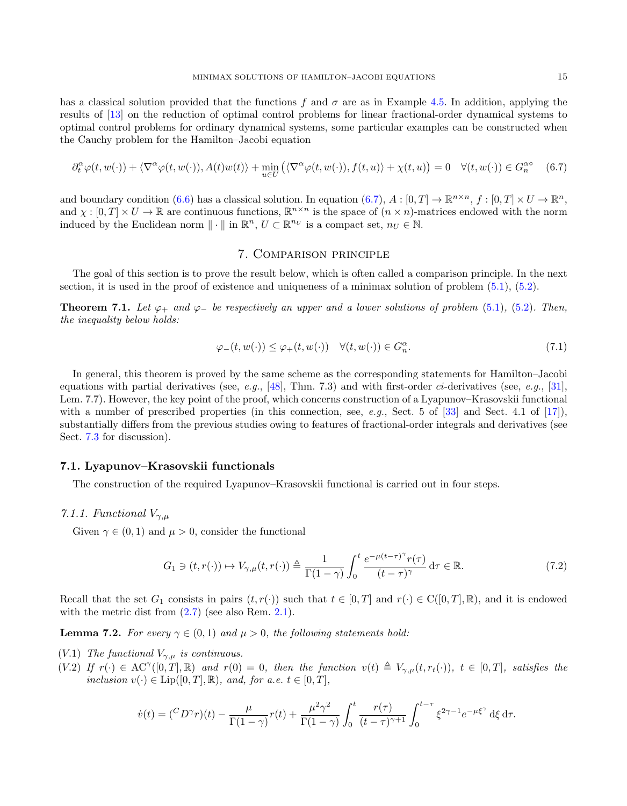has a classical solution provided that the functions f and  $\sigma$  are as in Example [4.5.](#page-6-3) In addition, applying the results of [\[13\]](#page-34-9) on the reduction of optimal control problems for linear fractional-order dynamical systems to optimal control problems for ordinary dynamical systems, some particular examples can be constructed when the Cauchy problem for the Hamilton–Jacobi equation

<span id="page-14-1"></span>
$$
\partial_t^{\alpha} \varphi(t, w(\cdot)) + \langle \nabla^{\alpha} \varphi(t, w(\cdot)), A(t) w(t) \rangle + \min_{u \in U} \left( \langle \nabla^{\alpha} \varphi(t, w(\cdot)), f(t, u) \rangle + \chi(t, u) \right) = 0 \quad \forall (t, w(\cdot)) \in G_n^{\alpha} \tag{6.7}
$$

and boundary condition [\(6.6\)](#page-13-4) has a classical solution. In equation [\(6.7\)](#page-14-1),  $A : [0, T] \to \mathbb{R}^{n \times n}$ ,  $f : [0, T] \times U \to \mathbb{R}^n$ , and  $\chi : [0, T] \times U \to \mathbb{R}$  are continuous functions,  $\mathbb{R}^{n \times n}$  is the space of  $(n \times n)$ -matrices endowed with the norm induced by the Euclidean norm  $\|\cdot\|$  in  $\mathbb{R}^n$ ,  $U \subset \mathbb{R}^{n_U}$  is a compact set,  $n_U \in \mathbb{N}$ .

## 7. Comparison principle

<span id="page-14-0"></span>The goal of this section is to prove the result below, which is often called a comparison principle. In the next section, it is used in the proof of existence and uniqueness of a minimax solution of problem  $(5.1)$ ,  $(5.2)$ .

<span id="page-14-3"></span>**Theorem 7.1.** Let  $\varphi_+$  and  $\varphi_-$  be respectively an upper and a lower solutions of problem [\(5.1\)](#page-8-1), [\(5.2\)](#page-8-2). Then, the inequality below holds:

<span id="page-14-4"></span>
$$
\varphi_{-}(t, w(\cdot)) \le \varphi_{+}(t, w(\cdot)) \quad \forall (t, w(\cdot)) \in G_n^{\alpha}.
$$
\n
$$
(7.1)
$$

In general, this theorem is proved by the same scheme as the corresponding statements for Hamilton–Jacobi equations with partial derivatives (see, e.g., [\[48\]](#page-35-8), Thm. 7.3) and with first-order ci-derivatives (see, e.g., [\[31\]](#page-34-20), Lem. 7.7). However, the key point of the proof, which concerns construction of a Lyapunov–Krasovskii functional with a number of prescribed properties (in this connection, see, e.g., Sect. 5 of  $[33]$  and Sect. 4.1 of  $[17]$ ), substantially differs from the previous studies owing to features of fractional-order integrals and derivatives (see Sect. [7.3](#page-30-0) for discussion).

### 7.1. Lyapunov–Krasovskii functionals

The construction of the required Lyapunov–Krasovskii functional is carried out in four steps.

### 7.1.1. Functional  $V_{\gamma,\mu}$

Given  $\gamma \in (0,1)$  and  $\mu > 0$ , consider the functional

<span id="page-14-2"></span>
$$
G_1 \ni (t, r(\cdot)) \mapsto V_{\gamma,\mu}(t, r(\cdot)) \triangleq \frac{1}{\Gamma(1-\gamma)} \int_0^t \frac{e^{-\mu(t-\tau)^{\gamma}} r(\tau)}{(t-\tau)^{\gamma}} d\tau \in \mathbb{R}.
$$
 (7.2)

Recall that the set  $G_1$  consists in pairs  $(t, r(\cdot))$  such that  $t \in [0, T]$  and  $r(\cdot) \in C([0, T], \mathbb{R})$ , and it is endowed with the metric dist from  $(2.7)$  (see also Rem. [2.1\)](#page-3-1).

**Lemma 7.2.** For every  $\gamma \in (0,1)$  and  $\mu > 0$ , the following statements hold:

- (V.1) The functional  $V_{\gamma,\mu}$  is continuous.
- $(V.2)$  If  $r(\cdot) \in \mathrm{AC}^{\gamma}([0,T],\mathbb{R})$  and  $r(0) = 0$ , then the function  $v(t) \triangleq V_{\gamma,\mu}(t,r_t(\cdot))$ ,  $t \in [0,T]$ , satisfies the inclusion  $v(\cdot) \in \text{Lip}([0,T], \mathbb{R})$ , and, for a.e.  $t \in [0, T]$ ,

$$
\dot{v}(t) = \left(\frac{C D^{\gamma} r}{t}\right)(t) - \frac{\mu}{\Gamma(1-\gamma)} r(t) + \frac{\mu^2 \gamma^2}{\Gamma(1-\gamma)} \int_0^t \frac{r(\tau)}{(t-\tau)^{\gamma+1}} \int_0^{t-\tau} \xi^{2\gamma-1} e^{-\mu \xi^{\gamma}} d\xi d\tau.
$$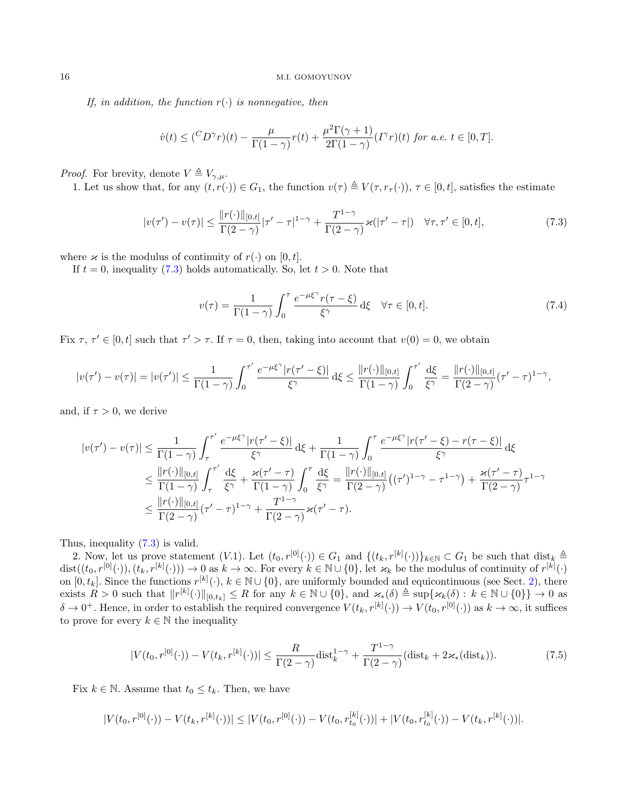If, in addition, the function  $r(\cdot)$  is nonnegative, then

$$
\dot{v}(t) \leq \left(\frac{C_D \gamma_r}{r}\right)(t) - \frac{\mu}{\Gamma(1-\gamma)} r(t) + \frac{\mu^2 \Gamma(\gamma+1)}{2\Gamma(1-\gamma)} (I^{\gamma}r)(t) \text{ for a.e. } t \in [0, T].
$$

*Proof.* For brevity, denote  $V \triangleq V_{\gamma,\mu}$ .

1. Let us show that, for any  $(t, r(\cdot)) \in G_1$ , the function  $v(\tau) \triangleq V(\tau, r_{\tau}(\cdot))$ ,  $\tau \in [0, t]$ , satisfies the estimate

<span id="page-15-0"></span>
$$
|v(\tau') - v(\tau)| \le \frac{\|r(\cdot)\|_{[0,t]}}{\Gamma(2-\gamma)} |\tau' - \tau|^{1-\gamma} + \frac{T^{1-\gamma}}{\Gamma(2-\gamma)} \varkappa(|\tau' - \tau|) \quad \forall \tau, \tau' \in [0, t],
$$
\n(7.3)

where  $\varkappa$  is the modulus of continuity of  $r(\cdot)$  on [0, t].

If  $t = 0$ , inequality [\(7.3\)](#page-15-0) holds automatically. So, let  $t > 0$ . Note that

<span id="page-15-1"></span>
$$
v(\tau) = \frac{1}{\Gamma(1-\gamma)} \int_0^{\tau} \frac{e^{-\mu\xi^{\gamma}} r(\tau-\xi)}{\xi^{\gamma}} d\xi \quad \forall \tau \in [0, t].
$$
 (7.4)

Fix  $\tau, \tau' \in [0, t]$  such that  $\tau' > \tau$ . If  $\tau = 0$ , then, taking into account that  $v(0) = 0$ , we obtain

$$
|v(\tau') - v(\tau)| = |v(\tau')| \le \frac{1}{\Gamma(1-\gamma)} \int_0^{\tau'} \frac{e^{-\mu\xi^{\gamma}} |r(\tau'-\xi)|}{\xi^{\gamma}} d\xi \le \frac{\|r(\cdot)\|_{[0,t]}}{\Gamma(1-\gamma)} \int_0^{\tau'} \frac{d\xi}{\xi^{\gamma}} = \frac{\|r(\cdot)\|_{[0,t]}}{\Gamma(2-\gamma)} (\tau'-\tau)^{1-\gamma},
$$

and, if  $\tau > 0$ , we derive

$$
|v(\tau') - v(\tau)| \leq \frac{1}{\Gamma(1-\gamma)} \int_{\tau}^{\tau'} \frac{e^{-\mu\xi^{\gamma}} |r(\tau'-\xi)|}{\xi^{\gamma}} d\xi + \frac{1}{\Gamma(1-\gamma)} \int_{0}^{\tau} \frac{e^{-\mu\xi^{\gamma}} |r(\tau'-\xi) - r(\tau-\xi)|}{\xi^{\gamma}} d\xi
$$
  

$$
\leq \frac{||r(\cdot)||_{[0,t]}}{\Gamma(1-\gamma)} \int_{\tau}^{\tau'} \frac{d\xi}{\xi^{\gamma}} + \frac{\varkappa(\tau'-\tau)}{\Gamma(1-\gamma)} \int_{0}^{\tau} \frac{d\xi}{\xi^{\gamma}} = \frac{||r(\cdot)||_{[0,t]}}{\Gamma(2-\gamma)} ((\tau')^{1-\gamma} - \tau^{1-\gamma}) + \frac{\varkappa(\tau'-\tau)}{\Gamma(2-\gamma)} \tau^{1-\gamma}
$$
  

$$
\leq \frac{||r(\cdot)||_{[0,t]}}{\Gamma(2-\gamma)} (\tau'-\tau)^{1-\gamma} + \frac{T^{1-\gamma}}{\Gamma(2-\gamma)} \varkappa(\tau'-\tau).
$$

Thus, inequality [\(7.3\)](#page-15-0) is valid.

2. Now, let us prove statement  $(V.1)$ . Let  $(t_0, r^{[0]}(\cdot)) \in G_1$  and  $\{(t_k, r^{[k]}(\cdot))\}_{k \in \mathbb{N}} \subset G_1$  be such that  $\text{dist}_k \triangleq$  $dist((t_0, r^{[0]}(\cdot)), (t_k, r^{[k]}(\cdot))) \to 0$  as  $k \to \infty$ . For every  $k \in \mathbb{N} \cup \{0\}$ , let  $\varkappa_k$  be the modulus of continuity of  $r^{[k]}(\cdot)$ on  $[0, t_k]$ . Since the functions  $r^{[k]}(\cdot)$ ,  $k \in \mathbb{N} \cup \{0\}$ , are uniformly bounded and equicontinuous (see Sect. [2\)](#page-1-0), there exists  $R > 0$  such that  $||r^{[k]}(\cdot)||_{[0,t_k]} \leq R$  for any  $k \in \mathbb{N} \cup \{0\}$ , and  $\varkappa_*(\delta) \triangleq \sup\{\varkappa_k(\delta) : k \in \mathbb{N} \cup \{0\}\} \to 0$  as  $\delta \to 0^+$ . Hence, in order to establish the required convergence  $V(t_k, r^{[k]}(\cdot)) \to V(t_0, r^{[0]}(\cdot))$  as  $k \to \infty$ , it suffices to prove for every  $k \in \mathbb{N}$  the inequality

<span id="page-15-2"></span>
$$
|V(t_0, r^{[0]}(\cdot)) - V(t_k, r^{[k]}(\cdot))| \le \frac{R}{\Gamma(2-\gamma)} \text{dist}_k^{1-\gamma} + \frac{T^{1-\gamma}}{\Gamma(2-\gamma)} (\text{dist}_k + 2\varkappa_*(\text{dist}_k)).\tag{7.5}
$$

Fix  $k \in \mathbb{N}$ . Assume that  $t_0 \leq t_k$ . Then, we have

$$
|V(t_0,r^{[0]}(\cdot))-V(t_k,r^{[k]}(\cdot))|\leq |V(t_0,r^{[0]}(\cdot))-V(t_0,r^{[k]}_{t_0}(\cdot))|+|V(t_0,r^{[k]}_{t_0}(\cdot))-V(t_k,r^{[k]}(\cdot))|.
$$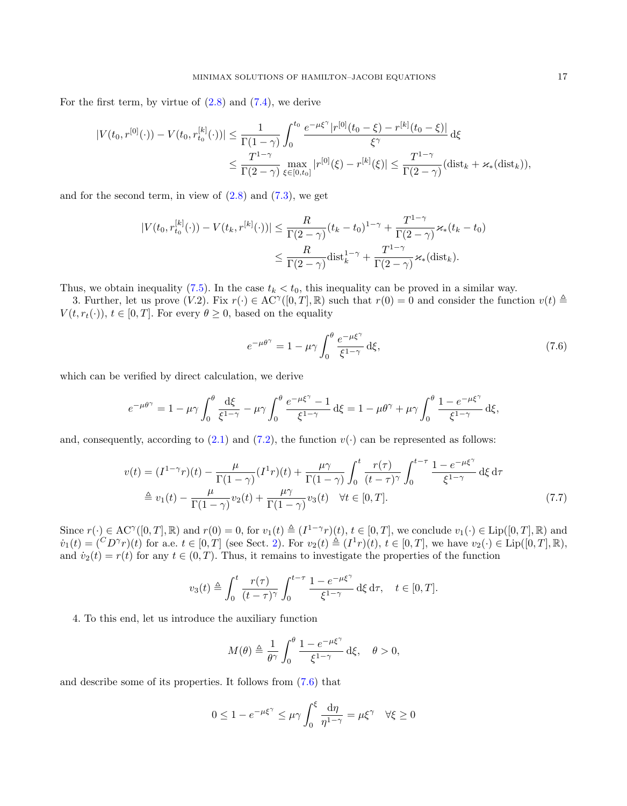For the first term, by virtue of  $(2.8)$  and  $(7.4)$ , we derive

$$
|V(t_0, r^{[0]}(\cdot)) - V(t_0, r^{[k]}_{t_0}(\cdot))| \le \frac{1}{\Gamma(1-\gamma)} \int_0^{t_0} \frac{e^{-\mu\xi^{\gamma}} |r^{[0]}(t_0-\xi) - r^{[k]}(t_0-\xi)|}{\xi^{\gamma}} d\xi
$$
  

$$
\le \frac{T^{1-\gamma}}{\Gamma(2-\gamma)} \max_{\xi \in [0, t_0]} |r^{[0]}(\xi) - r^{[k]}(\xi)| \le \frac{T^{1-\gamma}}{\Gamma(2-\gamma)} (\text{dist}_k + \varkappa_*(\text{dist}_k)),
$$

and for the second term, in view of  $(2.8)$  and  $(7.3)$ , we get

$$
|V(t_0, r_{t_0}^{[k]}(\cdot)) - V(t_k, r^{[k]}(\cdot))| \leq \frac{R}{\Gamma(2-\gamma)} (t_k - t_0)^{1-\gamma} + \frac{T^{1-\gamma}}{\Gamma(2-\gamma)} \varkappa_*(t_k - t_0)
$$
  

$$
\leq \frac{R}{\Gamma(2-\gamma)} \text{dist}_{k}^{1-\gamma} + \frac{T^{1-\gamma}}{\Gamma(2-\gamma)} \varkappa_*(\text{dist}_{k}).
$$

Thus, we obtain inequality [\(7.5\)](#page-15-2). In the case  $t_k < t_0$ , this inequality can be proved in a similar way.

3. Further, let us prove  $(V.2)$ . Fix  $r(\cdot) \in \mathrm{AC}^{\gamma}([0,T],\mathbb{R})$  such that  $r(0) = 0$  and consider the function  $v(t) \triangleq$  $V(t, r_t(\cdot)), t \in [0, T]$ . For every  $\theta \geq 0$ , based on the equality

<span id="page-16-1"></span><span id="page-16-0"></span>
$$
e^{-\mu\theta^{\gamma}} = 1 - \mu\gamma \int_0^{\theta} \frac{e^{-\mu\xi^{\gamma}}}{\xi^{1-\gamma}} d\xi,
$$
\n(7.6)

which can be verified by direct calculation, we derive

$$
e^{-\mu\theta^{\gamma}} = 1 - \mu\gamma \int_0^{\theta} \frac{\mathrm{d}\xi}{\xi^{1-\gamma}} - \mu\gamma \int_0^{\theta} \frac{e^{-\mu\xi^{\gamma}} - 1}{\xi^{1-\gamma}} \mathrm{d}\xi = 1 - \mu\theta^{\gamma} + \mu\gamma \int_0^{\theta} \frac{1 - e^{-\mu\xi^{\gamma}}}{\xi^{1-\gamma}} \mathrm{d}\xi,
$$

and, consequently, according to  $(2.1)$  and  $(7.2)$ , the function  $v(\cdot)$  can be represented as follows:

$$
v(t) = (I^{1-\gamma}r)(t) - \frac{\mu}{\Gamma(1-\gamma)}(I^{1}r)(t) + \frac{\mu\gamma}{\Gamma(1-\gamma)} \int_{0}^{t} \frac{r(\tau)}{(t-\tau)^{\gamma}} \int_{0}^{t-\tau} \frac{1 - e^{-\mu\xi^{\gamma}}}{\xi^{1-\gamma}} d\xi d\tau
$$
  

$$
\stackrel{\triangle}{=} v_{1}(t) - \frac{\mu}{\Gamma(1-\gamma)} v_{2}(t) + \frac{\mu\gamma}{\Gamma(1-\gamma)} v_{3}(t) \quad \forall t \in [0, T].
$$
 (7.7)

Since  $r(\cdot) \in \mathrm{AC}^{\gamma}([0,T], \mathbb{R})$  and  $r(0) = 0$ , for  $v_1(t) \triangleq (I^{1-\gamma}r)(t), t \in [0,T],$  we conclude  $v_1(\cdot) \in \mathrm{Lip}([0,T], \mathbb{R})$  and  $v_1(t) = {^C}D^{\gamma}r)(t)$  for a.e.  $t \in [0,T]$  (see Sect. [2\)](#page-1-0). For  $v_2(t) \triangleq (I^1r)(t), t \in [0,T]$ , we have  $v_2(\cdot) \in \text{Lip}([0,T],\mathbb{R})$ , and  $\dot{v}_2(t) = r(t)$  for any  $t \in (0, T)$ . Thus, it remains to investigate the properties of the function

$$
v_3(t) \triangleq \int_0^t \frac{r(\tau)}{(t-\tau)^\gamma} \int_0^{t-\tau} \frac{1-e^{-\mu\xi^\gamma}}{\xi^{1-\gamma}} d\xi d\tau, \quad t \in [0, T].
$$

4. To this end, let us introduce the auxiliary function

$$
M(\theta) \triangleq \frac{1}{\theta^{\gamma}} \int_0^{\theta} \frac{1 - e^{-\mu \xi^{\gamma}}}{\xi^{1-\gamma}} d\xi, \quad \theta > 0,
$$

and describe some of its properties. It follows from [\(7.6\)](#page-16-0) that

$$
0 \le 1 - e^{-\mu\xi^{\gamma}} \le \mu\gamma \int_0^{\xi} \frac{\mathrm{d}\eta}{\eta^{1-\gamma}} = \mu\xi^{\gamma} \quad \forall \xi \ge 0
$$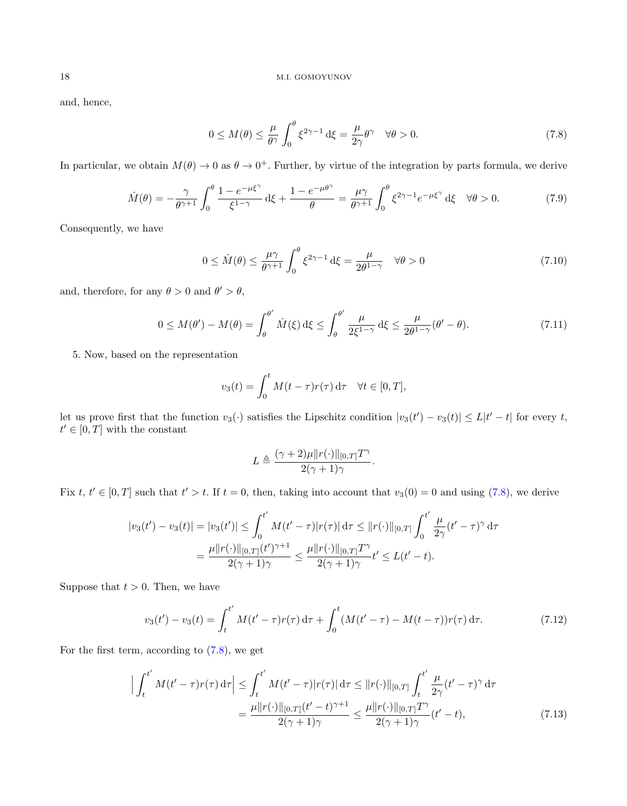and, hence,

<span id="page-17-0"></span>
$$
0 \le M(\theta) \le \frac{\mu}{\theta^{\gamma}} \int_0^{\theta} \xi^{2\gamma - 1} d\xi = \frac{\mu}{2\gamma} \theta^{\gamma} \quad \forall \theta > 0.
$$
 (7.8)

In particular, we obtain  $M(\theta) \to 0$  as  $\theta \to 0^+$ . Further, by virtue of the integration by parts formula, we derive

<span id="page-17-4"></span>
$$
\dot{M}(\theta) = -\frac{\gamma}{\theta^{\gamma+1}} \int_0^{\theta} \frac{1 - e^{-\mu\xi^{\gamma}}}{\xi^{1-\gamma}} d\xi + \frac{1 - e^{-\mu\theta^{\gamma}}}{\theta} = \frac{\mu\gamma}{\theta^{\gamma+1}} \int_0^{\theta} \xi^{2\gamma-1} e^{-\mu\xi^{\gamma}} d\xi \quad \forall \theta > 0.
$$
 (7.9)

Consequently, we have

<span id="page-17-5"></span>
$$
0 \leq \dot{M}(\theta) \leq \frac{\mu\gamma}{\theta^{\gamma+1}} \int_0^{\theta} \xi^{2\gamma-1} d\xi = \frac{\mu}{2\theta^{1-\gamma}} \quad \forall \theta > 0 \tag{7.10}
$$

and, therefore, for any  $\theta > 0$  and  $\theta' > \theta$ ,

<span id="page-17-1"></span>
$$
0 \le M(\theta') - M(\theta) = \int_{\theta}^{\theta'} \dot{M}(\xi) d\xi \le \int_{\theta}^{\theta'} \frac{\mu}{2\xi^{1-\gamma}} d\xi \le \frac{\mu}{2\theta^{1-\gamma}} (\theta' - \theta). \tag{7.11}
$$

5. Now, based on the representation

$$
v_3(t) = \int_0^t M(t - \tau) r(\tau) d\tau \quad \forall t \in [0, T],
$$

let us prove first that the function  $v_3(\cdot)$  satisfies the Lipschitz condition  $|v_3(t') - v_3(t)| \le L|t'-t|$  for every t,  $t' \in [0, T]$  with the constant

<span id="page-17-3"></span>
$$
L \triangleq \frac{(\gamma + 2)\mu \|r(\cdot)\|_{[0,T]}T^{\gamma}}{2(\gamma + 1)\gamma}.
$$

Fix  $t, t' \in [0, T]$  such that  $t' > t$ . If  $t = 0$ , then, taking into account that  $v_3(0) = 0$  and using  $(7.8)$ , we derive

$$
|v_3(t') - v_3(t)| = |v_3(t')| \le \int_0^{t'} M(t' - \tau) |r(\tau)| d\tau \le ||r(\cdot)||_{[0,T]} \int_0^{t'} \frac{\mu}{2\gamma} (t' - \tau)^{\gamma} d\tau
$$
  
= 
$$
\frac{\mu ||r(\cdot)||_{[0,T]}(t')^{\gamma+1}}{2(\gamma+1)\gamma} \le \frac{\mu ||r(\cdot)||_{[0,T]} T^{\gamma}}{2(\gamma+1)\gamma} t' \le L(t' - t).
$$

Suppose that  $t > 0$ . Then, we have

<span id="page-17-2"></span>
$$
v_3(t') - v_3(t) = \int_t^{t'} M(t' - \tau) r(\tau) d\tau + \int_0^t (M(t' - \tau) - M(t - \tau)) r(\tau) d\tau.
$$
 (7.12)

For the first term, according to [\(7.8\)](#page-17-0), we get

$$
\left| \int_{t}^{t'} M(t'-\tau)r(\tau) d\tau \right| \leq \int_{t}^{t'} M(t'-\tau)|r(\tau)| d\tau \leq ||r(\cdot)||_{[0,T]} \int_{t}^{t'} \frac{\mu}{2\gamma} (t'-\tau)^{\gamma} d\tau
$$

$$
= \frac{\mu||r(\cdot)||_{[0,T]}(t'-t)^{\gamma+1}}{2(\gamma+1)\gamma} \leq \frac{\mu||r(\cdot)||_{[0,T]}T^{\gamma}}{2(\gamma+1)\gamma} (t'-t), \tag{7.13}
$$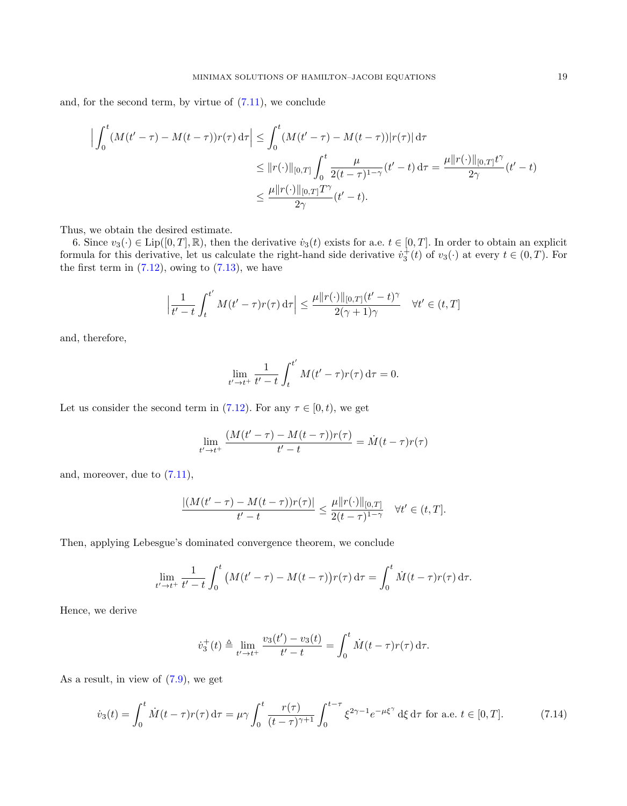and, for the second term, by virtue of  $(7.11)$ , we conclude

$$
\left| \int_0^t (M(t'-\tau) - M(t-\tau))r(\tau) d\tau \right| \leq \int_0^t (M(t'-\tau) - M(t-\tau))|r(\tau)| d\tau
$$
  
\n
$$
\leq ||r(\cdot)||_{[0,T]} \int_0^t \frac{\mu}{2(t-\tau)^{1-\gamma}} (t'-t) d\tau = \frac{\mu||r(\cdot)||_{[0,T]}t^{\gamma}}{2\gamma} (t'-t)
$$
  
\n
$$
\leq \frac{\mu||r(\cdot)||_{[0,T]}T^{\gamma}}{2\gamma} (t'-t).
$$

Thus, we obtain the desired estimate.

6. Since  $v_3(\cdot) \in \text{Lip}([0,T], \mathbb{R})$ , then the derivative  $\dot{v}_3(t)$  exists for a.e.  $t \in [0,T]$ . In order to obtain an explicit formula for this derivative, let us calculate the right-hand side derivative  $\dot{v}_3^+(t)$  of  $v_3(\cdot)$  at every  $t \in (0,T)$ . For the first term in  $(7.12)$ , owing to  $(7.13)$ , we have

$$
\left|\frac{1}{t'-t}\int_t^{t'} M(t'-\tau)r(\tau)\,\mathrm{d}\tau\right| \le \frac{\mu \|r(\cdot)\|_{[0,T]} (t'-t)^{\gamma}}{2(\gamma+1)\gamma} \quad \forall t' \in (t,T]
$$

and, therefore,

$$
\lim_{t' \to t^+} \frac{1}{t'-t} \int_t^{t'} M(t'-\tau) r(\tau) \, d\tau = 0.
$$

Let us consider the second term in [\(7.12\)](#page-17-2). For any  $\tau \in [0, t)$ , we get

$$
\lim_{t' \to t^+} \frac{(M(t'-\tau) - M(t-\tau))r(\tau)}{t'-t} = \dot{M}(t-\tau)r(\tau)
$$

and, moreover, due to  $(7.11)$ ,

$$
\frac{|(M(t'-\tau) - M(t-\tau))r(\tau)|}{t'-t} \le \frac{\mu ||r(\cdot)||_{[0,T]}}{2(t-\tau)^{1-\gamma}} \quad \forall t' \in (t,T].
$$

Then, applying Lebesgue's dominated convergence theorem, we conclude

$$
\lim_{t'\to t^+}\frac{1}{t'-t}\int_0^t \big(M(t'-\tau)-M(t-\tau)\big)r(\tau)\,\mathrm{d}\tau = \int_0^t \dot{M}(t-\tau)r(\tau)\,\mathrm{d}\tau.
$$

Hence, we derive

$$
\dot{v}_3^+(t) \triangleq \lim_{t' \to t^+} \frac{v_3(t') - v_3(t)}{t' - t} = \int_0^t \dot{M}(t - \tau) r(\tau) d\tau.
$$

As a result, in view of [\(7.9\)](#page-17-4), we get

<span id="page-18-0"></span>
$$
\dot{v}_3(t) = \int_0^t \dot{M}(t-\tau)r(\tau) d\tau = \mu \gamma \int_0^t \frac{r(\tau)}{(t-\tau)^{\gamma+1}} \int_0^{t-\tau} \xi^{2\gamma-1} e^{-\mu \xi^{\gamma}} d\xi d\tau \text{ for a.e. } t \in [0, T]. \tag{7.14}
$$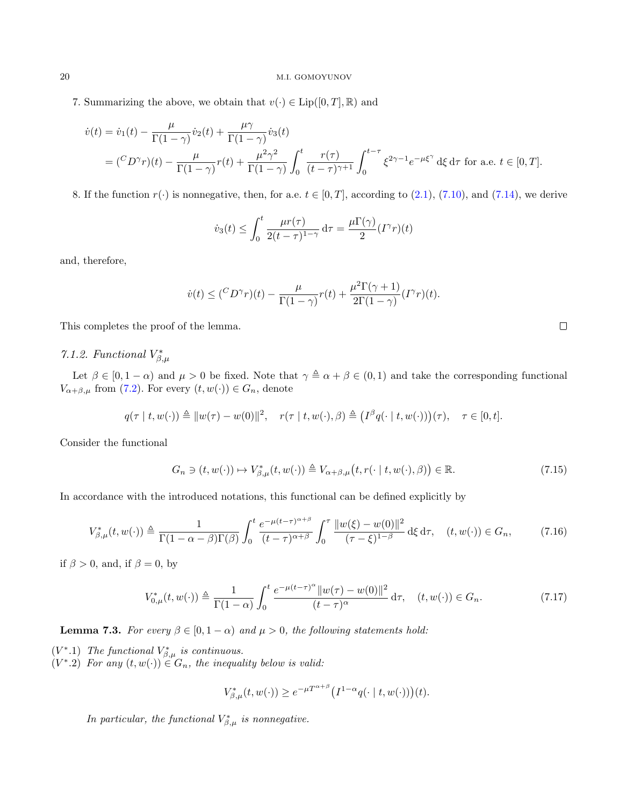7. Summarizing the above, we obtain that  $v(\cdot) \in \text{Lip}([0,T],\mathbb{R})$  and

$$
\dot{v}(t) = \dot{v}_1(t) - \frac{\mu}{\Gamma(1-\gamma)} \dot{v}_2(t) + \frac{\mu \gamma}{\Gamma(1-\gamma)} \dot{v}_3(t)
$$
\n
$$
= \left(\frac{C}{D^{\gamma}r}\right)(t) - \frac{\mu}{\Gamma(1-\gamma)} r(t) + \frac{\mu^2 \gamma^2}{\Gamma(1-\gamma)} \int_0^t \frac{r(\tau)}{(t-\tau)^{\gamma+1}} \int_0^{t-\tau} \xi^{2\gamma-1} e^{-\mu \xi^{\gamma}} d\xi d\tau \text{ for a.e. } t \in [0, T].
$$

8. If the function  $r(\cdot)$  is nonnegative, then, for a.e.  $t \in [0, T]$ , according to [\(2.1\)](#page-2-5), [\(7.10\)](#page-17-5), and [\(7.14\)](#page-18-0), we derive

$$
\dot{v}_3(t) \le \int_0^t \frac{\mu r(\tau)}{2(t-\tau)^{1-\gamma}} d\tau = \frac{\mu \Gamma(\gamma)}{2} (I^{\gamma}r)(t)
$$

and, therefore,

$$
\dot{v}(t) \leq {\binom{C_D \gamma_r}{\Gamma(1-\gamma)}} r(t) + \frac{\mu^2 \Gamma(\gamma+1)}{2\Gamma(1-\gamma)} (I^{\gamma}r)(t).
$$

This completes the proof of the lemma.

# <span id="page-19-2"></span>7.1.2. Functional  $V_{\beta,\mu}^*$

Let  $\beta \in [0, 1 - \alpha)$  and  $\mu > 0$  be fixed. Note that  $\gamma \triangleq \alpha + \beta \in (0, 1)$  and take the corresponding functional  $V_{\alpha+\beta,\mu}$  from [\(7.2\)](#page-14-2). For every  $(t, w(\cdot)) \in G_n$ , denote

$$
q(\tau \mid t, w(\cdot)) \triangleq ||w(\tau) - w(0)||^2, \quad r(\tau \mid t, w(\cdot), \beta) \triangleq (I^{\beta}q(\cdot \mid t, w(\cdot)))(\tau), \quad \tau \in [0, t].
$$

Consider the functional

<span id="page-19-0"></span>
$$
G_n \ni (t, w(\cdot)) \mapsto V_{\beta,\mu}^*(t, w(\cdot)) \triangleq V_{\alpha+\beta,\mu}\big(t, r(\cdot \mid t, w(\cdot), \beta)\big) \in \mathbb{R}.\tag{7.15}
$$

In accordance with the introduced notations, this functional can be defined explicitly by

<span id="page-19-3"></span>
$$
V_{\beta,\mu}^*(t,w(\cdot)) \triangleq \frac{1}{\Gamma(1-\alpha-\beta)\Gamma(\beta)} \int_0^t \frac{e^{-\mu(t-\tau)^{\alpha+\beta}}}{(t-\tau)^{\alpha+\beta}} \int_0^\tau \frac{\|w(\xi)-w(0)\|^2}{(\tau-\xi)^{1-\beta}} d\xi d\tau, \quad (t,w(\cdot)) \in G_n,\tag{7.16}
$$

if  $\beta > 0$ , and, if  $\beta = 0$ , by

<span id="page-19-1"></span>
$$
V_{0,\mu}^*(t, w(\cdot)) \triangleq \frac{1}{\Gamma(1-\alpha)} \int_0^t \frac{e^{-\mu(t-\tau)^\alpha} \|w(\tau) - w(0)\|^2}{(t-\tau)^\alpha} d\tau, \quad (t, w(\cdot)) \in G_n.
$$
 (7.17)

**Lemma 7.3.** For every  $\beta \in [0, 1 - \alpha)$  and  $\mu > 0$ , the following statements hold:

- ( $V^*$ .1) The functional  $V^*_{\beta,\mu}$  is continuous.
- $(V^*$ .2) For any  $(t, w(\cdot)) \in G_n$ , the inequality below is valid:

$$
V_{\beta,\mu}^*(t, w(\cdot)) \ge e^{-\mu T^{\alpha+\beta}} \left( I^{1-\alpha} q(\cdot \mid t, w(\cdot)) \right)(t).
$$

In particular, the functional  $V_{\beta,\mu}^*$  is nonnegative.

 $\Box$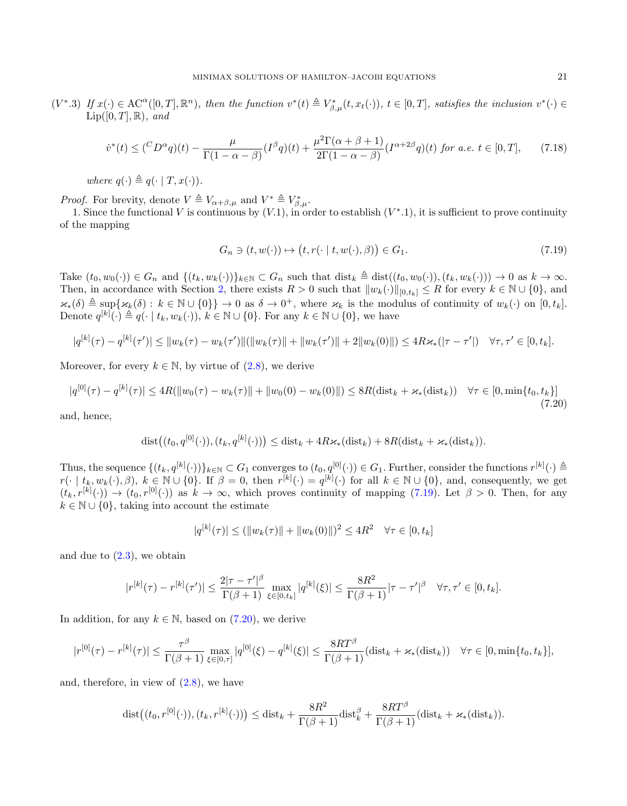$(V^*, 3)$  If  $x(\cdot) \in \mathrm{AC}^{\alpha}([0,T], \mathbb{R}^n)$ , then the function  $v^*(t) \triangleq V^*_{\beta,\mu}(t, x_t(\cdot))$ ,  $t \in [0,T]$ , satisfies the inclusion  $v^*(\cdot) \in$  $\text{Lip}([0,T],\mathbb{R})$ , and

<span id="page-20-2"></span>
$$
\dot{v}^*(t) \leq \left(\frac{C_D \alpha_q}{t}\right)(t) - \frac{\mu}{\Gamma(1-\alpha-\beta)} \left(I^\beta q\right)(t) + \frac{\mu^2 \Gamma(\alpha+\beta+1)}{2\Gamma(1-\alpha-\beta)} \left(I^{\alpha+2\beta} q\right)(t) \text{ for a.e. } t \in [0, T],\tag{7.18}
$$

where  $q(\cdot) \triangleq q(\cdot | T, x(\cdot))$ .

*Proof.* For brevity, denote  $V \triangleq V_{\alpha+\beta,\mu}$  and  $V^* \triangleq V^*_{\beta,\mu}$ .

1. Since the functional V is continuous by  $(V.1)$ , in order to establish  $(V^*.1)$ , it is sufficient to prove continuity of the mapping

<span id="page-20-0"></span>
$$
G_n \ni (t, w(\cdot)) \mapsto (t, r(\cdot \mid t, w(\cdot), \beta)) \in G_1. \tag{7.19}
$$

Take  $(t_0, w_0(\cdot)) \in G_n$  and  $\{(t_k, w_k(\cdot))\}_{k \in \mathbb{N}} \subset G_n$  such that  $\text{dist}_k \triangleq \text{dist}((t_0, w_0(\cdot)), (t_k, w_k(\cdot))) \to 0$  as  $k \to \infty$ . Then, in accordance with Section [2,](#page-1-0) there exists  $R > 0$  such that  $||w_k(\cdot)||_{[0,t_k]} \leq R$  for every  $k \in \mathbb{N} \cup \{0\}$ , and  $\varkappa_*(\delta) \triangleq \sup\{\varkappa_k(\delta): k \in \mathbb{N} \cup \{0\}\}\rightarrow 0$  as  $\delta \rightarrow 0^+$ , where  $\varkappa_k$  is the modulus of continuity of  $w_k(\cdot)$  on  $[0, t_k]$ . Denote  $q^{[k]}(\cdot) \triangleq q(\cdot | t_k, w_k(\cdot)), k \in \mathbb{N} \cup \{0\}.$  For any  $k \in \mathbb{N} \cup \{0\}$ , we have

$$
|q^{[k]}(\tau) - q^{[k]}(\tau')| \le ||w_k(\tau) - w_k(\tau')||(||w_k(\tau)|| + ||w_k(\tau')|| + 2||w_k(0)||) \le 4R\kappa_*(|\tau - \tau'|) \quad \forall \tau, \tau' \in [0, t_k].
$$

Moreover, for every  $k \in \mathbb{N}$ , by virtue of  $(2.8)$ , we derive

<span id="page-20-1"></span>
$$
|q^{[0]}(\tau) - q^{[k]}(\tau)| \le 4R(||w_0(\tau) - w_k(\tau)|| + ||w_0(0) - w_k(0)||) \le 8R(\text{dist}_k + \varkappa_*(\text{dist}_k)) \quad \forall \tau \in [0, \min\{t_0, t_k\}]
$$
\n(7.20)

and, hence,

$$
\text{dist}\big((t_0, q^{[0]}(\cdot)), (t_k, q^{[k]}(\cdot))\big) \leq \text{dist}_k + 4R\varkappa_*(\text{dist}_k) + 8R(\text{dist}_k + \varkappa_*(\text{dist}_k)).
$$

Thus, the sequence  $\{(t_k, q^{[k]}(\cdot))\}_{k\in\mathbb{N}} \subset G_1$  converges to  $(t_0, q^{[0]}(\cdot)) \in G_1$ . Further, consider the functions  $r^{[k]}(\cdot) \triangleq$  $r(\cdot \mid t_k, w_k(\cdot), \beta), k \in \mathbb{N} \cup \{0\}$ . If  $\beta = 0$ , then  $r^{[k]}(\cdot) = q^{[k]}(\cdot)$  for all  $k \in \mathbb{N} \cup \{0\}$ , and, consequently, we get  $(t_k, r^{[k]}(\cdot)) \to (t_0, r^{[0]}(\cdot))$  as  $k \to \infty$ , which proves continuity of mapping [\(7.19\)](#page-20-0). Let  $\beta > 0$ . Then, for any  $k \in \mathbb{N} \cup \{0\}$ , taking into account the estimate

$$
|q^{[k]}(\tau)| \le (||w_k(\tau)|| + ||w_k(0)||)^2 \le 4R^2 \quad \forall \tau \in [0, t_k]
$$

and due to  $(2.3)$ , we obtain

$$
|r^{[k]}(\tau) - r^{[k]}(\tau')| \le \frac{2|\tau - \tau'|^{\beta}}{\Gamma(\beta + 1)} \max_{\xi \in [0, t_k]} |q^{[k]}(\xi)| \le \frac{8R^2}{\Gamma(\beta + 1)} |\tau - \tau'|^{\beta} \quad \forall \tau, \tau' \in [0, t_k].
$$

In addition, for any  $k \in \mathbb{N}$ , based on [\(7.20\)](#page-20-1), we derive

$$
|r^{[0]}(\tau) - r^{[k]}(\tau)| \leq \frac{\tau^{\beta}}{\Gamma(\beta+1)} \max_{\xi \in [0,\tau]} |q^{[0]}(\xi) - q^{[k]}(\xi)| \leq \frac{8RT^{\beta}}{\Gamma(\beta+1)} (\text{dist}_{k} + \varkappa_{*}(\text{dist}_{k})) \quad \forall \tau \in [0, \min\{t_{0}, t_{k}\}],
$$

and, therefore, in view of  $(2.8)$ , we have

$$
\text{dist}\big((t_0,r^{[0]}(\cdot)),(t_k,r^{[k]}(\cdot))\big) \leq \text{dist}_k + \frac{8R^2}{\Gamma(\beta+1)}\text{dist}_k^{\beta} + \frac{8RT^{\beta}}{\Gamma(\beta+1)}(\text{dist}_k + \varkappa_*(\text{dist}_k)).
$$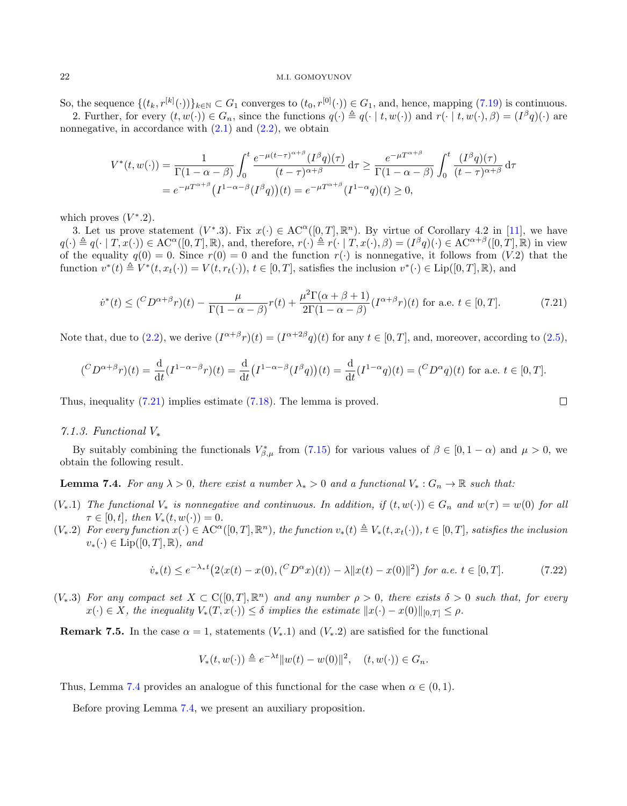So, the sequence  $\{(t_k, r^{[k]}(\cdot))\}_{k\in\mathbb{N}} \subset G_1$  converges to  $(t_0, r^{[0]}(\cdot)) \in G_1$ , and, hence, mapping  $(7.19)$  is continuous. 2. Further, for every  $(t, w(\cdot)) \in G_n$ , since the functions  $q(\cdot) \triangleq q(\cdot | t, w(\cdot))$  and  $r(\cdot | t, w(\cdot), \beta) = (I^{\beta} q)(\cdot)$  are nonnegative, in accordance with  $(2.1)$  and  $(2.2)$ , we obtain

$$
V^*(t, w(\cdot)) = \frac{1}{\Gamma(1 - \alpha - \beta)} \int_0^t \frac{e^{-\mu(t - \tau)^{\alpha + \beta}} (I^{\beta}q)(\tau)}{(t - \tau)^{\alpha + \beta}} d\tau \ge \frac{e^{-\mu T^{\alpha + \beta}}}{\Gamma(1 - \alpha - \beta)} \int_0^t \frac{(I^{\beta}q)(\tau)}{(t - \tau)^{\alpha + \beta}} d\tau
$$
  
=  $e^{-\mu T^{\alpha + \beta}} (I^{1 - \alpha - \beta} (I^{\beta}q))(t) = e^{-\mu T^{\alpha + \beta}} (I^{1 - \alpha}q)(t) \ge 0,$ 

which proves  $(V^*$ .2).

3. Let us prove statement  $(V^* .3)$ . Fix  $x(\cdot) \in AC^{\alpha}([0,T], \mathbb{R}^n)$ . By virtue of Corollary 4.2 in [\[11\]](#page-34-26), we have  $q(\cdot) \triangleq q(\cdot | T, x(\cdot)) \in \mathrm{AC}^{\alpha}([0,T], \mathbb{R})$ , and, therefore,  $r(\cdot) \triangleq r(\cdot | T, x(\cdot), \beta) = (I^{\beta}q)(\cdot) \in \mathrm{AC}^{\alpha+\beta}([0,T], \mathbb{R})$  in view of the equality  $q(0) = 0$ . Since  $r(0) = 0$  and the function  $r(\cdot)$  is nonnegative, it follows from  $(V.2)$  that the function  $v^*(t) \triangleq V^*(t, x_t(\cdot)) = V(t, r_t(\cdot)), t \in [0, T]$ , satisfies the inclusion  $v^*(\cdot) \in \text{Lip}([0, T], \mathbb{R})$ , and

<span id="page-21-0"></span>
$$
\dot{v}^*(t) \leq \left(\frac{C_D \alpha + \beta}{\Gamma(1 - \alpha - \beta)} r(t) + \frac{\mu^2 \Gamma(\alpha + \beta + 1)}{2\Gamma(1 - \alpha - \beta)} (I^{\alpha + \beta} r)(t) \text{ for a.e. } t \in [0, T].\right.\tag{7.21}
$$

Note that, due to [\(2.2\)](#page-2-0), we derive  $(I^{\alpha+\beta}r)(t) = (I^{\alpha+2\beta}q)(t)$  for any  $t \in [0,T]$ , and, moreover, according to [\(2.5\)](#page-2-4),

$$
({^CD^{\alpha+\beta}r})(t)=\frac{\mathrm{d}}{\mathrm{d}t}(I^{1-\alpha-\beta}r)(t)=\frac{\mathrm{d}}{\mathrm{d}t}(I^{1-\alpha-\beta}(I^{\beta}q))(t)=\frac{\mathrm{d}}{\mathrm{d}t}(I^{1-\alpha}q)(t)=(^CD^{\alpha}q)(t)
$$
 for a.e.  $t\in[0,T]$ .

Thus, inequality [\(7.21\)](#page-21-0) implies estimate [\(7.18\)](#page-20-2). The lemma is proved.

### <span id="page-21-3"></span>7.1.3. Functional V<sup>∗</sup>

By suitably combining the functionals  $V_{\beta,\mu}^*$  from [\(7.15\)](#page-19-0) for various values of  $\beta \in [0, 1-\alpha)$  and  $\mu > 0$ , we obtain the following result.

<span id="page-21-1"></span>**Lemma 7.4.** For any  $\lambda > 0$ , there exist a number  $\lambda_* > 0$  and a functional  $V_* : G_n \to \mathbb{R}$  such that:

- $(V_*,1)$  The functional  $V_*$  is nonnegative and continuous. In addition, if  $(t,w(\cdot)) \in G_n$  and  $w(\tau) = w(0)$  for all  $\tau \in [0, t], \text{ then } V_*(t, w(\cdot)) = 0.$
- $(V_*, 2)$  For every function  $x(.) \in AC^{\alpha}([0,T], \mathbb{R}^n)$ , the function  $v_*(t) \triangleq V_*(t, x_t(\cdot))$ ,  $t \in [0,T]$ , satisfies the inclusion  $v_*(\cdot) \in \text{Lip}([0,T],\mathbb{R})$ , and

<span id="page-21-2"></span>
$$
\dot{v}_*(t) \le e^{-\lambda_* t} \left( 2 \langle x(t) - x(0), (^C D^{\alpha} x)(t) \rangle - \lambda \| x(t) - x(0) \|^2 \right) \text{ for a.e. } t \in [0, T]. \tag{7.22}
$$

 $(V_*.3)$  For any compact set  $X \subset C([0,T], \mathbb{R}^n)$  and any number  $\rho > 0$ , there exists  $\delta > 0$  such that, for every  $x(\cdot) \in X$ , the inequality  $V_*(T, x(\cdot)) \leq \delta$  implies the estimate  $||x(\cdot) - x(0)||_{[0,T]} \leq \rho$ .

**Remark 7.5.** In the case  $\alpha = 1$ , statements  $(V_*, 1)$  and  $(V_*, 2)$  are satisfied for the functional

$$
V_*(t, w(\cdot)) \triangleq e^{-\lambda t} ||w(t) - w(0)||^2, \quad (t, w(\cdot)) \in G_n.
$$

Thus, Lemma [7.4](#page-21-1) provides an analogue of this functional for the case when  $\alpha \in (0,1)$ .

Before proving Lemma [7.4,](#page-21-1) we present an auxiliary proposition.

 $\Box$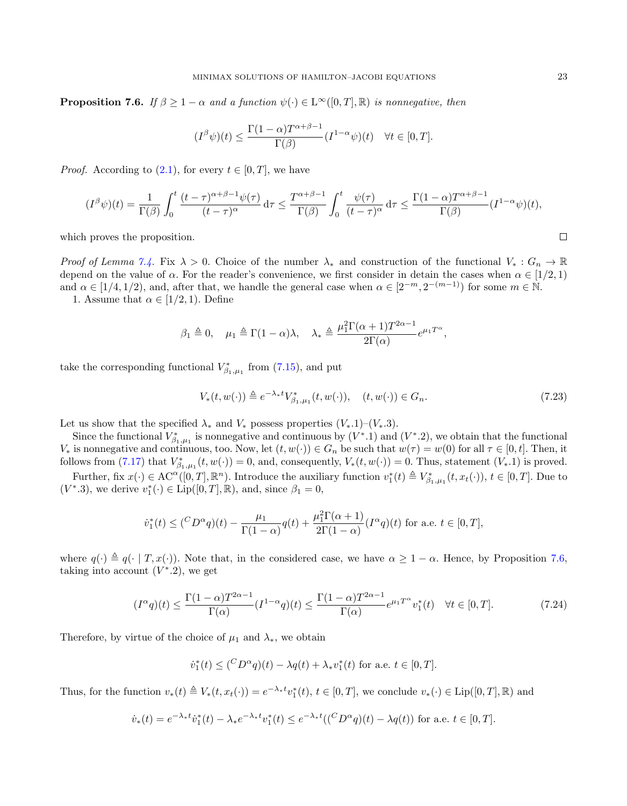<span id="page-22-0"></span>**Proposition 7.6.** If  $\beta \geq 1 - \alpha$  and a function  $\psi(\cdot) \in L^{\infty}([0,T], \mathbb{R})$  is nonnegative, then

$$
(I^{\beta}\psi)(t) \le \frac{\Gamma(1-\alpha)T^{\alpha+\beta-1}}{\Gamma(\beta)}(I^{1-\alpha}\psi)(t) \quad \forall t \in [0,T].
$$

*Proof.* According to  $(2.1)$ , for every  $t \in [0, T]$ , we have

$$
(I^{\beta}\psi)(t) = \frac{1}{\Gamma(\beta)} \int_0^t \frac{(t-\tau)^{\alpha+\beta-1}\psi(\tau)}{(t-\tau)^{\alpha}} d\tau \le \frac{T^{\alpha+\beta-1}}{\Gamma(\beta)} \int_0^t \frac{\psi(\tau)}{(t-\tau)^{\alpha}} d\tau \le \frac{\Gamma(1-\alpha)T^{\alpha+\beta-1}}{\Gamma(\beta)} (I^{1-\alpha}\psi)(t),
$$

which proves the proposition.

Proof of Lemma [7.4.](#page-21-1) Fix  $\lambda > 0$ . Choice of the number  $\lambda_*$  and construction of the functional  $V_* : G_n \to \mathbb{R}$ depend on the value of  $\alpha$ . For the reader's convenience, we first consider in detain the cases when  $\alpha \in [1/2, 1)$ and  $\alpha \in [1/4, 1/2)$ , and, after that, we handle the general case when  $\alpha \in [2^{-m}, 2^{-(m-1)})$  for some  $m \in \mathbb{N}$ .

1. Assume that  $\alpha \in [1/2, 1)$ . Define

$$
\beta_1 \triangleq 0
$$
,  $\mu_1 \triangleq \Gamma(1-\alpha)\lambda$ ,  $\lambda_* \triangleq \frac{\mu_1^2 \Gamma(\alpha+1) T^{2\alpha-1}}{2\Gamma(\alpha)} e^{\mu_1 T^{\alpha}}$ ,

take the corresponding functional  $V_{\beta_1,\mu_1}^*$  from [\(7.15\)](#page-19-0), and put

<span id="page-22-1"></span>
$$
V_*(t, w(\cdot)) \triangleq e^{-\lambda_* t} V^*_{\beta_1, \mu_1}(t, w(\cdot)), \quad (t, w(\cdot)) \in G_n.
$$
\n
$$
(7.23)
$$

Let us show that the specified  $\lambda_*$  and  $V_*$  possess properties  $(V_*\cdot 1)-(V_*\cdot 3)$ .

Since the functional  $V_{\beta_1,\mu_1}^*$  is nonnegative and continuous by  $(V^* \cdot 1)$  and  $(V^* \cdot 2)$ , we obtain that the functional V<sup>\*</sup> is nonnegative and continuous, too. Now, let  $(t, w(\cdot)) \in G_n$  be such that  $w(\tau) = w(0)$  for all  $\tau \in [0, t]$ . Then, it follows from [\(7.17\)](#page-19-1) that  $V^*_{\beta_1,\mu_1}(t,w(\cdot))=0$ , and, consequently,  $V_*(t,w(\cdot))=0$ . Thus, statement  $(V_*,1)$  is proved.

Further, fix  $x(\cdot) \in \mathrm{AC}^{\alpha}([0,T], \mathbb{R}^n)$ . Introduce the auxiliary function  $v_1^*(t) \triangleq V_{\beta_1,\mu_1}^*(t, x_t(\cdot)), t \in [0,T]$ . Due to  $(V^*.3)$ , we derive  $v_1^*(\cdot) \in \text{Lip}([0,T],\mathbb{R})$ , and, since  $\beta_1 = 0$ ,

$$
\dot{v}_1^*(t) \leq ({}^C D^{\alpha}q)(t) - \frac{\mu_1}{\Gamma(1-\alpha)}q(t) + \frac{\mu_1^2 \Gamma(\alpha+1)}{2\Gamma(1-\alpha)}(I^{\alpha}q)(t)
$$
 for a.e.  $t \in [0, T]$ ,

where  $q(\cdot) \triangleq q(\cdot | T, x(\cdot))$ . Note that, in the considered case, we have  $\alpha \geq 1 - \alpha$ . Hence, by Proposition [7.6,](#page-22-0) taking into account  $(V^* . 2)$ , we get

<span id="page-22-2"></span>
$$
(I^{\alpha}q)(t) \le \frac{\Gamma(1-\alpha)T^{2\alpha-1}}{\Gamma(\alpha)}(I^{1-\alpha}q)(t) \le \frac{\Gamma(1-\alpha)T^{2\alpha-1}}{\Gamma(\alpha)}e^{\mu_1T^{\alpha}}v_1^*(t) \quad \forall t \in [0, T].
$$
\n(7.24)

Therefore, by virtue of the choice of  $\mu_1$  and  $\lambda_*$ , we obtain

$$
\dot{v}_1^*(t) \leq (^C D^{\alpha} q)(t) - \lambda q(t) + \lambda_* v_1^*(t)
$$
 for a.e.  $t \in [0, T]$ .

Thus, for the function  $v_*(t) \triangleq V_*(t, x_t(\cdot)) = e^{-\lambda_* t} v_1^*(t), t \in [0, T]$ , we conclude  $v_*(\cdot) \in \text{Lip}([0, T], \mathbb{R})$  and

$$
\dot{v}_*(t) = e^{-\lambda_* t} \dot{v}_1^*(t) - \lambda_* e^{-\lambda_* t} v_1^*(t) \le e^{-\lambda_* t} (({}^C D^{\alpha} q)(t) - \lambda q(t)) \text{ for a.e. } t \in [0, T].
$$

 $\Box$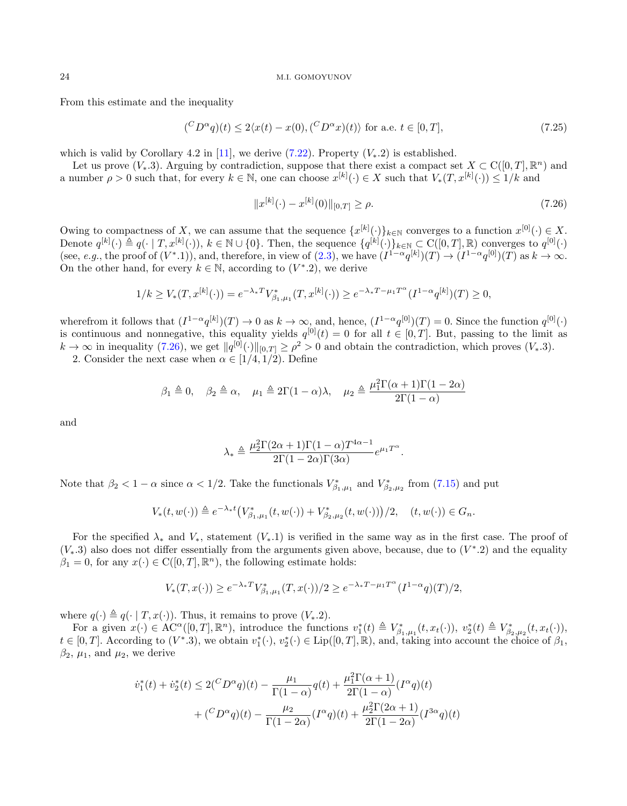From this estimate and the inequality

<span id="page-23-1"></span>
$$
({}^C D^{\alpha}q)(t) \le 2\langle x(t) - x(0), ({}^C D^{\alpha}x)(t) \rangle \text{ for a.e. } t \in [0, T], \qquad (7.25)
$$

which is valid by Corollary 4.2 in [\[11\]](#page-34-26), we derive [\(7.22\)](#page-21-2). Property  $(V_*, 2)$  is established.

Let us prove  $(V_*, 3)$ . Arguing by contradiction, suppose that there exist a compact set  $X \subset C([0, T], \mathbb{R}^n)$  and a number  $\rho > 0$  such that, for every  $k \in \mathbb{N}$ , one can choose  $x^{[k]}(\cdot) \in X$  such that  $V_*(T, x^{[k]}(\cdot)) \leq 1/k$  and

<span id="page-23-0"></span>
$$
||x^{[k]}(\cdot) - x^{[k]}(0)||_{[0,T]} \ge \rho. \tag{7.26}
$$

Owing to compactness of X, we can assume that the sequence  $\{x^{[k]}(\cdot)\}_{k\in\mathbb{N}}$  converges to a function  $x^{[0]}(\cdot) \in X$ . Denote  $q^{[k]}(\cdot) \triangleq q(\cdot | T, x^{[k]}(\cdot)), k \in \mathbb{N} \cup \{0\}$ . Then, the sequence  $\{q^{[k]}(\cdot)\}_{k \in \mathbb{N}} \subset C([0, T], \mathbb{R})$  converges to  $q^{[0]}(\cdot)$ (see, e.g., the proof of  $(V^*$ .1)), and, therefore, in view of  $(2.3)$ , we have  $(I^{1-\alpha}q^{[k]})(T) \to (I^{1-\alpha}q^{[0]})(T)$  as  $k \to \infty$ . On the other hand, for every  $k \in \mathbb{N}$ , according to  $(V^* . 2)$ , we derive

$$
1/k \ge V_*(T, x^{[k]}(\cdot)) = e^{-\lambda_*T} V^*_{\beta_1, \mu_1}(T, x^{[k]}(\cdot)) \ge e^{-\lambda_*T - \mu_1 T^{\alpha}} (I^{1-\alpha} q^{[k]})(T) \ge 0,
$$

wherefrom it follows that  $(I^{1-\alpha}q^{[k]})(T) \to 0$  as  $k \to \infty$ , and, hence,  $(I^{1-\alpha}q^{[0]})(T) = 0$ . Since the function  $q^{[0]}(\cdot)$ is continuous and nonnegative, this equality yields  $q^{[0]}(t) = 0$  for all  $t \in [0, T]$ . But, passing to the limit as  $k \to \infty$  in inequality [\(7.26\)](#page-23-0), we get  $||q^{[0]}(\cdot)||_{[0,T]} \ge \rho^2 > 0$  and obtain the contradiction, which proves  $(V_*, 3)$ .

2. Consider the next case when  $\alpha \in [1/4, 1/2)$ . Define

$$
\beta_1 \triangleq 0, \quad \beta_2 \triangleq \alpha, \quad \mu_1 \triangleq 2\Gamma(1-\alpha)\lambda, \quad \mu_2 \triangleq \frac{\mu_1^2 \Gamma(\alpha+1)\Gamma(1-2\alpha)}{2\Gamma(1-\alpha)}
$$

and

$$
\lambda_* \triangleq \frac{\mu_2^2 \Gamma(2\alpha + 1)\Gamma(1 - \alpha) T^{4\alpha - 1}}{2\Gamma(1 - 2\alpha)\Gamma(3\alpha)} e^{\mu_1 T^{\alpha}}.
$$

Note that  $\beta_2 < 1 - \alpha$  since  $\alpha < 1/2$ . Take the functionals  $V^*_{\beta_1,\mu_1}$  and  $V^*_{\beta_2,\mu_2}$  from [\(7.15\)](#page-19-0) and put

$$
V_*(t, w(\cdot)) \triangleq e^{-\lambda_* t} \left( V_{\beta_1, \mu_1}^*(t, w(\cdot)) + V_{\beta_2, \mu_2}^*(t, w(\cdot)) \right) / 2, \quad (t, w(\cdot)) \in G_n.
$$

For the specified  $\lambda_*$  and  $V_*$ , statement  $(V_*, 1)$  is verified in the same way as in the first case. The proof of  $(V_*,3)$  also does not differ essentially from the arguments given above, because, due to  $(V^*..2)$  and the equality  $\beta_1 = 0$ , for any  $x(\cdot) \in C([0, T], \mathbb{R}^n)$ , the following estimate holds:

$$
V_*(T, x(\cdot)) \ge e^{-\lambda_* T} V_{\beta_1, \mu_1}^*(T, x(\cdot))/2 \ge e^{-\lambda_* T - \mu_1 T^{\alpha}} (I^{1-\alpha} q)(T)/2,
$$

where  $q(\cdot) \triangleq q(\cdot | T, x(\cdot))$ . Thus, it remains to prove  $(V_*, 2)$ .

For a given  $x(\cdot) \in \mathrm{AC}^{\alpha}([0,T], \mathbb{R}^n)$ , introduce the functions  $v_1^*(t) \triangleq V_{\beta_1,\mu_1}^*(t, x_t(\cdot)), v_2^*(t) \triangleq V_{\beta_2,\mu_2}^*(t, x_t(\cdot)),$  $t \in [0,T]$ . According to  $(V^*,3)$ , we obtain  $v_1^*(\cdot), v_2^*(\cdot) \in \text{Lip}([0,T],\mathbb{R})$ , and, taking into account the choice of  $\beta_1$ ,  $\beta_2$ ,  $\mu_1$ , and  $\mu_2$ , we derive

$$
\begin{aligned} \dot{v}_1^*(t)+\dot{v}_2^*(t)&\leq 2(^C D^\alpha q)(t)-\frac{\mu_1}{\Gamma(1-\alpha)}q(t)+\frac{\mu_1^2\Gamma(\alpha+1)}{2\Gamma(1-\alpha)}(I^\alpha q)(t)\\ &+(\frac{C D^\alpha q)(t)-\frac{\mu_2}{\Gamma(1-2\alpha)}(I^\alpha q)(t)+\frac{\mu_2^2\Gamma(2\alpha+1)}{2\Gamma(1-2\alpha)}(I^{3\alpha}q)(t) \end{aligned}
$$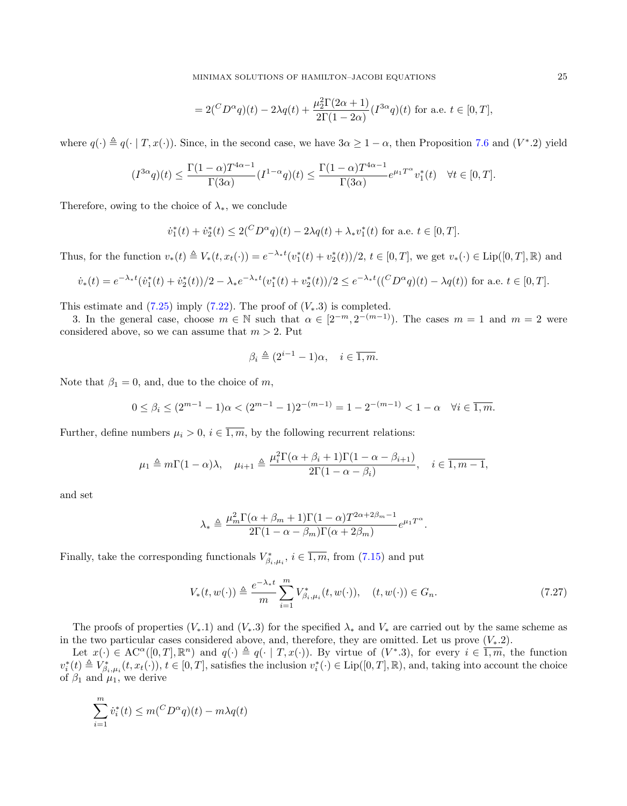$$
=2\binom{C_D\alpha_q}{t} - 2\lambda q(t) + \frac{\mu_2^2 \Gamma(2\alpha+1)}{2\Gamma(1-2\alpha)} (I^{3\alpha}q)(t)
$$
 for a.e.  $t \in [0, T],$ 

where  $q(\cdot) \triangleq q(\cdot | T, x(\cdot))$ . Since, in the second case, we have  $3\alpha \geq 1 - \alpha$ , then Proposition [7.6](#page-22-0) and  $(V^* . 2)$  yield

$$
(I^{3\alpha}q)(t)\leq\frac{\Gamma(1-\alpha)T^{4\alpha-1}}{\Gamma(3\alpha)}(I^{1-\alpha}q)(t)\leq\frac{\Gamma(1-\alpha)T^{4\alpha-1}}{\Gamma(3\alpha)}e^{\mu_1T^{\alpha}}v_1^*(t)\quad\forall t\in[0,T].
$$

Therefore, owing to the choice of  $\lambda_*,$  we conclude

$$
\dot{v}_1^*(t) + \dot{v}_2^*(t) \le 2\binom{C_D\alpha}{q}(t) - 2\lambda q(t) + \lambda_* v_1^*(t)
$$
 for a.e.  $t \in [0, T]$ .

Thus, for the function  $v_*(t) \triangleq V_*(t, x_t(\cdot)) = e^{-\lambda_* t} (v_1^*(t) + v_2^*(t))/2$ ,  $t \in [0, T]$ , we get  $v_*(\cdot) \in \text{Lip}([0, T], \mathbb{R})$  and

$$
\dot{v}_*(t) = e^{-\lambda_* t} (\dot{v}_1^*(t) + \dot{v}_2^*(t))/2 - \lambda_* e^{-\lambda_* t} (v_1^*(t) + v_2^*(t))/2 \le e^{-\lambda_* t} (({}^C D^{\alpha} q)(t) - \lambda q(t)) \text{ for a.e. } t \in [0, T].
$$

This estimate and  $(7.25)$  imply  $(7.22)$ . The proof of  $(V_*,3)$  is completed.

3. In the general case, choose  $m \in \mathbb{N}$  such that  $\alpha \in [2^{-m}, 2^{-(m-1)}]$ . The cases  $m = 1$  and  $m = 2$  were considered above, so we can assume that  $m > 2$ . Put

$$
\beta_i \triangleq (2^{i-1} - 1)\alpha, \quad i \in \overline{1, m}.
$$

Note that  $\beta_1 = 0$ , and, due to the choice of m,

$$
0 \le \beta_i \le (2^{m-1} - 1)\alpha < (2^{m-1} - 1)2^{-(m-1)} = 1 - 2^{-(m-1)} < 1 - \alpha \quad \forall i \in \overline{1, m}.
$$

Further, define numbers  $\mu_i > 0$ ,  $i \in \overline{1,m}$ , by the following recurrent relations:

$$
\mu_1 \triangleq m\Gamma(1-\alpha)\lambda, \quad \mu_{i+1} \triangleq \frac{\mu_i^2\Gamma(\alpha+\beta_i+1)\Gamma(1-\alpha-\beta_{i+1})}{2\Gamma(1-\alpha-\beta_i)}, \quad i \in \overline{1,m-1},
$$

and set

$$
\lambda_* \triangleq \frac{\mu_m^2 \Gamma(\alpha + \beta_m + 1) \Gamma(1 - \alpha) T^{2\alpha + 2\beta_m - 1}}{2\Gamma(1 - \alpha - \beta_m) \Gamma(\alpha + 2\beta_m)} e^{\mu_1 T^{\alpha}}.
$$

Finally, take the corresponding functionals  $V_{\beta_i,\mu_i}^*$ ,  $i \in \overline{1,m}$ , from [\(7.15\)](#page-19-0) and put

<span id="page-24-0"></span>
$$
V_{*}(t, w(\cdot)) \triangleq \frac{e^{-\lambda_{*}t}}{m} \sum_{i=1}^{m} V_{\beta_{i}, \mu_{i}}^{*}(t, w(\cdot)), \quad (t, w(\cdot)) \in G_{n}.
$$
 (7.27)

The proofs of properties  $(V_*,1)$  and  $(V_*,3)$  for the specified  $\lambda_*$  and  $V_*$  are carried out by the same scheme as in the two particular cases considered above, and, therefore, they are omitted. Let us prove  $(V_*, 2)$ .

Let  $x(\cdot) \in \mathrm{AC}^{\alpha}([0,T],\mathbb{R}^n)$  and  $q(\cdot) \triangleq q(\cdot | T, x(\cdot))$ . By virtue of  $(V^* .3)$ , for every  $i \in \overline{1,m}$ , the function  $v_i^*(t) \triangleq V_{\beta_i,\mu_i}^*(t, x_t(\cdot)), t \in [0,T],$  satisfies the inclusion  $v_i^*(\cdot) \in \text{Lip}([0,T], \mathbb{R})$ , and, taking into account the choice of  $\beta_1$  and  $\mu_1$ , we derive

$$
\sum_{i=1}^{m} \dot{v}_i^*(t) \le m\binom{C_D \alpha q}{t} - m\lambda q(t)
$$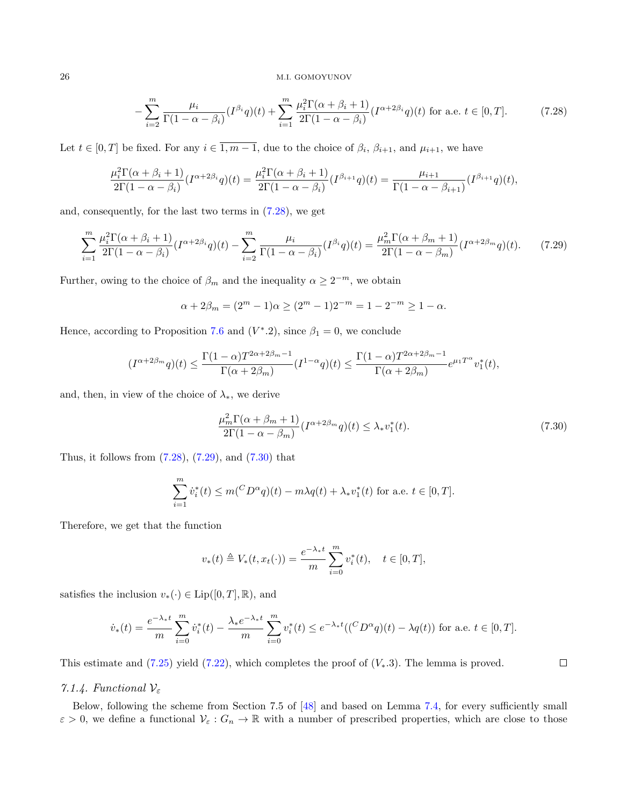<span id="page-25-0"></span>
$$
-\sum_{i=2}^{m} \frac{\mu_i}{\Gamma(1-\alpha-\beta_i)} (I^{\beta_i}q)(t) + \sum_{i=1}^{m} \frac{\mu_i^2 \Gamma(\alpha+\beta_i+1)}{2\Gamma(1-\alpha-\beta_i)} (I^{\alpha+2\beta_i}q)(t) \text{ for a.e. } t \in [0, T].
$$
 (7.28)

Let  $t \in [0, T]$  be fixed. For any  $i \in 1, m - 1$ , due to the choice of  $\beta_i$ ,  $\beta_{i+1}$ , and  $\mu_{i+1}$ , we have

$$
\frac{\mu_i^2 \Gamma(\alpha + \beta_i + 1)}{2\Gamma(1 - \alpha - \beta_i)} (I^{\alpha + 2\beta_i} q)(t) = \frac{\mu_i^2 \Gamma(\alpha + \beta_i + 1)}{2\Gamma(1 - \alpha - \beta_i)} (I^{\beta_{i+1}} q)(t) = \frac{\mu_{i+1}}{\Gamma(1 - \alpha - \beta_{i+1})} (I^{\beta_{i+1}} q)(t),
$$

and, consequently, for the last two terms in [\(7.28\)](#page-25-0), we get

<span id="page-25-1"></span>
$$
\sum_{i=1}^{m} \frac{\mu_i^2 \Gamma(\alpha + \beta_i + 1)}{2\Gamma(1 - \alpha - \beta_i)} (I^{\alpha + 2\beta_i} q)(t) - \sum_{i=2}^{m} \frac{\mu_i}{\Gamma(1 - \alpha - \beta_i)} (I^{\beta_i} q)(t) = \frac{\mu_m^2 \Gamma(\alpha + \beta_m + 1)}{2\Gamma(1 - \alpha - \beta_m)} (I^{\alpha + 2\beta_m} q)(t).
$$
 (7.29)

Further, owing to the choice of  $\beta_m$  and the inequality  $\alpha \geq 2^{-m}$ , we obtain

$$
\alpha + 2\beta_m = (2^m - 1)\alpha \ge (2^m - 1)2^{-m} = 1 - 2^{-m} \ge 1 - \alpha.
$$

Hence, according to Proposition [7.6](#page-22-0) and  $(V^*, 2)$ , since  $\beta_1 = 0$ , we conclude

$$
(I^{\alpha+2\beta_m}q)(t) \le \frac{\Gamma(1-\alpha)T^{2\alpha+2\beta_m-1}}{\Gamma(\alpha+2\beta_m)}(I^{1-\alpha}q)(t) \le \frac{\Gamma(1-\alpha)T^{2\alpha+2\beta_m-1}}{\Gamma(\alpha+2\beta_m)}e^{\mu_1T^{\alpha}}v_1^*(t),
$$

and, then, in view of the choice of  $\lambda_*,$  we derive

<span id="page-25-2"></span>
$$
\frac{\mu_m^2 \Gamma(\alpha + \beta_m + 1)}{2\Gamma(1 - \alpha - \beta_m)} (I^{\alpha + 2\beta_m} q)(t) \le \lambda_* v_1^*(t). \tag{7.30}
$$

Thus, it follows from  $(7.28)$ ,  $(7.29)$ , and  $(7.30)$  that

$$
\sum_{i=1}^{m} \dot{v}_i^*(t) \le m({^CD^\alpha q})(t) - m\lambda q(t) + \lambda_* v_1^*(t)
$$
 for a.e.  $t \in [0, T].$ 

Therefore, we get that the function

$$
v_*(t) \triangleq V_*(t, x_t(\cdot)) = \frac{e^{-\lambda_* t}}{m} \sum_{i=0}^m v_i^*(t), \quad t \in [0, T],
$$

satisfies the inclusion  $v_*(\cdot) \in \text{Lip}([0,T],\mathbb{R})$ , and

$$
\dot{v}_*(t) = \frac{e^{-\lambda_* t}}{m} \sum_{i=0}^m \dot{v}_i^*(t) - \frac{\lambda_* e^{-\lambda_* t}}{m} \sum_{i=0}^m v_i^*(t) \le e^{-\lambda_* t} (({}^C D^{\alpha} q)(t) - \lambda q(t)) \text{ for a.e. } t \in [0, T].
$$

This estimate and [\(7.25\)](#page-23-1) yield [\(7.22\)](#page-21-2), which completes the proof of  $(V_*,3)$ . The lemma is proved.

## $\Box$

### <span id="page-25-3"></span>7.1.4. Functional  $\mathcal{V}_{\varepsilon}$

Below, following the scheme from Section 7.5 of [\[48\]](#page-35-8) and based on Lemma [7.4,](#page-21-1) for every sufficiently small  $\varepsilon > 0$ , we define a functional  $\mathcal{V}_{\varepsilon}: G_n \to \mathbb{R}$  with a number of prescribed properties, which are close to those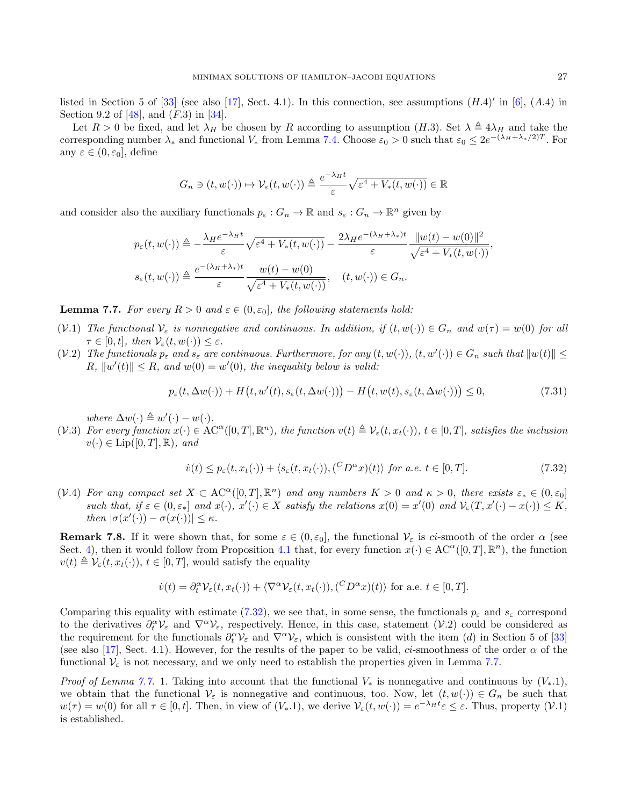listed in Section 5 of  $[33]$  (see also  $[17]$ , Sect. 4.1). In this connection, see assumptions  $(H.4)$ <sup>'</sup> in  $[6]$ ,  $(A.4)$  in Section 9.2 of  $[48]$ , and  $(F.3)$  in  $[34]$ .

Let  $R > 0$  be fixed, and let  $\lambda_H$  be chosen by R according to assumption  $(H.3)$ . Set  $\lambda \triangleq 4\lambda_H$  and take the corresponding number  $\lambda_*$  and functional  $V_*$  from Lemma [7.4.](#page-21-1) Choose  $\varepsilon_0 > 0$  such that  $\varepsilon_0 \leq 2e^{-(\lambda_H + \lambda_*/2)T}$ . For any  $\varepsilon \in (0, \varepsilon_0]$ , define

$$
G_n \ni (t, w(\cdot)) \mapsto \mathcal{V}_{\varepsilon}(t, w(\cdot)) \triangleq \frac{e^{-\lambda_H t}}{\varepsilon} \sqrt{\varepsilon^4 + V_*(t, w(\cdot))} \in \mathbb{R}
$$

and consider also the auxiliary functionals  $p_{\varepsilon}: G_n \to \mathbb{R}$  and  $s_{\varepsilon}: G_n \to \mathbb{R}^n$  given by

$$
p_{\varepsilon}(t, w(\cdot)) \triangleq -\frac{\lambda_{H}e^{-\lambda_{H}t}}{\varepsilon} \sqrt{\varepsilon^{4} + V_{*}(t, w(\cdot))} - \frac{2\lambda_{H}e^{-(\lambda_{H} + \lambda_{*})t}}{\varepsilon} \frac{\|w(t) - w(0)\|^{2}}{\sqrt{\varepsilon^{4} + V_{*}(t, w(\cdot))}},
$$

$$
s_{\varepsilon}(t, w(\cdot)) \triangleq \frac{e^{-(\lambda_{H} + \lambda_{*})t}}{\varepsilon} \frac{w(t) - w(0)}{\sqrt{\varepsilon^{4} + V_{*}(t, w(\cdot))}}, \quad (t, w(\cdot)) \in G_{n}.
$$

<span id="page-26-1"></span>**Lemma 7.7.** For every  $R > 0$  and  $\varepsilon \in (0, \varepsilon_0]$ , the following statements hold:

- (V.1) The functional  $V_{\varepsilon}$  is nonnegative and continuous. In addition, if  $(t, w(\cdot)) \in G_n$  and  $w(\tau) = w(0)$  for all  $\tau \in [0, t], \text{ then } \mathcal{V}_{\varepsilon}(t, w(\cdot)) \leq \varepsilon.$
- (V.2) The functionals  $p_{\varepsilon}$  and  $s_{\varepsilon}$  are continuous. Furthermore, for any  $(t, w(\cdot))$ ,  $(t, w'(\cdot)) \in G_n$  such that  $||w(t)|| \le$  $R, ||w'(t)|| \leq R, and w(0) = w'(0), the inequality below is valid:$

<span id="page-26-2"></span>
$$
p_{\varepsilon}(t, \Delta w(\cdot)) + H(t, w'(t), s_{\varepsilon}(t, \Delta w(\cdot))) - H(t, w(t), s_{\varepsilon}(t, \Delta w(\cdot))) \le 0,
$$
\n(7.31)

where  $\Delta w(\cdot) \triangleq w'(\cdot) - w(\cdot)$ .

(V.3) For every function  $x(\cdot) \in AC^{\alpha}([0,T], \mathbb{R}^n)$ , the function  $v(t) \triangleq V_{\varepsilon}(t, x_t(\cdot))$ ,  $t \in [0,T]$ , satisfies the inclusion  $v(\cdot) \in \text{Lip}([0,T],\mathbb{R})$ , and

<span id="page-26-0"></span>
$$
\dot{v}(t) \le p_{\varepsilon}(t, x_t(\cdot)) + \langle s_{\varepsilon}(t, x_t(\cdot)), (\,^C D^{\alpha} x)(t) \rangle \text{ for a.e. } t \in [0, T]. \tag{7.32}
$$

(V.4) For any compact set  $X \subset AC^{\alpha}([0,T], \mathbb{R}^n)$  and any numbers  $K > 0$  and  $\kappa > 0$ , there exists  $\varepsilon_* \in (0, \varepsilon_0]$ such that, if  $\varepsilon \in (0, \varepsilon_*)$  and  $x(\cdot), x'(\cdot) \in X$  satisfy the relations  $x(0) = x'(0)$  and  $\mathcal{V}_{\varepsilon}(T, x'(\cdot) - x(\cdot)) \leq K$ , then  $|\sigma(x'(\cdot)) - \sigma(x(\cdot))| \leq \kappa$ .

**Remark 7.8.** If it were shown that, for some  $\varepsilon \in (0, \varepsilon_0]$ , the functional  $V_{\varepsilon}$  is ci-smooth of the order  $\alpha$  (see Sect. [4\)](#page-5-0), then it would follow from Proposition [4.1](#page-5-5) that, for every function  $x(\cdot) \in AC^{\alpha}([0,T], \mathbb{R}^n)$ , the function  $v(t) \triangleq \mathcal{V}_{\varepsilon}(t, x_t(\cdot)), t \in [0, T],$  would satisfy the equality

$$
\dot{v}(t) = \partial_t^{\alpha} \mathcal{V}_{\varepsilon}(t, x_t(\cdot)) + \langle \nabla^{\alpha} \mathcal{V}_{\varepsilon}(t, x_t(\cdot)), (\mathcal{C} D^{\alpha} x)(t) \rangle \text{ for a.e. } t \in [0, T].
$$

Comparing this equality with estimate [\(7.32\)](#page-26-0), we see that, in some sense, the functionals  $p_{\varepsilon}$  and  $s_{\varepsilon}$  correspond to the derivatives  $\partial_t^{\alpha} \mathcal{V}_{\varepsilon}$  and  $\nabla^{\alpha} \mathcal{V}_{\varepsilon}$ , respectively. Hence, in this case, statement  $(\mathcal{V}.2)$  could be considered as the requirement for the functionals  $\partial_t^{\alpha} V_{\varepsilon}$  and  $\nabla^{\alpha} V_{\varepsilon}$ , which is consistent with the item (*d*) in Section 5 of [\[33\]](#page-34-25) (see also [\[17\]](#page-34-19), Sect. 4.1). However, for the results of the paper to be valid, ci-smoothness of the order  $\alpha$  of the functional  $\mathcal{V}_{\varepsilon}$  is not necessary, and we only need to establish the properties given in Lemma [7.7.](#page-26-1)

*Proof of Lemma [7.7.](#page-26-1)* 1. Taking into account that the functional  $V_*$  is nonnegative and continuous by  $(V_*.1)$ , we obtain that the functional  $V_{\varepsilon}$  is nonnegative and continuous, too. Now, let  $(t, w(\cdot)) \in G_n$  be such that  $w(\tau) = w(0)$  for all  $\tau \in [0, t]$ . Then, in view of  $(V_*, 1)$ , we derive  $\mathcal{V}_{\varepsilon}(t, w(\cdot)) = e^{-\lambda_H t} \varepsilon \leq \varepsilon$ . Thus, property  $(\mathcal{V}.1)$ is established.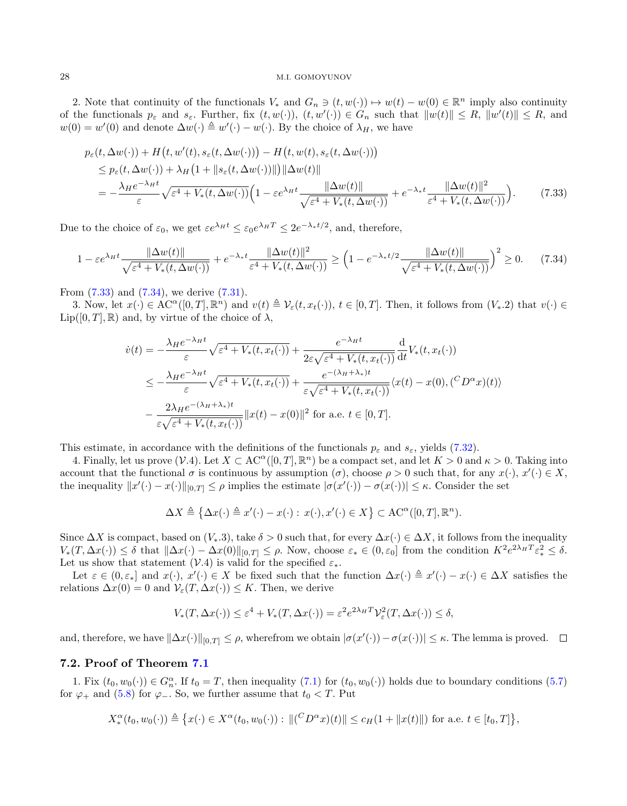2. Note that continuity of the functionals  $V_*$  and  $G_n \ni (t, w(\cdot)) \mapsto w(t) - w(0) \in \mathbb{R}^n$  imply also continuity of the functionals  $p_{\varepsilon}$  and  $s_{\varepsilon}$ . Further, fix  $(t, w(\cdot))$ ,  $(t, w'(\cdot)) \in G_n$  such that  $||w(t)|| \le R$ ,  $||w'(t)|| \le R$ , and  $w(0) = w'(0)$  and denote  $\Delta w(\cdot) \triangleq w'(\cdot) - w(\cdot)$ . By the choice of  $\lambda_H$ , we have

$$
p_{\varepsilon}(t, \Delta w(\cdot)) + H(t, w'(t), s_{\varepsilon}(t, \Delta w(\cdot))) - H(t, w(t), s_{\varepsilon}(t, \Delta w(\cdot)))
$$
  
\n
$$
\leq p_{\varepsilon}(t, \Delta w(\cdot)) + \lambda_H \left(1 + \|s_{\varepsilon}(t, \Delta w(\cdot))\|\right) \|\Delta w(t)\|
$$
  
\n
$$
= -\frac{\lambda_H e^{-\lambda_H t}}{\varepsilon} \sqrt{\varepsilon^4 + V_*(t, \Delta w(\cdot))} \left(1 - \varepsilon e^{\lambda_H t} \frac{\|\Delta w(t)\|}{\sqrt{\varepsilon^4 + V_*(t, \Delta w(\cdot))}} + e^{-\lambda_* t} \frac{\|\Delta w(t)\|^2}{\varepsilon^4 + V_*(t, \Delta w(\cdot))}\right). \tag{7.33}
$$

Due to the choice of  $\varepsilon_0$ , we get  $\varepsilon e^{\lambda_H t} \leq \varepsilon_0 e^{\lambda_H T} \leq 2e^{-\lambda_* t/2}$ , and, therefore,

<span id="page-27-1"></span>
$$
1 - \varepsilon e^{\lambda_H t} \frac{\|\Delta w(t)\|}{\sqrt{\varepsilon^4 + V_*(t, \Delta w(\cdot))}} + e^{-\lambda_* t} \frac{\|\Delta w(t)\|^2}{\varepsilon^4 + V_*(t, \Delta w(\cdot))} \ge \left(1 - e^{-\lambda_* t/2} \frac{\|\Delta w(t)\|}{\sqrt{\varepsilon^4 + V_*(t, \Delta w(\cdot))}}\right)^2 \ge 0. \tag{7.34}
$$

From [\(7.33\)](#page-27-0) and [\(7.34\)](#page-27-1), we derive [\(7.31\)](#page-26-2).

3. Now, let  $x(\cdot) \in \mathrm{AC}^{\alpha}([0,T], \mathbb{R}^n)$  and  $v(t) \triangleq \mathcal{V}_{\varepsilon}(t, x_t(\cdot)), t \in [0,T]$ . Then, it follows from  $(V_*\cdot 2)$  that  $v(\cdot) \in$  $\text{Lip}([0,T],\mathbb{R})$  and, by virtue of the choice of  $\lambda$ ,

<span id="page-27-0"></span>
$$
\dot{v}(t) = -\frac{\lambda_H e^{-\lambda_H t}}{\varepsilon} \sqrt{\varepsilon^4 + V_*(t, x_t(\cdot))} + \frac{e^{-\lambda_H t}}{2\varepsilon \sqrt{\varepsilon^4 + V_*(t, x_t(\cdot))}} \frac{d}{dt} V_*(t, x_t(\cdot))
$$
  

$$
\leq -\frac{\lambda_H e^{-\lambda_H t}}{\varepsilon} \sqrt{\varepsilon^4 + V_*(t, x_t(\cdot))} + \frac{e^{-(\lambda_H + \lambda_*)t}}{\varepsilon \sqrt{\varepsilon^4 + V_*(t, x_t(\cdot))}} \langle x(t) - x(0), (^C D^{\alpha} x)(t) \rangle
$$
  

$$
-\frac{2\lambda_H e^{-(\lambda_H + \lambda_*)t}}{\varepsilon \sqrt{\varepsilon^4 + V_*(t, x_t(\cdot))}} \|x(t) - x(0)\|^2 \text{ for a.e. } t \in [0, T].
$$

This estimate, in accordance with the definitions of the functionals  $p_{\varepsilon}$  and  $s_{\varepsilon}$ , yields [\(7.32\)](#page-26-0).

4. Finally, let us prove  $(\mathcal{V} \cdot 4)$ . Let  $X \subset AC^{\alpha}([0,T], \mathbb{R}^n)$  be a compact set, and let  $K > 0$  and  $\kappa > 0$ . Taking into account that the functional  $\sigma$  is continuous by assumption  $(\sigma)$ , choose  $\rho > 0$  such that, for any  $x(\cdot), x'(\cdot) \in X$ , the inequality  $||x'(\cdot) - x(\cdot)||_{[0,T]} \leq \rho$  implies the estimate  $|\sigma(x'(\cdot)) - \sigma(x(\cdot))| \leq \kappa$ . Consider the set

$$
\Delta X \triangleq \{ \Delta x(\cdot) \triangleq x'(\cdot) - x(\cdot) : x(\cdot), x'(\cdot) \in X \} \subset \mathrm{AC}^{\alpha}([0, T], \mathbb{R}^n).
$$

Since  $\Delta X$  is compact, based on  $(V_*,3)$ , take  $\delta > 0$  such that, for every  $\Delta x(\cdot) \in \Delta X$ , it follows from the inequality  $V_*(T, \Delta x(\cdot)) \leq \delta$  that  $\|\Delta x(\cdot) - \Delta x(0)\|_{[0,T]} \leq \rho$ . Now, choose  $\varepsilon_* \in (0, \varepsilon_0]$  from the condition  $K^2 e^{2\lambda_H T} \varepsilon_*^2 \leq \delta$ . Let us show that statement (V.4) is valid for the specified  $\varepsilon_*$ .

Let  $\varepsilon \in (0, \varepsilon_*]$  and  $x(\cdot), x'(\cdot) \in X$  be fixed such that the function  $\Delta x(\cdot) \triangleq x'(\cdot) - x(\cdot) \in \Delta X$  satisfies the relations  $\Delta x(0) = 0$  and  $\mathcal{V}_{\varepsilon}(T, \Delta x(\cdot)) \leq K$ . Then, we derive

$$
V_*(T, \Delta x(\cdot)) \le \varepsilon^4 + V_*(T, \Delta x(\cdot)) = \varepsilon^2 e^{2\lambda_H T} \mathcal{V}_\varepsilon^2(T, \Delta x(\cdot)) \le \delta,
$$

and, therefore, we have  $\|\Delta x(\cdot)\|_{[0,T]} \leq \rho$ , wherefrom we obtain  $|\sigma(x'(\cdot)) - \sigma(x(\cdot))| \leq \kappa$ . The lemma is proved.

### 7.2. Proof of Theorem [7.1](#page-14-3)

1. Fix  $(t_0, w_0(\cdot)) \in G_n^{\alpha}$ . If  $t_0 = T$ , then inequality  $(7.1)$  for  $(t_0, w_0(\cdot))$  holds due to boundary conditions  $(5.7)$ for  $\varphi_+$  and [\(5.8\)](#page-10-3) for  $\varphi_-$ . So, we further assume that  $t_0 < T$ . Put

$$
X_*^{\alpha}(t_0, w_0(\cdot)) \triangleq \{x(\cdot) \in X^{\alpha}(t_0, w_0(\cdot)) : ||({^C}D^{\alpha}x)(t)|| \leq c_H(1 + ||x(t)||) \text{ for a.e. } t \in [t_0, T] \},
$$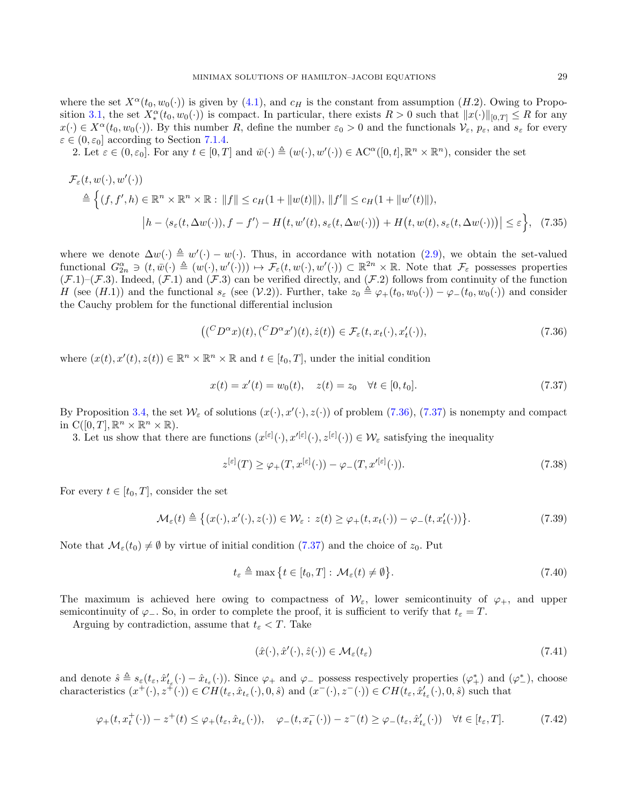where the set  $X^{\alpha}(t_0, w_0(\cdot))$  is given by [\(4.1\)](#page-5-6), and  $c_H$  is the constant from assumption (H.2). Owing to Propo-sition [3.1,](#page-4-2) the set  $X_*^{\alpha}(t_0, w_0(\cdot))$  is compact. In particular, there exists  $R > 0$  such that  $||x(\cdot)||_{[0,T]} \leq R$  for any  $x(\cdot) \in X^{\alpha}(t_0, w_0(\cdot))$ . By this number R, define the number  $\varepsilon_0 > 0$  and the functionals  $\mathcal{V}_{\varepsilon}$ ,  $p_{\varepsilon}$ , and  $s_{\varepsilon}$  for every  $\varepsilon \in (0, \varepsilon_0]$  according to Section [7.1.4.](#page-25-3)

2. Let  $\varepsilon \in (0, \varepsilon_0]$ . For any  $t \in [0, T]$  and  $\overline{w}(\cdot) \triangleq (w(\cdot), w'(\cdot)) \in \mathrm{AC}^{\alpha}([0, t], \mathbb{R}^n \times \mathbb{R}^n)$ , consider the set

$$
\mathcal{F}_{\varepsilon}(t, w(\cdot), w'(\cdot))
$$
\n
$$
\triangleq \Big\{ (f, f', h) \in \mathbb{R}^n \times \mathbb{R}^n \times \mathbb{R} : \|f\| \le c_H (1 + \|w(t)\|), \|f'\| \le c_H (1 + \|w'(t)\|),
$$
\n
$$
|h - \langle s_{\varepsilon}(t, \Delta w(\cdot)), f - f' \rangle - H(t, w'(t), s_{\varepsilon}(t, \Delta w(\cdot))) + H(t, w(t), s_{\varepsilon}(t, \Delta w(\cdot))) \Big| \le \varepsilon \Big\}, \quad (7.35)
$$

where we denote  $\Delta w(\cdot) \triangleq w'(\cdot) - w(\cdot)$ . Thus, in accordance with notation [\(2.9\)](#page-3-4), we obtain the set-valued functional  $G_{2n}^{\alpha} \ni (t, \overline{w}(\cdot) \triangleq (w(\cdot), w'(\cdot))) \mapsto \mathcal{F}_{\varepsilon}(t, w(\cdot), w'(\cdot)) \subset \mathbb{R}^{2n} \times \mathbb{R}$ . Note that  $\mathcal{F}_{\varepsilon}$  possesses properties  $(\mathcal{F}.1)$ – $(\mathcal{F}.3)$ . Indeed,  $(\mathcal{F}.1)$  and  $(\mathcal{F}.3)$  can be verified directly, and  $(\mathcal{F}.2)$  follows from continuity of the function H (see (H.1)) and the functional  $s_{\varepsilon}$  (see (V.2)). Further, take  $z_0 \triangleq \varphi_+(t_0, w_0(\cdot)) - \varphi_-(t_0, w_0(\cdot))$  and consider the Cauchy problem for the functional differential inclusion

<span id="page-28-2"></span><span id="page-28-0"></span>
$$
((^{C}D^{\alpha}x)(t), (^{C}D^{\alpha}x')(t), \dot{z}(t)) \in \mathcal{F}_{\varepsilon}(t, x_{t}(\cdot), x'_{t}(\cdot)), \qquad (7.36)
$$

where  $(x(t), x'(t), z(t)) \in \mathbb{R}^n \times \mathbb{R}^n \times \mathbb{R}$  and  $t \in [t_0, T]$ , under the initial condition

<span id="page-28-1"></span>
$$
x(t) = x'(t) = w_0(t), \quad z(t) = z_0 \quad \forall t \in [0, t_0].
$$
\n(7.37)

By Proposition [3.4,](#page-5-4) the set  $\mathcal{W}_{\varepsilon}$  of solutions  $(x(\cdot), x'(\cdot), z(\cdot))$  of problem  $(7.36)$ ,  $(7.37)$  is nonempty and compact in  $C([0,T], \mathbb{R}^n \times \mathbb{R}^n \times \mathbb{R})$ .

3. Let us show that there are functions  $(x^{[\varepsilon]}(\cdot), x'^{[\varepsilon]}(\cdot), z^{[\varepsilon]}(\cdot)) \in \mathcal{W}_{\varepsilon}$  satisfying the inequality

<span id="page-28-7"></span>
$$
z^{[\varepsilon]}(T) \ge \varphi_+(T, x^{[\varepsilon]}(\cdot)) - \varphi_-(T, x'^{[\varepsilon]}(\cdot)).\tag{7.38}
$$

For every  $t \in [t_0, T]$ , consider the set

<span id="page-28-3"></span>
$$
\mathcal{M}_{\varepsilon}(t) \triangleq \big\{ (x(\cdot), x'(\cdot), z(\cdot)) \in \mathcal{W}_{\varepsilon} : z(t) \ge \varphi_+(t, x_t(\cdot)) - \varphi_-(t, x'_t(\cdot)) \big\}.
$$
\n(7.39)

Note that  $\mathcal{M}_{\varepsilon}(t_0) \neq \emptyset$  by virtue of initial condition [\(7.37\)](#page-28-1) and the choice of  $z_0$ . Put

<span id="page-28-6"></span>
$$
t_{\varepsilon} \triangleq \max \left\{ t \in [t_0, T] : \mathcal{M}_{\varepsilon}(t) \neq \emptyset \right\}.
$$
\n(7.40)

The maximum is achieved here owing to compactness of  $\mathcal{W}_{\varepsilon}$ , lower semicontinuity of  $\varphi_+$ , and upper semicontinuity of  $\varphi$ . So, in order to complete the proof, it is sufficient to verify that  $t_{\varepsilon} = T$ .

Arguing by contradiction, assume that  $t_{\varepsilon} < T$ . Take

<span id="page-28-4"></span>
$$
(\hat{x}(\cdot), \hat{x}'(\cdot), \hat{z}(\cdot)) \in \mathcal{M}_{\varepsilon}(t_{\varepsilon})\tag{7.41}
$$

and denote  $\hat{s} \triangleq s_{\varepsilon}(t_{\varepsilon}, \hat{x}'_{t_{\varepsilon}}(\cdot) - \hat{x}_{t_{\varepsilon}}(\cdot))$ . Since  $\varphi_+$  and  $\varphi_-$  possess respectively properties  $(\varphi_+^*)$  and  $(\varphi_-^*)$ , choose characteristics  $(x^+(\cdot), z^{\dagger}(\cdot)) \in CH(t_\varepsilon, \hat{x}_{t_\varepsilon}(\cdot), 0, \hat{s})$  and  $(x^-(\cdot), z^-(\cdot)) \in CH(t_\varepsilon, \hat{x}'_{t_\varepsilon}(\cdot), 0, \hat{s})$  such that

<span id="page-28-5"></span>
$$
\varphi_+(t, x_t^+(\cdot)) - z^+(t) \le \varphi_+(t_\varepsilon, \hat{x}_{t_\varepsilon}(\cdot)), \quad \varphi_-(t, x_t^-(\cdot)) - z^-(t) \ge \varphi_-(t_\varepsilon, \hat{x}'_{t_\varepsilon}(\cdot)) \quad \forall t \in [t_\varepsilon, T]. \tag{7.42}
$$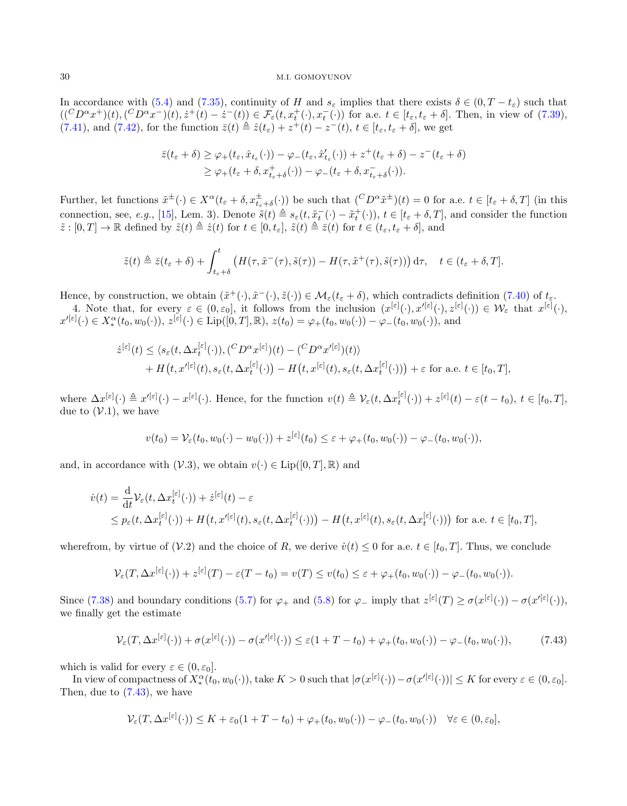In accordance with [\(5.4\)](#page-9-2) and [\(7.35\)](#page-28-2), continuity of H and  $s_{\varepsilon}$  implies that there exists  $\delta \in (0, T - t_{\varepsilon})$  such that  $((^C D^{\alpha} x^+)(t), (^C D^{\alpha} x^-)(t), \dot{z}^+(t) - \dot{z}^-(t)) \in \mathcal{F}_{\varepsilon}(t, x_t^+(\cdot), x_t^-(\cdot))$  for a.e.  $t \in [t_{\varepsilon}, t_{\varepsilon} + \delta]$ . Then, in view of  $(7.39)$ , [\(7.41\)](#page-28-4), and [\(7.42\)](#page-28-5), for the function  $\bar{z}(t) \triangleq \hat{z}(t_{\varepsilon}) + z^{+}(t) - z^{-}(t), t \in [t_{\varepsilon}, t_{\varepsilon} + \delta]$ , we get

$$
\bar{z}(t_{\varepsilon} + \delta) \geq \varphi_{+}(t_{\varepsilon}, \hat{x}_{t_{\varepsilon}}(\cdot)) - \varphi_{-}(t_{\varepsilon}, \hat{x}'_{t_{\varepsilon}}(\cdot)) + z^{+}(t_{\varepsilon} + \delta) - z^{-}(t_{\varepsilon} + \delta) \geq \varphi_{+}(t_{\varepsilon} + \delta, x^{+}_{t_{\varepsilon} + \delta}(\cdot)) - \varphi_{-}(t_{\varepsilon} + \delta, x^{-}_{t_{\varepsilon} + \delta}(\cdot)).
$$

Further, let functions  $\tilde{x}^{\pm}(\cdot) \in X^{\alpha}(t_{\varepsilon} + \delta, x_{t_{\varepsilon}+\delta}^{\pm}(\cdot))$  be such that  $({}^C D^{\alpha} \tilde{x}^{\pm})(t) = 0$  for a.e.  $t \in [t_{\varepsilon} + \delta, T]$  (in this connection, see, e.g., [\[15\]](#page-34-24), Lem. 3). Denote  $\tilde{s}(t) \triangleq s_{\varepsilon}(t, \tilde{x}_{t}^{-}(\cdot) - \tilde{x}_{t}^{+}(\cdot)), t \in [t_{\varepsilon} + \delta, T]$ , and consider the function  $\tilde{z}: [0,T] \to \mathbb{R}$  defined by  $\tilde{z}(t) \triangleq \hat{z}(t)$  for  $t \in [0,t_{\varepsilon}], \, \tilde{z}(t) \triangleq \tilde{z}(t)$  for  $t \in (t_{\varepsilon}, t_{\varepsilon} + \delta],$  and

$$
\tilde{z}(t) \triangleq \bar{z}(t_{\varepsilon} + \delta) + \int_{t_{\varepsilon} + \delta}^{t} \left( H(\tau, \tilde{x}^{-}(\tau), \tilde{s}(\tau)) - H(\tau, \tilde{x}^{+}(\tau), \tilde{s}(\tau)) \right) d\tau, \quad t \in (t_{\varepsilon} + \delta, T].
$$

Hence, by construction, we obtain  $(\tilde{x}^+(\cdot), \tilde{x}^-(\cdot), \tilde{z}(\cdot)) \in \mathcal{M}_{\varepsilon}(t_{\varepsilon} + \delta)$ , which contradicts definition [\(7.40\)](#page-28-6) of  $t_{\varepsilon}$ .

4. Note that, for every  $\varepsilon \in (0, \varepsilon_0]$ , it follows from the inclusion  $(x^{[\varepsilon]}(\cdot), x'^{[\varepsilon]}(\cdot), z^{[\varepsilon]}(\cdot)) \in \mathcal{W}_{\varepsilon}$  that  $x^{[\varepsilon]}(\cdot),$  $x'^{[\varepsilon]}(\cdot) \in X_*^{\alpha}(t_0, w_0(\cdot)), z^{[\varepsilon]}(\cdot) \in \text{Lip}([0, T], \mathbb{R}), z(t_0) = \varphi_+(t_0, w_0(\cdot)) - \varphi_-(t_0, w_0(\cdot)),$  and

$$
\dot{z}^{[\varepsilon]}(t) \leq \langle s_{\varepsilon}(t, \Delta x_t^{[\varepsilon]}(\cdot)), (\mathcal{C}D^{\alpha} x^{[\varepsilon]})(t) - (\mathcal{C}D^{\alpha} x'^{[\varepsilon]})(t) \rangle + H(t, x'^{[\varepsilon]}(t), s_{\varepsilon}(t, \Delta x_t^{[\varepsilon]}(\cdot)) - H(t, x^{[\varepsilon]}(t), s_{\varepsilon}(t, \Delta x_t^{[\varepsilon]}(\cdot))) + \varepsilon \text{ for a.e. } t \in [t_0, T],
$$

where  $\Delta x^{[\varepsilon]}(\cdot) \triangleq x'^{[\varepsilon]}(\cdot) - x^{[\varepsilon]}(\cdot)$ . Hence, for the function  $v(t) \triangleq \mathcal{V}_{\varepsilon}(t, \Delta x_t^{[\varepsilon]}(\cdot)) + z^{[\varepsilon]}(t) - \varepsilon(t - t_0), t \in [t_0, T]$ , due to  $(V.1)$ , we have

$$
v(t_0) = \mathcal{V}_{\varepsilon}(t_0, w_0(\cdot) - w_0(\cdot)) + z^{[\varepsilon]}(t_0) \leq \varepsilon + \varphi_+(t_0, w_0(\cdot)) - \varphi_-(t_0, w_0(\cdot)),
$$

and, in accordance with  $(V.3)$ , we obtain  $v(\cdot) \in \text{Lip}([0,T],\mathbb{R})$  and

$$
\dot{v}(t) = \frac{\mathrm{d}}{\mathrm{d}t} \mathcal{V}_{\varepsilon}(t, \Delta x_t^{[\varepsilon]}(\cdot)) + \dot{z}^{[\varepsilon]}(t) - \varepsilon
$$
\n
$$
\leq p_{\varepsilon}(t, \Delta x_t^{[\varepsilon]}(\cdot)) + H\big(t, x'^{[\varepsilon]}(t), s_{\varepsilon}(t, \Delta x_t^{[\varepsilon]}(\cdot))\big) - H\big(t, x^{[\varepsilon]}(t), s_{\varepsilon}(t, \Delta x_t^{[\varepsilon]}(\cdot))\big) \text{ for a.e. } t \in [t_0, T],
$$

wherefrom, by virtue of (V.2) and the choice of R, we derive  $\dot{v}(t) \leq 0$  for a.e.  $t \in [t_0, T]$ . Thus, we conclude

$$
\mathcal{V}_{\varepsilon}(T,\Delta x^{[\varepsilon]}(\cdot))+z^{[\varepsilon]}(T)-\varepsilon(T-t_0)=v(T)\leq v(t_0)\leq \varepsilon+\varphi_+(t_0,w_0(\cdot))-\varphi_-(t_0,w_0(\cdot)).
$$

Since [\(7.38\)](#page-28-7) and boundary conditions [\(5.7\)](#page-10-2) for  $\varphi_+$  and [\(5.8\)](#page-10-3) for  $\varphi_-$  imply that  $z^{[\varepsilon]}(T) \ge \sigma(x^{[\varepsilon]}(\cdot)) - \sigma(x'^{[\varepsilon]}(\cdot)),$ we finally get the estimate

<span id="page-29-0"></span>
$$
\mathcal{V}_{\varepsilon}(T,\Delta x^{[\varepsilon]}(\cdot)) + \sigma(x^{[\varepsilon]}(\cdot)) - \sigma(x'^{[\varepsilon]}(\cdot)) \le \varepsilon(1+T-t_0) + \varphi_+(t_0,w_0(\cdot)) - \varphi_-(t_0,w_0(\cdot)),\tag{7.43}
$$

which is valid for every  $\varepsilon \in (0, \varepsilon_0]$ .

In view of compactness of  $X_*^{\alpha}(t_0, w_0(\cdot))$ , take  $K > 0$  such that  $|\sigma(x^{[\varepsilon]}(\cdot)) - \sigma(x'^{[\varepsilon]}(\cdot))| \leq K$  for every  $\varepsilon \in (0, \varepsilon_0]$ . Then, due to [\(7.43\)](#page-29-0), we have

$$
\mathcal{V}_{\varepsilon}(T,\Delta x^{[\varepsilon]}(\cdot)) \leq K + \varepsilon_0 (1+T-t_0) + \varphi_+(t_0,w_0(\cdot)) - \varphi_-(t_0,w_0(\cdot)) \quad \forall \varepsilon \in (0,\varepsilon_0],
$$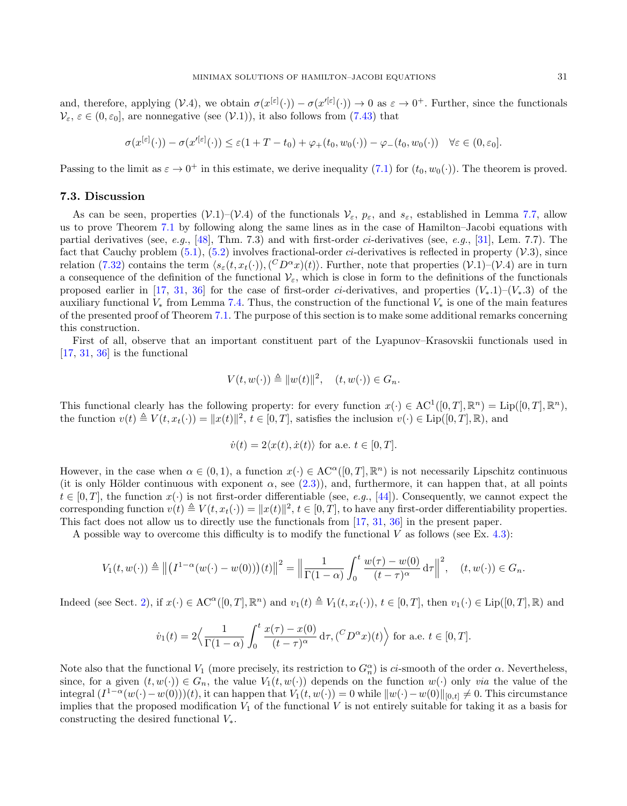and, therefore, applying  $(V.4)$ , we obtain  $\sigma(x^{[\varepsilon]}(\cdot)) - \sigma(x'^{[\varepsilon]}(\cdot)) \to 0$  as  $\varepsilon \to 0^+$ . Further, since the functionals  $V_{\varepsilon}$ ,  $\varepsilon \in (0, \varepsilon_0]$ , are nonnegative (see  $(V.1)$ ), it also follows from [\(7.43\)](#page-29-0) that

$$
\sigma(x^{|\varepsilon|}(\cdot)) - \sigma(x'^{|\varepsilon|}(\cdot)) \leq \varepsilon(1+T-t_0) + \varphi_+(t_0, w_0(\cdot)) - \varphi_-(t_0, w_0(\cdot)) \quad \forall \varepsilon \in (0, \varepsilon_0].
$$

Passing to the limit as  $\varepsilon \to 0^+$  in this estimate, we derive inequality [\(7.1\)](#page-14-4) for  $(t_0, w_0(\cdot))$ . The theorem is proved.

### <span id="page-30-0"></span>7.3. Discussion

As can be seen, properties  $(\mathcal{V}.1)-(V.4)$  of the functionals  $\mathcal{V}_{\varepsilon}$ ,  $p_{\varepsilon}$ , and  $s_{\varepsilon}$ , established in Lemma [7.7,](#page-26-1) allow us to prove Theorem [7.1](#page-14-3) by following along the same lines as in the case of Hamilton–Jacobi equations with partial derivatives (see, e.g., [\[48\]](#page-35-8), Thm. 7.3) and with first-order ci-derivatives (see, e.g., [\[31\]](#page-34-20), Lem. 7.7). The fact that Cauchy problem  $(5.1)$ ,  $(5.2)$  involves fractional-order *ci*-derivatives is reflected in property  $(V.3)$ , since relation [\(7.32\)](#page-26-0) contains the term  $\langle s_\varepsilon(t, x_t(\cdot)),(^CD^\alpha x)(t)\rangle$ . Further, note that properties  $(\mathcal{V}.1)$ – $(\mathcal{V}.4)$  are in turn a consequence of the definition of the functional  $V_{\varepsilon}$ , which is close in form to the definitions of the functionals proposed earlier in [\[17,](#page-34-19) [31,](#page-34-20) [36\]](#page-35-10) for the case of first-order ci-derivatives, and properties  $(V_*,1)-(V_*,3)$  of the auxiliary functional  $V_*$  from Lemma [7.4.](#page-21-1) Thus, the construction of the functional  $V_*$  is one of the main features of the presented proof of Theorem [7.1.](#page-14-3) The purpose of this section is to make some additional remarks concerning this construction.

First of all, observe that an important constituent part of the Lyapunov–Krasovskii functionals used in  $[17, 31, 36]$  $[17, 31, 36]$  $[17, 31, 36]$  $[17, 31, 36]$  $[17, 31, 36]$  is the functional

$$
V(t, w(\cdot)) \triangleq ||w(t)||^2, \quad (t, w(\cdot)) \in G_n.
$$

This functional clearly has the following property: for every function  $x(\cdot) \in AC^1([0,T], \mathbb{R}^n) = \text{Lip}([0,T], \mathbb{R}^n)$ , the function  $v(t) \triangleq V(t, x_t(\cdot)) = ||x(t)||^2$ ,  $t \in [0, T]$ , satisfies the inclusion  $v(\cdot) \in \text{Lip}([0, T], \mathbb{R})$ , and

$$
\dot{v}(t) = 2\langle x(t), \dot{x}(t) \rangle
$$
 for a.e.  $t \in [0, T]$ .

However, in the case when  $\alpha \in (0,1)$ , a function  $x(\cdot) \in \mathrm{AC}^{\alpha}([0,T],\mathbb{R}^n)$  is not necessarily Lipschitz continuous (it is only Hölder continuous with exponent  $\alpha$ , see [\(2.3\)](#page-2-6)), and, furthermore, it can happen that, at all points  $t \in [0, T]$ , the function  $x(\cdot)$  is not first-order differentiable (see, e.g., [\[44\]](#page-35-15)). Consequently, we cannot expect the corresponding function  $v(t) \triangleq V(t, x_t(\cdot)) = ||x(t)||^2$ ,  $t \in [0, T]$ , to have any first-order differentiability properties. This fact does not allow us to directly use the functionals from [\[17,](#page-34-19) [31,](#page-34-20) [36\]](#page-35-10) in the present paper.

A possible way to overcome this difficulty is to modify the functional V as follows (see Ex. [4.3\)](#page-6-2):

$$
V_1(t, w(\cdot)) \triangleq ||(I^{1-\alpha}(w(\cdot)-w(0))) (t)||^2 = ||\frac{1}{\Gamma(1-\alpha)} \int_0^t \frac{w(\tau) - w(0)}{(t-\tau)^{\alpha}} d\tau||^2, \quad (t, w(\cdot)) \in G_n.
$$

Indeed (see Sect. [2\)](#page-1-0), if  $x(\cdot) \in AC^{\alpha}([0,T], \mathbb{R}^n)$  and  $v_1(t) \triangleq V_1(t, x_t(\cdot))$ ,  $t \in [0,T]$ , then  $v_1(\cdot) \in Lip([0,T], \mathbb{R})$  and

$$
\dot{v}_1(t) = 2 \Big\langle \frac{1}{\Gamma(1-\alpha)} \int_0^t \frac{x(\tau) - x(0)}{(t-\tau)^\alpha} d\tau, (^C D^\alpha x)(t) \Big\rangle \text{ for a.e. } t \in [0, T].
$$

Note also that the functional  $V_1$  (more precisely, its restriction to  $G_n^{\alpha}$ ) is ci-smooth of the order  $\alpha$ . Nevertheless, since, for a given  $(t, w(\cdot)) \in G_n$ , the value  $V_1(t, w(\cdot))$  depends on the function  $w(\cdot)$  only via the value of the integral  $(I^{1-\alpha}(w(\cdot)-w(0)))(t)$ , it can happen that  $V_1(t, w(\cdot)) = 0$  while  $||w(\cdot)-w(0)||_{[0,t]} \neq 0$ . This circumstance implies that the proposed modification  $V_1$  of the functional V is not entirely suitable for taking it as a basis for constructing the desired functional  $V_*$ .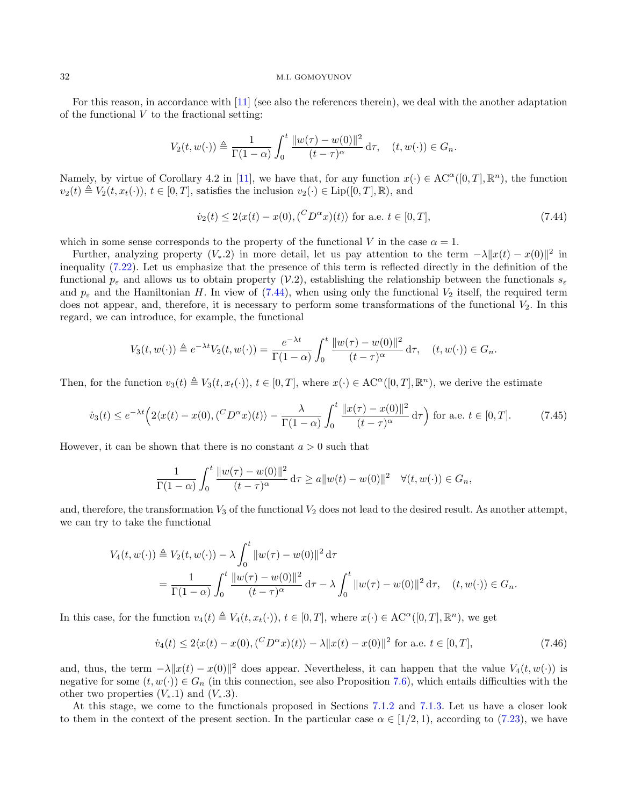For this reason, in accordance with [\[11\]](#page-34-26) (see also the references therein), we deal with the another adaptation of the functional  $V$  to the fractional setting:

$$
V_2(t, w(\cdot)) \triangleq \frac{1}{\Gamma(1-\alpha)} \int_0^t \frac{\|w(\tau) - w(0)\|^2}{(t-\tau)^\alpha} d\tau, \quad (t, w(\cdot)) \in G_n.
$$

Namely, by virtue of Corollary 4.2 in [\[11\]](#page-34-26), we have that, for any function  $x(\cdot) \in AC^{\alpha}([0, T], \mathbb{R}^{n})$ , the function  $v_2(t) \triangleq V_2(t, x_t(\cdot)), t \in [0, T],$  satisfies the inclusion  $v_2(\cdot) \in \text{Lip}([0, T], \mathbb{R}),$  and

<span id="page-31-0"></span>
$$
\dot{v}_2(t) \le 2\langle x(t) - x(0), (^C D^{\alpha} x)(t) \rangle \text{ for a.e. } t \in [0, T], \tag{7.44}
$$

which in some sense corresponds to the property of the functional V in the case  $\alpha = 1$ .

Further, analyzing property  $(V_*, 2)$  in more detail, let us pay attention to the term  $-\lambda ||x(t) - x(0)||^2$  in inequality [\(7.22\)](#page-21-2). Let us emphasize that the presence of this term is reflected directly in the definition of the functional  $p_{\varepsilon}$  and allows us to obtain property (V.2), establishing the relationship between the functionals  $s_{\varepsilon}$ and  $p_{\varepsilon}$  and the Hamiltonian H. In view of [\(7.44\)](#page-31-0), when using only the functional  $V_2$  itself, the required term does not appear, and, therefore, it is necessary to perform some transformations of the functional  $V_2$ . In this regard, we can introduce, for example, the functional

$$
V_3(t, w(\cdot)) \triangleq e^{-\lambda t} V_2(t, w(\cdot)) = \frac{e^{-\lambda t}}{\Gamma(1-\alpha)} \int_0^t \frac{\|w(\tau) - w(0)\|^2}{(t-\tau)^\alpha} d\tau, \quad (t, w(\cdot)) \in G_n.
$$

Then, for the function  $v_3(t) \triangleq V_3(t, x_t(\cdot))$ ,  $t \in [0, T]$ , where  $x(\cdot) \in \mathrm{AC}^{\alpha}([0, T], \mathbb{R}^n)$ , we derive the estimate

$$
\dot{v}_3(t) \le e^{-\lambda t} \left( 2\langle x(t) - x(0), (^C D^\alpha x)(t) \rangle - \frac{\lambda}{\Gamma(1-\alpha)} \int_0^t \frac{\|x(\tau) - x(0)\|^2}{(t-\tau)^\alpha} d\tau \right) \text{ for a.e. } t \in [0, T]. \tag{7.45}
$$

However, it can be shown that there is no constant  $a > 0$  such that

$$
\frac{1}{\Gamma(1-\alpha)} \int_0^t \frac{\|w(\tau) - w(0)\|^2}{(t-\tau)^\alpha} d\tau \ge a \|w(t) - w(0)\|^2 \quad \forall (t, w(\cdot)) \in G_n,
$$

and, therefore, the transformation  $V_3$  of the functional  $V_2$  does not lead to the desired result. As another attempt, we can try to take the functional

$$
V_4(t, w(\cdot)) \triangleq V_2(t, w(\cdot)) - \lambda \int_0^t \|w(\tau) - w(0)\|^2 d\tau
$$
  
= 
$$
\frac{1}{\Gamma(1-\alpha)} \int_0^t \frac{\|w(\tau) - w(0)\|^2}{(t-\tau)^\alpha} d\tau - \lambda \int_0^t \|w(\tau) - w(0)\|^2 d\tau, \quad (t, w(\cdot)) \in G_n.
$$

In this case, for the function  $v_4(t) \triangleq V_4(t, x_t(\cdot))$ ,  $t \in [0, T]$ , where  $x(\cdot) \in AC^{\alpha}([0, T], \mathbb{R}^n)$ , we get

$$
\dot{v}_4(t) \le 2\langle x(t) - x(0), (^C D^{\alpha} x)(t) \rangle - \lambda \|x(t) - x(0)\|^2 \text{ for a.e. } t \in [0, T], \tag{7.46}
$$

and, thus, the term  $-\lambda ||x(t) - x(0)||^2$  does appear. Nevertheless, it can happen that the value  $V_4(t, w(\cdot))$  is negative for some  $(t, w(\cdot)) \in G_n$  (in this connection, see also Proposition [7.6\)](#page-22-0), which entails difficulties with the other two properties  $(V_*,1)$  and  $(V_*,3)$ .

At this stage, we come to the functionals proposed in Sections [7.1.2](#page-19-2) and [7.1.3.](#page-21-3) Let us have a closer look to them in the context of the present section. In the particular case  $\alpha \in [1/2, 1)$ , according to [\(7.23\)](#page-22-1), we have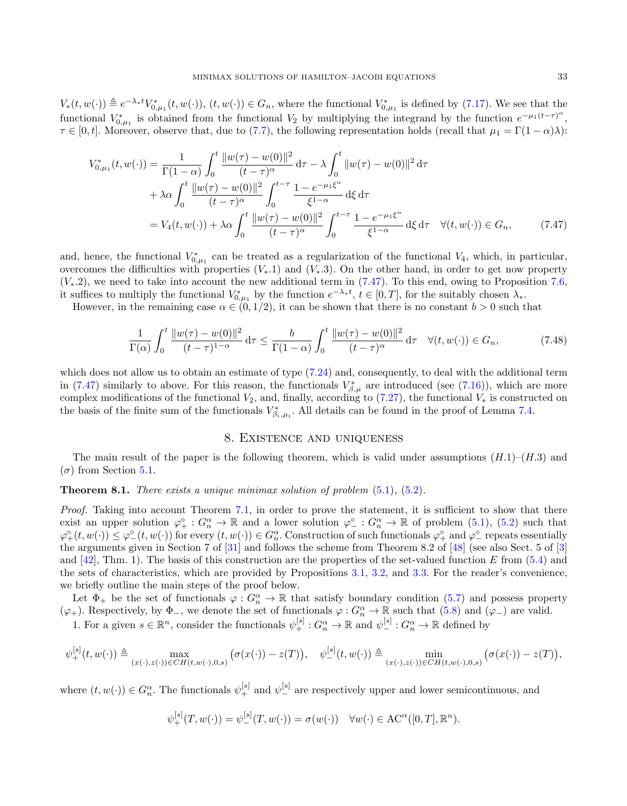$V_*(t, w(\cdot)) \triangleq e^{-\lambda_* t} V_{0,\mu_1}^*(t, w(\cdot)), (t, w(\cdot)) \in G_n$ , where the functional  $V_{0,\mu_1}^*$  is defined by [\(7.17\)](#page-19-1). We see that the functional  $V_{0,\mu_1}^*$  is obtained from the functional  $V_2$  by multiplying the integrand by the function  $e^{-\mu_1(t-\tau)}$ <sup>"</sup>,  $\tau \in [0, t]$ . Moreover, observe that, due to [\(7.7\)](#page-16-1), the following representation holds (recall that  $\mu_1 = \Gamma(1 - \alpha)\lambda$ ):

$$
V_{0,\mu_1}^*(t, w(\cdot)) = \frac{1}{\Gamma(1-\alpha)} \int_0^t \frac{\|w(\tau) - w(0)\|^2}{(t-\tau)^{\alpha}} d\tau - \lambda \int_0^t \|w(\tau) - w(0)\|^2 d\tau + \lambda \alpha \int_0^t \frac{\|w(\tau) - w(0)\|^2}{(t-\tau)^{\alpha}} \int_0^{t-\tau} \frac{1 - e^{-\mu_1 \xi^{\alpha}}}{\xi^{1-\alpha}} d\xi d\tau = V_4(t, w(\cdot)) + \lambda \alpha \int_0^t \frac{\|w(\tau) - w(0)\|^2}{(t-\tau)^{\alpha}} \int_0^{t-\tau} \frac{1 - e^{-\mu_1 \xi^{\alpha}}}{\xi^{1-\alpha}} d\xi d\tau \quad \forall (t, w(\cdot)) \in G_n,
$$
(7.47)

and, hence, the functional  $V_{0,\mu_1}^*$  can be treated as a regularization of the functional  $V_4$ , which, in particular, overcomes the difficulties with properties  $(V_*,1)$  and  $(V_*,3)$ . On the other hand, in order to get now property  $(V_*, 2)$ , we need to take into account the new additional term in [\(7.47\)](#page-32-1). To this end, owing to Proposition [7.6,](#page-22-0) it suffices to multiply the functional  $V_{0,\mu_1}^*$  by the function  $e^{-\lambda_* t}$ ,  $t \in [0,T]$ , for the suitably chosen  $\lambda_*$ .

However, in the remaining case  $\alpha \in (0, 1/2)$ , it can be shown that there is no constant  $b > 0$  such that

$$
\frac{1}{\Gamma(\alpha)} \int_0^t \frac{\|w(\tau) - w(0)\|^2}{(t - \tau)^{1 - \alpha}} d\tau \le \frac{b}{\Gamma(1 - \alpha)} \int_0^t \frac{\|w(\tau) - w(0)\|^2}{(t - \tau)^{\alpha}} d\tau \quad \forall (t, w(\cdot)) \in G_n,
$$
\n(7.48)

which does not allow us to obtain an estimate of type  $(7.24)$  and, consequently, to deal with the additional term in [\(7.47\)](#page-32-1) similarly to above. For this reason, the functionals  $V_{\beta,\mu}^*$  are introduced (see [\(7.16\)](#page-19-3)), which are more complex modifications of the functional  $V_2$ , and, finally, according to [\(7.27\)](#page-24-0), the functional  $V_*$  is constructed on the basis of the finite sum of the functionals  $V_{\beta_i,\mu_i}^*$ . All details can be found in the proof of Lemma [7.4.](#page-21-1)

### <span id="page-32-1"></span>8. Existence and uniqueness

<span id="page-32-0"></span>The main result of the paper is the following theorem, which is valid under assumptions  $(H.1)$ – $(H.3)$  and (σ) from Section [5.1.](#page-8-3)

**Theorem 8.1.** There exists a unique minimax solution of problem  $(5.1)$ ,  $(5.2)$ .

Proof. Taking into account Theorem [7.1,](#page-14-3) in order to prove the statement, it is sufficient to show that there exist an upper solution  $\varphi_+^{\circ}: G_n^{\alpha} \to \mathbb{R}$  and a lower solution  $\varphi_-^{\circ}: G_n^{\alpha} \to \mathbb{R}$  of problem  $(5.1)$ ,  $(5.2)$  such that  $\varphi^{\circ}_{+}(t,w(\cdot)) \leq \varphi^{\circ}_{-}(t,w(\cdot))$  for every  $(t,w(\cdot)) \in G_n^{\alpha}$ . Construction of such functionals  $\varphi^{\circ}_{+}$  and  $\varphi^{\circ}_{-}$  repeats essentially the arguments given in Section 7 of [\[31\]](#page-34-20) and follows the scheme from Theorem 8.2 of [\[48\]](#page-35-8) (see also Sect. 5 of [\[3\]](#page-34-22) and  $[42]$ , Thm. 1). The basis of this construction are the properties of the set-valued function E from  $(5.4)$  and the sets of characteristics, which are provided by Propositions [3.1,](#page-4-2) [3.2,](#page-4-3) and [3.3.](#page-4-4) For the reader's convenience, we briefly outline the main steps of the proof below.

Let  $\Phi_+$  be the set of functionals  $\varphi: G_n^{\alpha} \to \mathbb{R}$  that satisfy boundary condition [\(5.7\)](#page-10-2) and possess property  $(\varphi_+)$ . Respectively, by  $\Phi_-,$  we denote the set of functionals  $\varphi: G_n^{\alpha} \to \mathbb{R}$  such that  $(5.8)$  and  $(\varphi_-)$  are valid.

1. For a given  $s \in \mathbb{R}^n$ , consider the functionals  $\psi_+^{[s]} : G_n^{\alpha} \to \mathbb{R}$  and  $\psi_-^{[s]} : G_n^{\alpha} \to \mathbb{R}$  defined by

$$
\psi^{[s]}_{+}(t, w(\cdot)) \triangleq \max_{(x(\cdot), z(\cdot)) \in CH(t, w(\cdot), 0, s)} \big(\sigma(x(\cdot)) - z(T)\big), \quad \psi^{[s]}_{-}(t, w(\cdot)) \triangleq \min_{(x(\cdot), z(\cdot)) \in CH(t, w(\cdot), 0, s)} \big(\sigma(x(\cdot)) - z(T)\big),
$$

where  $(t, w(\cdot)) \in G_n^{\alpha}$ . The functionals  $\psi_+^{[s]}$  and  $\psi_-^{[s]}$  are respectively upper and lower semicontinuous, and

$$
\psi_{+}^{[s]}(T,w(\cdot)) = \psi_{-}^{[s]}(T,w(\cdot)) = \sigma(w(\cdot)) \quad \forall w(\cdot) \in \mathrm{AC}^{\alpha}([0,T],\mathbb{R}^{n}).
$$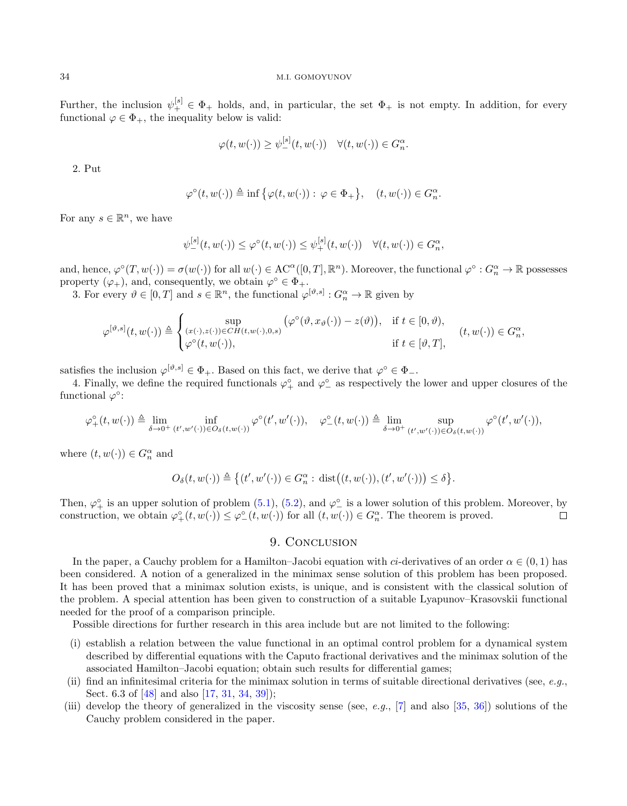Further, the inclusion  $\psi_+^{[s]} \in \Phi_+$  holds, and, in particular, the set  $\Phi_+$  is not empty. In addition, for every functional  $\varphi \in \Phi_+$ , the inequality below is valid:

$$
\varphi(t, w(\cdot)) \ge \psi_-^{|s|}(t, w(\cdot)) \quad \forall (t, w(\cdot)) \in G_n^{\alpha}.
$$

2. Put

$$
\varphi^{\circ}(t, w(\cdot)) \triangleq \inf \big\{ \varphi(t, w(\cdot)) : \varphi \in \Phi_+ \big\}, \quad (t, w(\cdot)) \in G_n^{\alpha}
$$

.

,

For any  $s \in \mathbb{R}^n$ , we have

$$
\psi_-^{[s]}(t, w(\cdot)) \leq \varphi^{\circ}(t, w(\cdot)) \leq \psi_+^{[s]}(t, w(\cdot)) \quad \forall (t, w(\cdot)) \in G_n^{\alpha},
$$

and, hence,  $\varphi^{\circ}(T, w(\cdot)) = \sigma(w(\cdot))$  for all  $w(\cdot) \in \mathrm{AC}^{\alpha}([0, T], \mathbb{R}^{n})$ . Moreover, the functional  $\varphi^{\circ} : G_{n}^{\alpha} \to \mathbb{R}$  possesses property  $(\varphi_+)$ , and, consequently, we obtain  $\varphi^{\circ} \in \Phi_+$ .

3. For every  $\vartheta \in [0, T]$  and  $s \in \mathbb{R}^n$ , the functional  $\varphi^{[\vartheta, s]} : G_n^{\alpha} \to \mathbb{R}$  given by

$$
\varphi^{[\vartheta,s]}(t,w(\cdot)) \triangleq \begin{cases} \sup_{(x(\cdot),z(\cdot))\in CH(t,w(\cdot),0,s)} (\varphi^{\circ}(\vartheta,x_{\vartheta}(\cdot))-z(\vartheta)), & \text{if } t \in [0,\vartheta), \\ \varphi^{\circ}(t,w(\cdot)), & \text{if } t \in [\vartheta,T], \end{cases} (t,w(\cdot)) \in G_{n}^{\alpha}
$$

satisfies the inclusion  $\varphi^{[\vartheta,s]} \in \Phi_+$ . Based on this fact, we derive that  $\varphi^{\circ} \in \Phi_-$ .

4. Finally, we define the required functionals  $\varphi^{\circ}_+$  and  $\varphi^{\circ}_-$  as respectively the lower and upper closures of the functional  $\varphi^{\circ}$ :

$$
\varphi^{\circ}_{+}(t,w(\cdot))\triangleq \lim_{\delta\to 0^+} \inf_{(t',w'(\cdot))\in O_{\delta}(t,w(\cdot))} \varphi^{\circ}(t',w'(\cdot)),\quad \varphi^{\circ}_{-}(t,w(\cdot))\triangleq \lim_{\delta\to 0^+} \sup_{(t',w'(\cdot))\in O_{\delta}(t,w(\cdot))} \varphi^{\circ}(t',w'(\cdot)),
$$

where  $(t, w(\cdot)) \in G_n^{\alpha}$  and

$$
O_{\delta}(t, w(\cdot)) \triangleq \left\{(t', w'(\cdot)) \in G_n^{\alpha}: \, \text{dist}\big((t, w(\cdot)), (t', w'(\cdot))\big) \leq \delta\right\}.
$$

Then,  $\varphi_+^{\circ}$  is an upper solution of problem  $(5.1)$ ,  $(5.2)$ , and  $\varphi_-^{\circ}$  is a lower solution of this problem. Moreover, by construction, we obtain  $\varphi_+^{\circ}(t, w(\cdot)) \leq \varphi_-^{\circ}(t, w(\cdot))$  for all  $(t, w(\cdot)) \in G_n^{\alpha}$ . The theorem is proved.

# 9. CONCLUSION

<span id="page-33-0"></span>In the paper, a Cauchy problem for a Hamilton–Jacobi equation with *ci*-derivatives of an order  $\alpha \in (0,1)$  has been considered. A notion of a generalized in the minimax sense solution of this problem has been proposed. It has been proved that a minimax solution exists, is unique, and is consistent with the classical solution of the problem. A special attention has been given to construction of a suitable Lyapunov–Krasovskii functional needed for the proof of a comparison principle.

Possible directions for further research in this area include but are not limited to the following:

- (i) establish a relation between the value functional in an optimal control problem for a dynamical system described by differential equations with the Caputo fractional derivatives and the minimax solution of the associated Hamilton–Jacobi equation; obtain such results for differential games;
- (ii) find an infinitesimal criteria for the minimax solution in terms of suitable directional derivatives (see,  $e.g.,$ Sect. 6.3 of [\[48\]](#page-35-8) and also [\[17,](#page-34-19) [31,](#page-34-20) [34,](#page-34-21) [39\]](#page-35-12));
- (iii) develop the theory of generalized in the viscosity sense (see, e.g.,  $[7]$  and also  $[35, 36]$  $[35, 36]$ ) solutions of the Cauchy problem considered in the paper.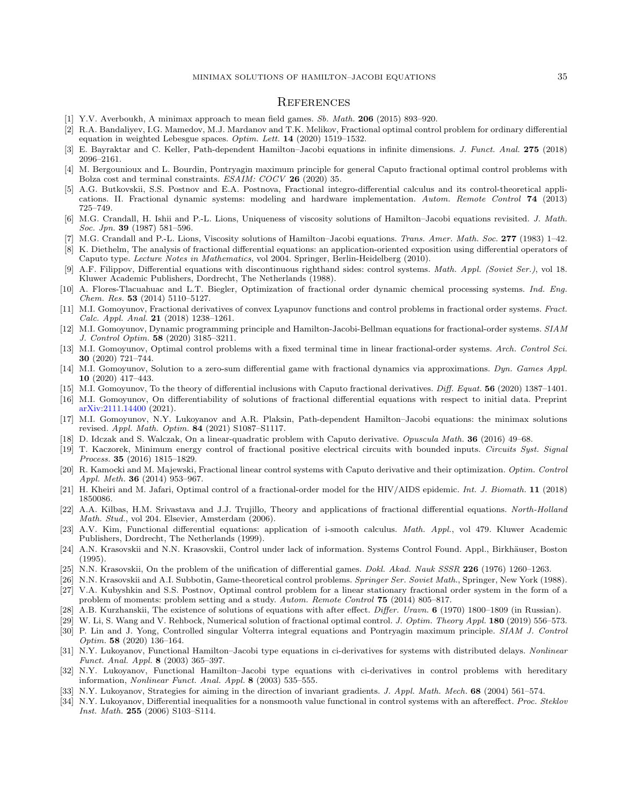### **REFERENCES**

- <span id="page-34-23"></span>[1] Y.V. Averboukh, A minimax approach to mean field games. Sb. Math. 206 (2015) 893–920.
- <span id="page-34-8"></span>[2] R.A. Bandaliyev, I.G. Mamedov, M.J. Mardanov and T.K. Melikov, Fractional optimal control problem for ordinary differential equation in weighted Lebesgue spaces. Optim. Lett. 14 (2020) 1519–1532.
- <span id="page-34-22"></span>[3] E. Bayraktar and C. Keller, Path-dependent Hamilton–Jacobi equations in infinite dimensions. J. Funct. Anal. 275 (2018) 2096–2161.
- <span id="page-34-5"></span>[4] M. Bergounioux and L. Bourdin, Pontryagin maximum principle for general Caputo fractional optimal control problems with Bolza cost and terminal constraints. ESAIM: COCV 26 (2020) 35.
- <span id="page-34-13"></span>[5] A.G. Butkovskii, S.S. Postnov and E.A. Postnova, Fractional integro-differential calculus and its control-theoretical applications. II. Fractional dynamic systems: modeling and hardware implementation. Autom. Remote Control 74 (2013) 725–749.
- <span id="page-34-31"></span>[6] M.G. Crandall, H. Ishii and P.-L. Lions, Uniqueness of viscosity solutions of Hamilton–Jacobi equations revisited. J. Math. Soc. Jpn. 39 (1987) 581–596.
- <span id="page-34-32"></span>[7] M.G. Crandall and P.-L. Lions, Viscosity solutions of Hamilton–Jacobi equations. Trans. Amer. Math. Soc. 277 (1983) 1–42.
- <span id="page-34-0"></span>[8] K. Diethelm, The analysis of fractional differential equations: an application-oriented exposition using differential operators of Caputo type. Lecture Notes in Mathematics, vol 2004. Springer, Berlin-Heidelberg (2010).
- <span id="page-34-27"></span>[9] A.F. Filippov, Differential equations with discontinuous righthand sides: control systems. Math. Appl. (Soviet Ser.), vol 18. Kluwer Academic Publishers, Dordrecht, The Netherlands (1988).
- <span id="page-34-2"></span>[10] A. Flores-Tlacuahuac and L.T. Biegler, Optimization of fractional order dynamic chemical processing systems. Ind. Eng. Chem. Res. 53 (2014) 5110–5127.
- <span id="page-34-26"></span>[11] M.I. Gomoyunov, Fractional derivatives of convex Lyapunov functions and control problems in fractional order systems. Fract. Calc. Appl. Anal. 21 (2018) 1238–1261.
- <span id="page-34-14"></span>[12] M.I. Gomoyunov, Dynamic programming principle and Hamilton-Jacobi-Bellman equations for fractional-order systems. SIAM J. Control Optim. 58 (2020) 3185–3211.
- <span id="page-34-9"></span>[13] M.I. Gomoyunov, Optimal control problems with a fixed terminal time in linear fractional-order systems. Arch. Control Sci. 30 (2020) 721–744.
- <span id="page-34-29"></span>[14] M.I. Gomoyunov, Solution to a zero-sum differential game with fractional dynamics via approximations. Dyn. Games Appl. 10 (2020) 417–443.
- <span id="page-34-24"></span>[15] M.I. Gomoyunov, To the theory of differential inclusions with Caputo fractional derivatives. Diff. Equat. 56 (2020) 1387-1401.
- <span id="page-34-30"></span>[16] M.I. Gomoyunov, On differentiability of solutions of fractional differential equations with respect to initial data. Preprint [arXiv:2111.14400](https://arxiv.org/abs/2111.14400) (2021).
- <span id="page-34-19"></span>[17] M.I. Gomoyunov, N.Y. Lukoyanov and A.R. Plaksin, Path-dependent Hamilton–Jacobi equations: the minimax solutions revised. Appl. Math. Optim. 84 (2021) S1087–S1117.
- <span id="page-34-10"></span>[18] D. Idczak and S. Walczak, On a linear-quadratic problem with Caputo derivative. Opuscula Math. 36 (2016) 49–68.
- <span id="page-34-3"></span>[19] T. Kaczorek, Minimum energy control of fractional positive electrical circuits with bounded inputs. Circuits Syst. Signal Process. 35 (2016) 1815–1829.
- <span id="page-34-11"></span>[20] R. Kamocki and M. Majewski, Fractional linear control systems with Caputo derivative and their optimization. Optim. Control Appl. Meth. 36 (2014) 953–967.
- <span id="page-34-4"></span>[21] H. Kheiri and M. Jafari, Optimal control of a fractional-order model for the HIV/AIDS epidemic. Int. J. Biomath. 11 (2018) 1850086.
- <span id="page-34-1"></span>[22] A.A. Kilbas, H.M. Srivastava and J.J. Trujillo, Theory and applications of fractional differential equations. North-Holland Math. Stud., vol 204. Elsevier, Amsterdam (2006).
- <span id="page-34-15"></span>[23] A.V. Kim, Functional differential equations: application of i-smooth calculus. Math. Appl., vol 479. Kluwer Academic Publishers, Dordrecht, The Netherlands (1999).
- <span id="page-34-16"></span>[24] A.N. Krasovskii and N.N. Krasovskii, Control under lack of information. Systems Control Found. Appl., Birkhäuser, Boston (1995).
- <span id="page-34-18"></span>[25] N.N. Krasovskii, On the problem of the unification of differential games. *Dokl. Akad. Nauk SSSR* 226 (1976) 1260–1263.
- <span id="page-34-17"></span>[26] N.N. Krasovskii and A.I. Subbotin, Game-theoretical control problems. Springer Ser. Soviet Math., Springer, New York (1988).
- <span id="page-34-12"></span>[27] V.A. Kubyshkin and S.S. Postnov, Optimal control problem for a linear stationary fractional order system in the form of a problem of moments: problem setting and a study. Autom. Remote Control 75 (2014) 805–817.
- <span id="page-34-28"></span>[28] A.B. Kurzhanskii, The existence of solutions of equations with after effect. *Differ. Uravn.* **6** (1970) 1800–1809 (in Russian).
- <span id="page-34-7"></span>[29] W. Li, S. Wang and V. Rehbock, Numerical solution of fractional optimal control. J. Optim. Theory Appl. 180 (2019) 556–573.
- <span id="page-34-6"></span>[30] P. Lin and J. Yong, Controlled singular Volterra integral equations and Pontryagin maximum principle. SIAM J. Control Optim. 58 (2020) 136–164.
- <span id="page-34-20"></span>[31] N.Y. Lukoyanov, Functional Hamilton–Jacobi type equations in ci-derivatives for systems with distributed delays. Nonlinear Funct. Anal. Appl. 8 (2003) 365–397.
- [32] N.Y. Lukoyanov, Functional Hamilton–Jacobi type equations with ci-derivatives in control problems with hereditary information, Nonlinear Funct. Anal. Appl. 8 (2003) 535–555.
- <span id="page-34-25"></span>[33] N.Y. Lukoyanov, Strategies for aiming in the direction of invariant gradients. J. Appl. Math. Mech. 68 (2004) 561–574.
- <span id="page-34-21"></span>[34] N.Y. Lukoyanov, Differential inequalities for a nonsmooth value functional in control systems with an aftereffect. Proc. Steklov Inst. Math. 255 (2006) S103–S114.